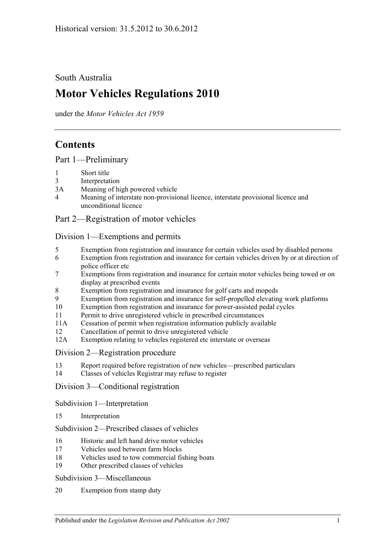South Australia

# **Motor Vehicles Regulations 2010**

under the *Motor Vehicles Act 1959*

# **Contents**

[Part 1—Preliminary](#page-6-0)

- 1 [Short title](#page-6-1)
- 3 [Interpretation](#page-6-2)
- 3A [Meaning of high powered vehicle](#page-8-0)
- 4 [Meaning of interstate non-provisional licence, interstate provisional licence and](#page-9-0)  [unconditional licence](#page-9-0)

# [Part 2—Registration of motor vehicles](#page-10-0)

#### [Division 1—Exemptions and permits](#page-10-1)

- 5 [Exemption from registration and insurance for certain vehicles used by disabled persons](#page-10-2)
- 6 [Exemption from registration and insurance for certain vehicles driven by or at direction of](#page-10-3)  [police officer etc](#page-10-3)
- 7 [Exemptions from registration and insurance for certain motor vehicles being towed or on](#page-10-4)  [display at prescribed events](#page-10-4)
- 8 [Exemption from registration and insurance for golf carts and mopeds](#page-11-0)
- 9 [Exemption from registration and insurance for self-propelled elevating work platforms](#page-11-1)
- 10 [Exemption from registration and insurance for power-assisted pedal cycles](#page-12-0)
- 11 [Permit to drive unregistered vehicle in prescribed circumstances](#page-12-1)
- 11A [Cessation of permit when registration information publicly available](#page-12-2)
- 12 [Cancellation of permit to drive unregistered vehicle](#page-12-3)
- 12A [Exemption relating to vehicles registered etc interstate or overseas](#page-12-4)
- [Division 2—Registration procedure](#page-13-0)
- 13 [Report required before registration of new vehicles—prescribed particulars](#page-13-1)
- 14 [Classes of vehicles Registrar may refuse to register](#page-13-2)

[Division 3—Conditional registration](#page-13-3)

[Subdivision 1—Interpretation](#page-13-4)

15 [Interpretation](#page-13-5)

[Subdivision 2—Prescribed classes of vehicles](#page-14-0)

- 16 [Historic and left hand drive motor vehicles](#page-14-1)
- 17 [Vehicles used between farm blocks](#page-15-0)
- 18 [Vehicles used to tow commercial fishing boats](#page-15-1)
- 19 [Other prescribed classes of vehicles](#page-15-2)

[Subdivision 3—Miscellaneous](#page-16-0)

20 [Exemption from stamp duty](#page-16-1)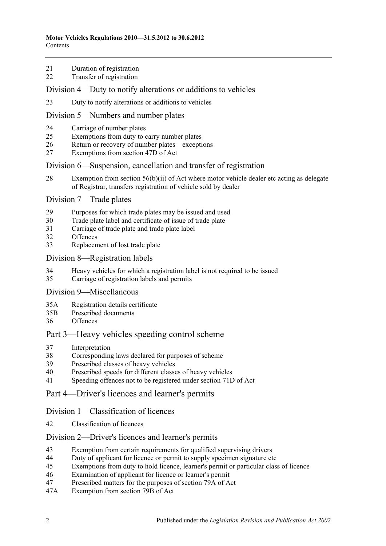- [Duration of registration](#page-16-2)
- [Transfer of registration](#page-16-3)

#### [Division 4—Duty to notify alterations or additions to vehicles](#page-16-4)

[Duty to notify alterations or additions to vehicles](#page-16-5)

#### [Division 5—Numbers and number plates](#page-18-0)

- [Carriage of number plates](#page-18-1)
- [Exemptions from duty to carry number plates](#page-18-2)
- [Return or recovery of number plates—exceptions](#page-20-0)
- [Exemptions from section 47D of Act](#page-20-1)

#### [Division 6—Suspension, cancellation and transfer of registration](#page-21-0)

 [Exemption from section 56\(b\)\(ii\) of Act where motor vehicle dealer etc acting](#page-21-1) as delegate [of Registrar, transfers registration of vehicle sold by dealer](#page-21-1)

#### [Division 7—Trade plates](#page-21-2)

- [Purposes for which trade plates may be issued and used](#page-21-3)
- [Trade plate label and certificate of issue of trade plate](#page-24-0)
- [Carriage of trade plate and trade plate label](#page-24-1)
- [Offences](#page-25-0)
- [Replacement of lost trade plate](#page-25-1)

#### [Division 8—Registration labels](#page-25-2)

- [Heavy vehicles for which a registration label is not required to be issued](#page-25-3)
- [Carriage of registration labels and permits](#page-26-0)

### [Division 9—Miscellaneous](#page-27-0)

- 35A [Registration details certificate](#page-27-1)
- 35B [Prescribed documents](#page-28-0)
- [Offences](#page-28-1)

# [Part 3—Heavy vehicles speeding control scheme](#page-30-0)

- [Interpretation](#page-30-1)
- [Corresponding laws declared for purposes of scheme](#page-30-2)
- [Prescribed classes of heavy vehicles](#page-30-3)
- [Prescribed speeds for different classes of heavy vehicles](#page-30-4)
- [Speeding offences not to be registered under section](#page-30-5) 71D of Act

# [Part 4—Driver's licences and learner's permits](#page-32-0)

#### [Division 1—Classification of licences](#page-32-1)

[Classification of licences](#page-32-2)

#### [Division 2—Driver's licences and learner's permits](#page-32-3)

- [Exemption from certain requirements for qualified supervising drivers](#page-32-4)
- [Duty of applicant for licence or permit to supply specimen signature etc](#page-32-5)
- [Exemptions from duty to hold licence, learner's permit or particular class of licence](#page-33-0)
- [Examination of applicant for licence or learner's permit](#page-34-0)
- [Prescribed matters for the purposes of section 79A of Act](#page-35-0)
- 47A [Exemption from section 79B of Act](#page-35-1)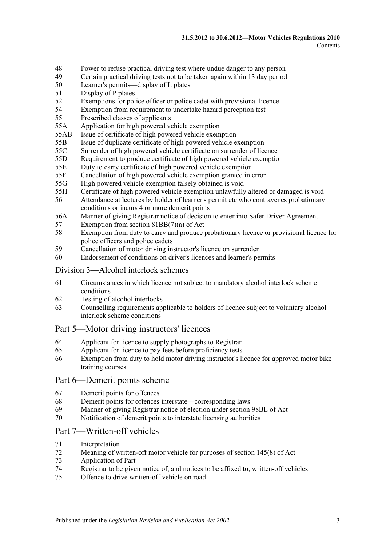- 48 [Power to refuse practical driving test where undue danger to any person](#page-36-0)
- 49 [Certain practical driving tests not to be taken again within 13](#page-36-1) day period
- 50 [Learner's permits—display of L plates](#page-36-2)
- 51 [Display of P plates](#page-37-0)
- 52 [Exemptions for police officer or police cadet with provisional licence](#page-37-1)
- 54 [Exemption from requirement to undertake hazard perception test](#page-37-2)
- 55 [Prescribed classes of applicants](#page-38-0)
- 55A [Application for high powered vehicle exemption](#page-38-1)
- 55AB [Issue of certificate of high powered vehicle exemption](#page-38-2)
- 55B [Issue of duplicate certificate of high powered vehicle exemption](#page-38-3)
- 55C [Surrender of high powered vehicle certificate on surrender of licence](#page-38-4)
- 55D [Requirement to produce certificate of high powered vehicle exemption](#page-39-0)
- 55E [Duty to carry certificate of high powered vehicle exemption](#page-39-1)
- 55F [Cancellation of high powered vehicle exemption granted in error](#page-39-2)
- 55G [High powered vehicle exemption falsely obtained is void](#page-39-3)
- 55H [Certificate of high powered vehicle exemption unlawfully altered or damaged is void](#page-40-0)
- 56 [Attendance at lectures by holder of learner's permit etc who contravenes probationary](#page-40-1)  [conditions or incurs 4 or more demerit points](#page-40-1)
- 56A [Manner of giving Registrar notice of decision to enter into Safer Driver Agreement](#page-40-2)
- 57 [Exemption from section 81BB\(7\)\(a\) of Act](#page-40-3)
- 58 [Exemption from duty to carry and produce probationary licence or provisional licence for](#page-41-0)  [police officers and police cadets](#page-41-0)
- 59 [Cancellation of motor driving instructor's licence on surrender](#page-41-1)
- 60 [Endorsement of conditions on driver's licences and learner's permits](#page-41-2)

#### [Division 3—Alcohol interlock schemes](#page-41-3)

- 61 [Circumstances in which licence not subject to mandatory alcohol interlock scheme](#page-41-4)  [conditions](#page-41-4)
- 62 [Testing of alcohol interlocks](#page-41-5)
- 63 [Counselling requirements applicable to holders of licence subject to voluntary alcohol](#page-42-0)  [interlock scheme conditions](#page-42-0)

#### [Part 5—Motor driving instructors' licences](#page-44-0)

- 64 [Applicant for licence to supply photographs to Registrar](#page-44-1)
- 65 [Applicant for licence to pay fees before proficiency tests](#page-44-2)
- 66 [Exemption from duty to hold motor driving instructor's licence for approved motor](#page-44-3) bike [training courses](#page-44-3)

#### [Part 6—Demerit points scheme](#page-46-0)

- 67 [Demerit points for offences](#page-46-1)
- 68 [Demerit points for offences interstate—corresponding laws](#page-46-2)
- 69 [Manner of giving Registrar notice of election under section](#page-46-3) 98BE of Act
- 70 [Notification of demerit points to interstate licensing authorities](#page-47-0)

#### [Part 7—Written-off vehicles](#page-48-0)

- 71 [Interpretation](#page-48-1)
- 72 [Meaning of written-off motor vehicle for purposes of section](#page-50-0) 145(8) of Act
- 73 [Application of Part](#page-50-1)
- 74 [Registrar to be given notice of, and notices to be affixed to, written-off vehicles](#page-50-2)
- 75 [Offence to drive written-off vehicle on road](#page-52-0)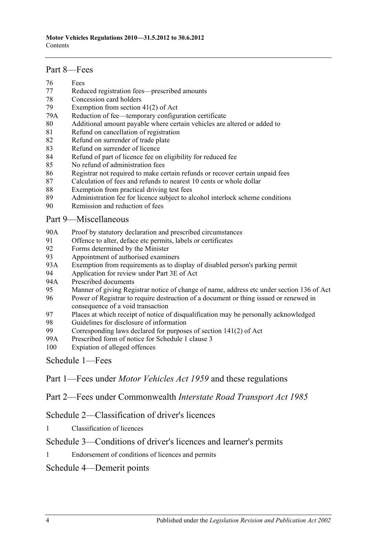#### [Part 8—Fees](#page-54-0)

- 76 [Fees](#page-54-1)
- 77 [Reduced registration fees—prescribed amounts](#page-54-2)
- 78 [Concession card holders](#page-55-0)
- 79 [Exemption from section 41\(2\) of Act](#page-55-1)
- 79A [Reduction of fee—temporary configuration certificate](#page-55-2)
- 80 [Additional amount payable where certain vehicles are altered or added to](#page-56-0)
- 81 [Refund on cancellation of registration](#page-56-1)
- 82 [Refund on surrender of trade plate](#page-57-0)
- 83 [Refund on surrender of licence](#page-57-1)
- 84 [Refund of part of licence fee on eligibility for reduced fee](#page-57-2)
- 85 [No refund of administration fees](#page-57-3)
- 86 [Registrar not required to make certain refunds or recover certain unpaid fees](#page-57-4)
- 87 [Calculation of fees and refunds to nearest 10 cents or whole dollar](#page-57-5)
- 88 [Exemption from practical driving test fees](#page-58-0)
- 89 [Administration fee for licence subject to alcohol interlock scheme conditions](#page-58-1)
- 90 [Remission and reduction of fees](#page-58-2)

### [Part 9—Miscellaneous](#page-60-0)

- 90A [Proof by statutory declaration and prescribed circumstances](#page-60-1)
- 91 [Offence to alter, deface etc permits, labels or certificates](#page-60-2)<br>92 Forms determined by the Minister
- [Forms determined by the Minister](#page-61-0)
- 93 [Appointment of authorised examiners](#page-61-1)
- 93A [Exemption from requirements as to display of disabled person's parking permit](#page-61-2)
- 94 [Application for review under Part 3E of Act](#page-62-0)<br>94A Prescribed documents
- [Prescribed documents](#page-62-1)
- 95 [Manner of giving Registrar notice of change of name, address etc under section](#page-62-2) 136 of Act
- 96 [Power of Registrar to require destruction of a document or thing issued or renewed in](#page-62-3)  [consequence of a void transaction](#page-62-3)
- 97 [Places at which receipt of notice of disqualification may be personally acknowledged](#page-62-4)
- 98 [Guidelines for disclosure of information](#page-63-0)<br>99 Corresponding laws declared for purpose
- Corresponding laws declared for purposes of section  $141(2)$  of Act
- 99A [Prescribed form of notice for Schedule 1 clause 3](#page-66-0)
- 100 [Expiation of alleged offences](#page-66-1)

[Schedule 1—Fees](#page-68-0)

Part 1—Fees under *Motor Vehicles Act 1959* and these regulations

Part 2—Fees under Commonwealth *Interstate Road Transport Act 1985*

[Schedule 2—Classification of driver's licences](#page-78-0)

1 [Classification of licences](#page-78-1)

# [Schedule 3—Conditions of driver's licences and learner's permits](#page-82-0)

1 [Endorsement of conditions of licences and permits](#page-82-1)

# [Schedule 4—Demerit points](#page-84-0)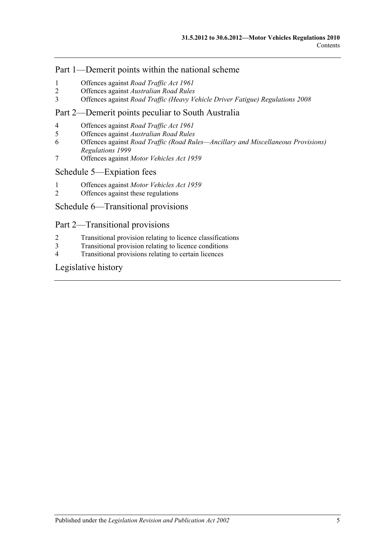# Part 1—Demerit points within the national scheme

- 1 [Offences against](#page-84-1) *Road Traffic Act 1961*
- 2 Offences against *[Australian Road Rules](#page-85-0)*
- 3 Offences against *[Road Traffic \(Heavy Vehicle Driver Fatigue\) Regulations](#page-89-0) 2008*

# Part 2—Demerit points peculiar to South Australia

- 4 [Offences against](#page-90-0) *Road Traffic Act 1961*
- 5 Offences against *[Australian Road Rules](#page-91-0)*
- 6 Offences against *[Road Traffic \(Road Rules—Ancillary and Miscellaneous Provisions\)](#page-94-0)  [Regulations](#page-94-0) 1999*
- 7 Offences against *[Motor Vehicles Act](#page-95-0) 1959*

#### [Schedule 5—Expiation fees](#page-96-0)

- 1 Offences against *[Motor Vehicles Act](#page-96-1) 1959*
- 2 [Offences against these regulations](#page-99-0)

# [Schedule 6—Transitional provisions](#page-100-0)

# Part 2—Transitional provisions

- 2 [Transitional provision relating to licence classifications](#page-100-1)
- 3 [Transitional provision relating to licence conditions](#page-100-2)
- 4 [Transitional provisions relating to certain licences](#page-101-0)

# [Legislative history](#page-102-0)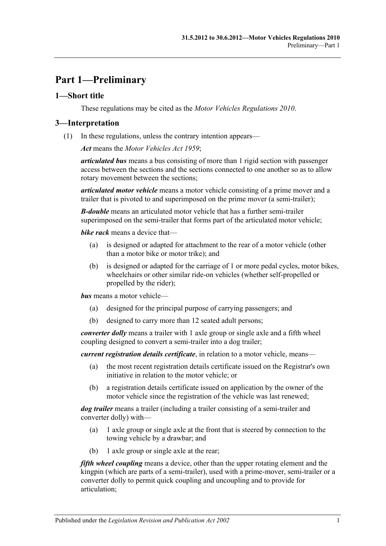# <span id="page-6-0"></span>**Part 1—Preliminary**

# <span id="page-6-1"></span>**1—Short title**

These regulations may be cited as the *Motor Vehicles Regulations 2010*.

# <span id="page-6-2"></span>**3—Interpretation**

(1) In these regulations, unless the contrary intention appears—

*Act* means the *[Motor Vehicles Act](http://www.legislation.sa.gov.au/index.aspx?action=legref&type=act&legtitle=Motor%20Vehicles%20Act%201959) 1959*;

*articulated bus* means a bus consisting of more than 1 rigid section with passenger access between the sections and the sections connected to one another so as to allow rotary movement between the sections;

*articulated motor vehicle* means a motor vehicle consisting of a prime mover and a trailer that is pivoted to and superimposed on the prime mover (a semi-trailer);

*B-double* means an articulated motor vehicle that has a further semi-trailer superimposed on the semi-trailer that forms part of the articulated motor vehicle;

*bike rack* means a device that—

- (a) is designed or adapted for attachment to the rear of a motor vehicle (other than a motor bike or motor trike); and
- (b) is designed or adapted for the carriage of 1 or more pedal cycles, motor bikes, wheelchairs or other similar ride-on vehicles (whether self-propelled or propelled by the rider);

*bus* means a motor vehicle—

- (a) designed for the principal purpose of carrying passengers; and
- (b) designed to carry more than 12 seated adult persons;

*converter dolly* means a trailer with 1 axle group or single axle and a fifth wheel coupling designed to convert a semi-trailer into a dog trailer;

*current registration details certificate*, in relation to a motor vehicle, means—

- (a) the most recent registration details certificate issued on the Registrar's own initiative in relation to the motor vehicle; or
- (b) a registration details certificate issued on application by the owner of the motor vehicle since the registration of the vehicle was last renewed;

*dog trailer* means a trailer (including a trailer consisting of a semi-trailer and converter dolly) with—

- (a) 1 axle group or single axle at the front that is steered by connection to the towing vehicle by a drawbar; and
- (b) 1 axle group or single axle at the rear;

*fifth wheel coupling* means a device, other than the upper rotating element and the kingpin (which are parts of a semi-trailer), used with a prime-mover, semi-trailer or a converter dolly to permit quick coupling and uncoupling and to provide for articulation;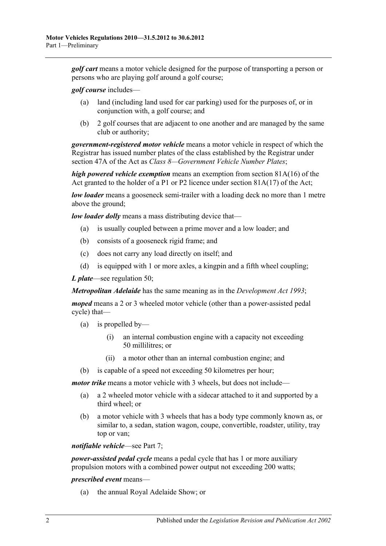*golf cart* means a motor vehicle designed for the purpose of transporting a person or persons who are playing golf around a golf course;

*golf course* includes—

- (a) land (including land used for car parking) used for the purposes of, or in conjunction with, a golf course; and
- (b) 2 golf courses that are adjacent to one another and are managed by the same club or authority;

*government-registered motor vehicle* means a motor vehicle in respect of which the Registrar has issued number plates of the class established by the Registrar under section 47A of the Act as *Class 8—Government Vehicle Number Plates*;

*high powered vehicle exemption* means an exemption from section 81A(16) of the Act granted to the holder of a P1 or P2 licence under section 81A(17) of the Act;

*low loader* means a gooseneck semi-trailer with a loading deck no more than 1 metre above the ground;

*low loader dolly* means a mass distributing device that—

- (a) is usually coupled between a prime mover and a low loader; and
- (b) consists of a gooseneck rigid frame; and
- (c) does not carry any load directly on itself; and
- (d) is equipped with 1 or more axles, a kingpin and a fifth wheel coupling;

*L plate*—see [regulation](#page-36-2) 50;

*Metropolitan Adelaide* has the same meaning as in the *[Development Act](http://www.legislation.sa.gov.au/index.aspx?action=legref&type=act&legtitle=Development%20Act%201993) 1993*;

*moped* means a 2 or 3 wheeled motor vehicle (other than a power-assisted pedal cycle) that—

- (a) is propelled by—
	- (i) an internal combustion engine with a capacity not exceeding 50 millilitres; or
	- (ii) a motor other than an internal combustion engine; and
- (b) is capable of a speed not exceeding 50 kilometres per hour;

*motor trike* means a motor vehicle with 3 wheels, but does not include—

- (a) a 2 wheeled motor vehicle with a sidecar attached to it and supported by a third wheel; or
- (b) a motor vehicle with 3 wheels that has a body type commonly known as, or similar to, a sedan, station wagon, coupe, convertible, roadster, utility, tray top or van;

*notifiable vehicle*—see [Part 7;](#page-48-0)

*power-assisted pedal cycle* means a pedal cycle that has 1 or more auxiliary propulsion motors with a combined power output not exceeding 200 watts;

#### *prescribed event* means—

(a) the annual Royal Adelaide Show; or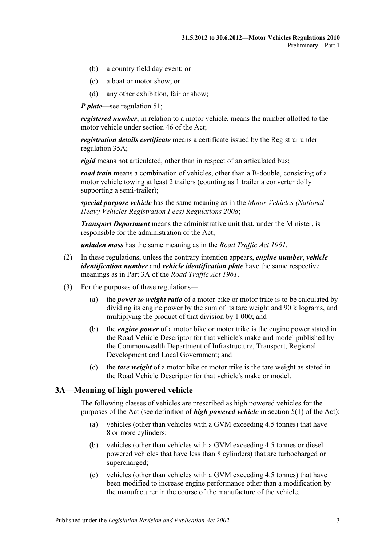- (b) a country field day event; or
- (c) a boat or motor show; or
- (d) any other exhibition, fair or show;

*P plate*—see [regulation](#page-37-0) 51;

*registered number*, in relation to a motor vehicle, means the number allotted to the motor vehicle under section 46 of the Act;

*registration details certificate* means a certificate issued by the Registrar under [regulation](#page-27-1) 35A;

*rigid* means not articulated, other than in respect of an articulated bus;

*road train* means a combination of vehicles, other than a B-double, consisting of a motor vehicle towing at least 2 trailers (counting as 1 trailer a converter dolly supporting a semi-trailer);

*special purpose vehicle* has the same meaning as in the *[Motor Vehicles \(National](http://www.legislation.sa.gov.au/index.aspx?action=legref&type=subordleg&legtitle=Motor%20Vehicles%20(National%20Heavy%20Vehicles%20Registration%20Fees)%20Regulations%202008)  [Heavy Vehicles Registration Fees\) Regulations](http://www.legislation.sa.gov.au/index.aspx?action=legref&type=subordleg&legtitle=Motor%20Vehicles%20(National%20Heavy%20Vehicles%20Registration%20Fees)%20Regulations%202008) 2008*;

*Transport Department* means the administrative unit that, under the Minister, is responsible for the administration of the Act;

*unladen mass* has the same meaning as in the *[Road Traffic Act](http://www.legislation.sa.gov.au/index.aspx?action=legref&type=act&legtitle=Road%20Traffic%20Act%201961) 1961*.

- (2) In these regulations, unless the contrary intention appears, *engine number*, *vehicle identification number* and *vehicle identification plate* have the same respective meanings as in Part 3A of the *[Road Traffic Act](http://www.legislation.sa.gov.au/index.aspx?action=legref&type=act&legtitle=Road%20Traffic%20Act%201961) 1961*.
- (3) For the purposes of these regulations—
	- (a) the *power to weight ratio* of a motor bike or motor trike is to be calculated by dividing its engine power by the sum of its tare weight and 90 kilograms, and multiplying the product of that division by 1 000; and
	- (b) the *engine power* of a motor bike or motor trike is the engine power stated in the Road Vehicle Descriptor for that vehicle's make and model published by the Commonwealth Department of Infrastructure, Transport, Regional Development and Local Government; and
	- (c) the *tare weight* of a motor bike or motor trike is the tare weight as stated in the Road Vehicle Descriptor for that vehicle's make or model.

# <span id="page-8-0"></span>**3A—Meaning of high powered vehicle**

The following classes of vehicles are prescribed as high powered vehicles for the purposes of the Act (see definition of *high powered vehicle* in section 5(1) of the Act):

- (a) vehicles (other than vehicles with a GVM exceeding 4.5 tonnes) that have 8 or more cylinders;
- (b) vehicles (other than vehicles with a GVM exceeding 4.5 tonnes or diesel powered vehicles that have less than 8 cylinders) that are turbocharged or supercharged;
- (c) vehicles (other than vehicles with a GVM exceeding 4.5 tonnes) that have been modified to increase engine performance other than a modification by the manufacturer in the course of the manufacture of the vehicle.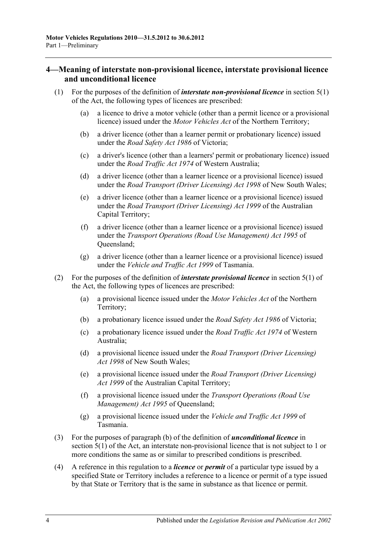# <span id="page-9-0"></span>**4—Meaning of interstate non-provisional licence, interstate provisional licence and unconditional licence**

- (1) For the purposes of the definition of *interstate non-provisional licence* in section 5(1) of the Act, the following types of licences are prescribed:
	- (a) a licence to drive a motor vehicle (other than a permit licence or a provisional licence) issued under the *Motor Vehicles Act* of the Northern Territory;
	- (b) a driver licence (other than a learner permit or probationary licence) issued under the *Road Safety Act 1986* of Victoria;
	- (c) a driver's licence (other than a learners' permit or probationary licence) issued under the *Road Traffic Act 1974* of Western Australia;
	- (d) a driver licence (other than a learner licence or a provisional licence) issued under the *Road Transport (Driver Licensing) Act 1998* of New South Wales;
	- (e) a driver licence (other than a learner licence or a provisional licence) issued under the *Road Transport (Driver Licensing) Act 1999* of the Australian Capital Territory;
	- (f) a driver licence (other than a learner licence or a provisional licence) issued under the *Transport Operations (Road Use Management) Act 1995* of Queensland;
	- (g) a driver licence (other than a learner licence or a provisional licence) issued under the *Vehicle and Traffic Act 1999* of Tasmania.
- (2) For the purposes of the definition of *interstate provisional licence* in section 5(1) of the Act, the following types of licences are prescribed:
	- (a) a provisional licence issued under the *Motor Vehicles Act* of the Northern Territory;
	- (b) a probationary licence issued under the *Road Safety Act 1986* of Victoria;
	- (c) a probationary licence issued under the *Road Traffic Act 1974* of Western Australia;
	- (d) a provisional licence issued under the *Road Transport (Driver Licensing) Act 1998* of New South Wales;
	- (e) a provisional licence issued under the *Road Transport (Driver Licensing) Act 1999* of the Australian Capital Territory;
	- (f) a provisional licence issued under the *Transport Operations (Road Use Management) Act 1995* of Queensland;
	- (g) a provisional licence issued under the *Vehicle and Traffic Act 1999* of Tasmania.
- (3) For the purposes of paragraph (b) of the definition of *unconditional licence* in section 5(1) of the Act, an interstate non-provisional licence that is not subject to 1 or more conditions the same as or similar to prescribed conditions is prescribed.
- (4) A reference in this regulation to a *licence* or *permit* of a particular type issued by a specified State or Territory includes a reference to a licence or permit of a type issued by that State or Territory that is the same in substance as that licence or permit.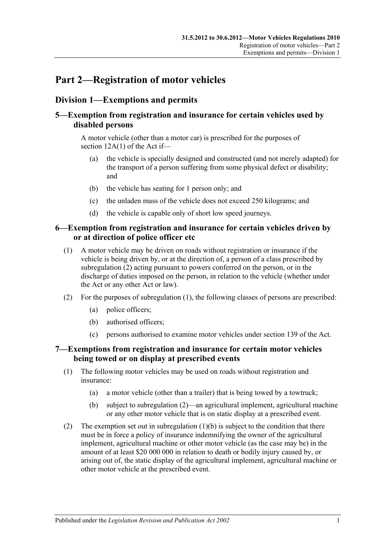# <span id="page-10-0"></span>**Part 2—Registration of motor vehicles**

# <span id="page-10-1"></span>**Division 1—Exemptions and permits**

# <span id="page-10-2"></span>**5—Exemption from registration and insurance for certain vehicles used by disabled persons**

A motor vehicle (other than a motor car) is prescribed for the purposes of section 12A(1) of the Act if—

- (a) the vehicle is specially designed and constructed (and not merely adapted) for the transport of a person suffering from some physical defect or disability; and
- (b) the vehicle has seating for 1 person only; and
- (c) the unladen mass of the vehicle does not exceed 250 kilograms; and
- (d) the vehicle is capable only of short low speed journeys.

# <span id="page-10-3"></span>**6—Exemption from registration and insurance for certain vehicles driven by or at direction of police officer etc**

- <span id="page-10-6"></span>(1) A motor vehicle may be driven on roads without registration or insurance if the vehicle is being driven by, or at the direction of, a person of a class prescribed by [subregulation](#page-10-5) (2) acting pursuant to powers conferred on the person, or in the discharge of duties imposed on the person, in relation to the vehicle (whether under the Act or any other Act or law).
- <span id="page-10-5"></span>(2) For the purposes of [subregulation](#page-10-6) (1), the following classes of persons are prescribed:
	- (a) police officers;
	- (b) authorised officers;
	- (c) persons authorised to examine motor vehicles under section 139 of the Act.

# <span id="page-10-4"></span>**7—Exemptions from registration and insurance for certain motor vehicles being towed or on display at prescribed events**

- (1) The following motor vehicles may be used on roads without registration and insurance:
	- (a) a motor vehicle (other than a trailer) that is being towed by a towtruck;
	- (b) subject to [subregulation](#page-10-7) (2)—an agricultural implement, agricultural machine or any other motor vehicle that is on static display at a prescribed event.
- <span id="page-10-8"></span><span id="page-10-7"></span>(2) The exemption set out in [subregulation](#page-10-8)  $(1)(b)$  is subject to the condition that there must be in force a policy of insurance indemnifying the owner of the agricultural implement, agricultural machine or other motor vehicle (as the case may be) in the amount of at least \$20 000 000 in relation to death or bodily injury caused by, or arising out of, the static display of the agricultural implement, agricultural machine or other motor vehicle at the prescribed event.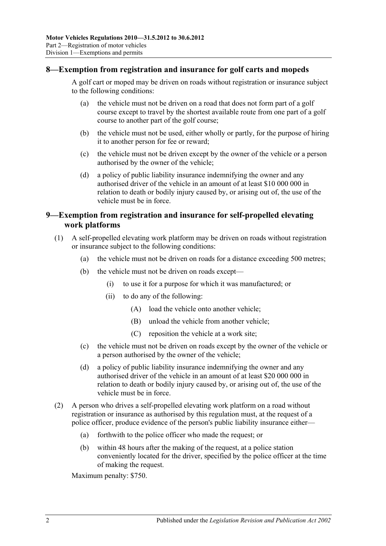# <span id="page-11-0"></span>**8—Exemption from registration and insurance for golf carts and mopeds**

A golf cart or moped may be driven on roads without registration or insurance subject to the following conditions:

- (a) the vehicle must not be driven on a road that does not form part of a golf course except to travel by the shortest available route from one part of a golf course to another part of the golf course;
- (b) the vehicle must not be used, either wholly or partly, for the purpose of hiring it to another person for fee or reward;
- (c) the vehicle must not be driven except by the owner of the vehicle or a person authorised by the owner of the vehicle;
- (d) a policy of public liability insurance indemnifying the owner and any authorised driver of the vehicle in an amount of at least \$10 000 000 in relation to death or bodily injury caused by, or arising out of, the use of the vehicle must be in force.

# <span id="page-11-1"></span>**9—Exemption from registration and insurance for self-propelled elevating work platforms**

- (1) A self-propelled elevating work platform may be driven on roads without registration or insurance subject to the following conditions:
	- (a) the vehicle must not be driven on roads for a distance exceeding 500 metres;
	- (b) the vehicle must not be driven on roads except—
		- (i) to use it for a purpose for which it was manufactured; or
		- (ii) to do any of the following:
			- (A) load the vehicle onto another vehicle;
			- (B) unload the vehicle from another vehicle;
			- (C) reposition the vehicle at a work site;
	- (c) the vehicle must not be driven on roads except by the owner of the vehicle or a person authorised by the owner of the vehicle;
	- (d) a policy of public liability insurance indemnifying the owner and any authorised driver of the vehicle in an amount of at least \$20 000 000 in relation to death or bodily injury caused by, or arising out of, the use of the vehicle must be in force.
- (2) A person who drives a self-propelled elevating work platform on a road without registration or insurance as authorised by this regulation must, at the request of a police officer, produce evidence of the person's public liability insurance either—
	- (a) forthwith to the police officer who made the request; or
	- (b) within 48 hours after the making of the request, at a police station conveniently located for the driver, specified by the police officer at the time of making the request.

Maximum penalty: \$750.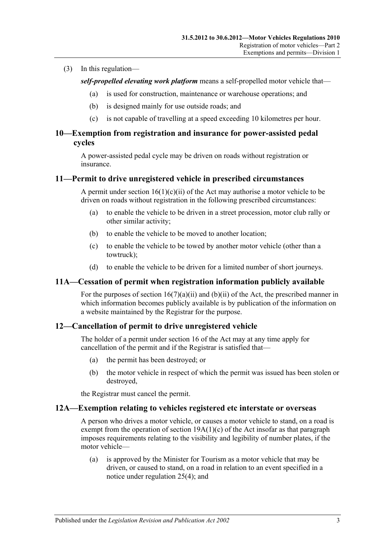#### (3) In this regulation—

*self-propelled elevating work platform* means a self-propelled motor vehicle that—

- (a) is used for construction, maintenance or warehouse operations; and
- (b) is designed mainly for use outside roads; and
- (c) is not capable of travelling at a speed exceeding 10 kilometres per hour.

# <span id="page-12-0"></span>**10—Exemption from registration and insurance for power-assisted pedal cycles**

A power-assisted pedal cycle may be driven on roads without registration or insurance.

#### <span id="page-12-1"></span>**11—Permit to drive unregistered vehicle in prescribed circumstances**

A permit under section  $16(1)(c)(ii)$  of the Act may authorise a motor vehicle to be driven on roads without registration in the following prescribed circumstances:

- (a) to enable the vehicle to be driven in a street procession, motor club rally or other similar activity;
- (b) to enable the vehicle to be moved to another location;
- (c) to enable the vehicle to be towed by another motor vehicle (other than a towtruck);
- (d) to enable the vehicle to be driven for a limited number of short journeys.

#### <span id="page-12-2"></span>**11A—Cessation of permit when registration information publicly available**

For the purposes of section  $16(7)(a)(ii)$  and  $(b)(ii)$  of the Act, the prescribed manner in which information becomes publicly available is by publication of the information on a website maintained by the Registrar for the purpose.

# <span id="page-12-3"></span>**12—Cancellation of permit to drive unregistered vehicle**

The holder of a permit under section 16 of the Act may at any time apply for cancellation of the permit and if the Registrar is satisfied that—

- (a) the permit has been destroyed; or
- (b) the motor vehicle in respect of which the permit was issued has been stolen or destroyed,

the Registrar must cancel the permit.

#### <span id="page-12-4"></span>**12A—Exemption relating to vehicles registered etc interstate or overseas**

A person who drives a motor vehicle, or causes a motor vehicle to stand, on a road is exempt from the operation of section  $19A(1)(c)$  of the Act insofar as that paragraph imposes requirements relating to the visibility and legibility of number plates, if the motor vehicle—

(a) is approved by the Minister for Tourism as a motor vehicle that may be driven, or caused to stand, on a road in relation to an event specified in a notice under [regulation](#page-19-0) 25(4); and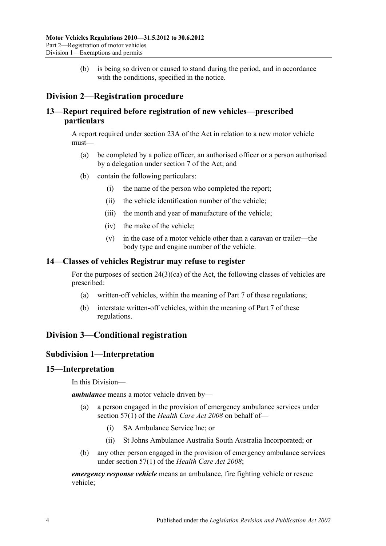(b) is being so driven or caused to stand during the period, and in accordance with the conditions, specified in the notice.

# <span id="page-13-0"></span>**Division 2—Registration procedure**

# <span id="page-13-1"></span>**13—Report required before registration of new vehicles—prescribed particulars**

A report required under section 23A of the Act in relation to a new motor vehicle must—

- (a) be completed by a police officer, an authorised officer or a person authorised by a delegation under section 7 of the Act; and
- (b) contain the following particulars:
	- (i) the name of the person who completed the report;
	- (ii) the vehicle identification number of the vehicle;
	- (iii) the month and year of manufacture of the vehicle;
	- (iv) the make of the vehicle;
	- (v) in the case of a motor vehicle other than a caravan or trailer—the body type and engine number of the vehicle.

# <span id="page-13-2"></span>**14—Classes of vehicles Registrar may refuse to register**

For the purposes of section 24(3)(ca) of the Act, the following classes of vehicles are prescribed:

- (a) written-off vehicles, within the meaning of [Part 7](#page-48-0) of these regulations;
- (b) interstate written-off vehicles, within the meaning of [Part 7](#page-48-0) of these regulations.

# <span id="page-13-4"></span><span id="page-13-3"></span>**Division 3—Conditional registration**

# **Subdivision 1—Interpretation**

#### <span id="page-13-5"></span>**15—Interpretation**

In this Division—

*ambulance* means a motor vehicle driven by—

- (a) a person engaged in the provision of emergency ambulance services under section 57(1) of the *[Health Care Act](http://www.legislation.sa.gov.au/index.aspx?action=legref&type=act&legtitle=Health%20Care%20Act%202008) 2008* on behalf of—
	- (i) SA Ambulance Service Inc; or
	- (ii) St Johns Ambulance Australia South Australia Incorporated; or
- (b) any other person engaged in the provision of emergency ambulance services under section 57(1) of the *[Health Care Act](http://www.legislation.sa.gov.au/index.aspx?action=legref&type=act&legtitle=Health%20Care%20Act%202008) 2008*;

*emergency response vehicle* means an ambulance, fire fighting vehicle or rescue vehicle;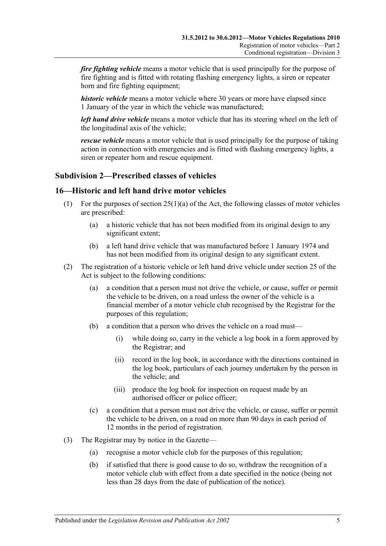*fire fighting vehicle* means a motor vehicle that is used principally for the purpose of fire fighting and is fitted with rotating flashing emergency lights, a siren or repeater horn and fire fighting equipment;

*historic vehicle* means a motor vehicle where 30 years or more have elapsed since 1 January of the year in which the vehicle was manufactured;

*left hand drive vehicle* means a motor vehicle that has its steering wheel on the left of the longitudinal axis of the vehicle;

*rescue vehicle* means a motor vehicle that is used principally for the purpose of taking action in connection with emergencies and is fitted with flashing emergency lights, a siren or repeater horn and rescue equipment.

# <span id="page-14-0"></span>**Subdivision 2—Prescribed classes of vehicles**

#### <span id="page-14-1"></span>**16—Historic and left hand drive motor vehicles**

- (1) For the purposes of section  $25(1)(a)$  of the Act, the following classes of motor vehicles are prescribed:
	- (a) a historic vehicle that has not been modified from its original design to any significant extent;
	- (b) a left hand drive vehicle that was manufactured before 1 January 1974 and has not been modified from its original design to any significant extent.
- (2) The registration of a historic vehicle or left hand drive vehicle under section 25 of the Act is subject to the following conditions:
	- (a) a condition that a person must not drive the vehicle, or cause, suffer or permit the vehicle to be driven, on a road unless the owner of the vehicle is a financial member of a motor vehicle club recognised by the Registrar for the purposes of this regulation;
	- (b) a condition that a person who drives the vehicle on a road must—
		- (i) while doing so, carry in the vehicle a log book in a form approved by the Registrar; and
		- (ii) record in the log book, in accordance with the directions contained in the log book, particulars of each journey undertaken by the person in the vehicle; and
		- (iii) produce the log book for inspection on request made by an authorised officer or police officer;
	- (c) a condition that a person must not drive the vehicle, or cause, suffer or permit the vehicle to be driven, on a road on more than 90 days in each period of 12 months in the period of registration.
- (3) The Registrar may by notice in the Gazette—
	- (a) recognise a motor vehicle club for the purposes of this regulation;
	- (b) if satisfied that there is good cause to do so, withdraw the recognition of a motor vehicle club with effect from a date specified in the notice (being not less than 28 days from the date of publication of the notice).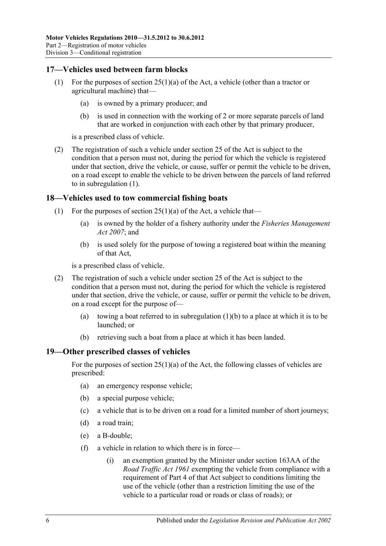# <span id="page-15-3"></span><span id="page-15-0"></span>**17—Vehicles used between farm blocks**

- (1) For the purposes of section 25(1)(a) of the Act, a vehicle (other than a tractor or agricultural machine) that—
	- (a) is owned by a primary producer; and
	- (b) is used in connection with the working of 2 or more separate parcels of land that are worked in conjunction with each other by that primary producer,

is a prescribed class of vehicle.

(2) The registration of such a vehicle under section 25 of the Act is subject to the condition that a person must not, during the period for which the vehicle is registered under that section, drive the vehicle, or cause, suffer or permit the vehicle to be driven, on a road except to enable the vehicle to be driven between the parcels of land referred to in [subregulation](#page-15-3) (1).

#### <span id="page-15-1"></span>**18—Vehicles used to tow commercial fishing boats**

- <span id="page-15-4"></span>(1) For the purposes of section  $25(1)(a)$  of the Act, a vehicle that—
	- (a) is owned by the holder of a fishery authority under the *[Fisheries Management](http://www.legislation.sa.gov.au/index.aspx?action=legref&type=act&legtitle=Fisheries%20Management%20Act%202007)  Act [2007](http://www.legislation.sa.gov.au/index.aspx?action=legref&type=act&legtitle=Fisheries%20Management%20Act%202007)*; and
	- (b) is used solely for the purpose of towing a registered boat within the meaning of that Act,

is a prescribed class of vehicle.

- (2) The registration of such a vehicle under section 25 of the Act is subject to the condition that a person must not, during the period for which the vehicle is registered under that section, drive the vehicle, or cause, suffer or permit the vehicle to be driven, on a road except for the purpose of—
	- (a) towing a boat referred to in [subregulation](#page-15-4) (1)(b) to a place at which it is to be launched; or
	- (b) retrieving such a boat from a place at which it has been landed.

# <span id="page-15-2"></span>**19—Other prescribed classes of vehicles**

For the purposes of section  $25(1)(a)$  of the Act, the following classes of vehicles are prescribed:

- (a) an emergency response vehicle;
- (b) a special purpose vehicle;
- (c) a vehicle that is to be driven on a road for a limited number of short journeys;
- (d) a road train;
- (e) a B-double;
- <span id="page-15-5"></span>(f) a vehicle in relation to which there is in force—
	- (i) an exemption granted by the Minister under section 163AA of the *[Road Traffic Act](http://www.legislation.sa.gov.au/index.aspx?action=legref&type=act&legtitle=Road%20Traffic%20Act%201961) 1961* exempting the vehicle from compliance with a requirement of Part 4 of that Act subject to conditions limiting the use of the vehicle (other than a restriction limiting the use of the vehicle to a particular road or roads or class of roads); or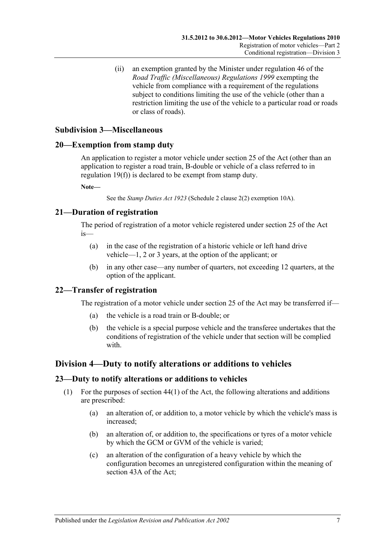(ii) an exemption granted by the Minister under regulation 46 of the *[Road Traffic \(Miscellaneous\) Regulations](http://www.legislation.sa.gov.au/index.aspx?action=legref&type=subordleg&legtitle=Road%20Traffic%20(Miscellaneous)%20Regulations%201999) 1999* exempting the vehicle from compliance with a requirement of the regulations subject to conditions limiting the use of the vehicle (other than a restriction limiting the use of the vehicle to a particular road or roads or class of roads).

# <span id="page-16-0"></span>**Subdivision 3—Miscellaneous**

#### <span id="page-16-1"></span>**20—Exemption from stamp duty**

An application to register a motor vehicle under section 25 of the Act (other than an application to register a road train, B-double or vehicle of a class referred to in [regulation](#page-15-5) 19(f)) is declared to be exempt from stamp duty.

**Note—**

See the *[Stamp Duties Act](http://www.legislation.sa.gov.au/index.aspx?action=legref&type=act&legtitle=Stamp%20Duties%20Act%201923) 1923* (Schedule 2 clause 2(2) exemption 10A).

# <span id="page-16-2"></span>**21—Duration of registration**

The period of registration of a motor vehicle registered under section 25 of the Act is—

- (a) in the case of the registration of a historic vehicle or left hand drive vehicle—1, 2 or 3 years, at the option of the applicant; or
- (b) in any other case—any number of quarters, not exceeding 12 quarters, at the option of the applicant.

# <span id="page-16-3"></span>**22—Transfer of registration**

The registration of a motor vehicle under section 25 of the Act may be transferred if—

- (a) the vehicle is a road train or B-double; or
- (b) the vehicle is a special purpose vehicle and the transferee undertakes that the conditions of registration of the vehicle under that section will be complied with.

# <span id="page-16-4"></span>**Division 4—Duty to notify alterations or additions to vehicles**

#### <span id="page-16-5"></span>**23—Duty to notify alterations or additions to vehicles**

- (1) For the purposes of section 44(1) of the Act, the following alterations and additions are prescribed:
	- (a) an alteration of, or addition to, a motor vehicle by which the vehicle's mass is increased;
	- (b) an alteration of, or addition to, the specifications or tyres of a motor vehicle by which the GCM or GVM of the vehicle is varied;
	- (c) an alteration of the configuration of a heavy vehicle by which the configuration becomes an unregistered configuration within the meaning of section 43A of the Act;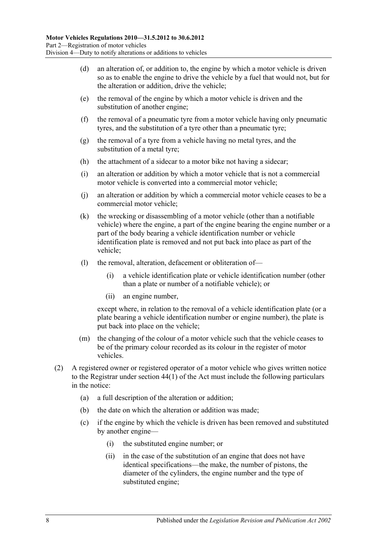- (d) an alteration of, or addition to, the engine by which a motor vehicle is driven so as to enable the engine to drive the vehicle by a fuel that would not, but for the alteration or addition, drive the vehicle;
- (e) the removal of the engine by which a motor vehicle is driven and the substitution of another engine;
- (f) the removal of a pneumatic tyre from a motor vehicle having only pneumatic tyres, and the substitution of a tyre other than a pneumatic tyre;
- (g) the removal of a tyre from a vehicle having no metal tyres, and the substitution of a metal tyre;
- (h) the attachment of a sidecar to a motor bike not having a sidecar;
- (i) an alteration or addition by which a motor vehicle that is not a commercial motor vehicle is converted into a commercial motor vehicle;
- (j) an alteration or addition by which a commercial motor vehicle ceases to be a commercial motor vehicle;
- (k) the wrecking or disassembling of a motor vehicle (other than a notifiable vehicle) where the engine, a part of the engine bearing the engine number or a part of the body bearing a vehicle identification number or vehicle identification plate is removed and not put back into place as part of the vehicle;
- (l) the removal, alteration, defacement or obliteration of—
	- (i) a vehicle identification plate or vehicle identification number (other than a plate or number of a notifiable vehicle); or
	- (ii) an engine number,

except where, in relation to the removal of a vehicle identification plate (or a plate bearing a vehicle identification number or engine number), the plate is put back into place on the vehicle;

- (m) the changing of the colour of a motor vehicle such that the vehicle ceases to be of the primary colour recorded as its colour in the register of motor vehicles.
- (2) A registered owner or registered operator of a motor vehicle who gives written notice to the Registrar under section 44(1) of the Act must include the following particulars in the notice:
	- (a) a full description of the alteration or addition;
	- (b) the date on which the alteration or addition was made;
	- (c) if the engine by which the vehicle is driven has been removed and substituted by another engine—
		- (i) the substituted engine number; or
		- (ii) in the case of the substitution of an engine that does not have identical specifications—the make, the number of pistons, the diameter of the cylinders, the engine number and the type of substituted engine;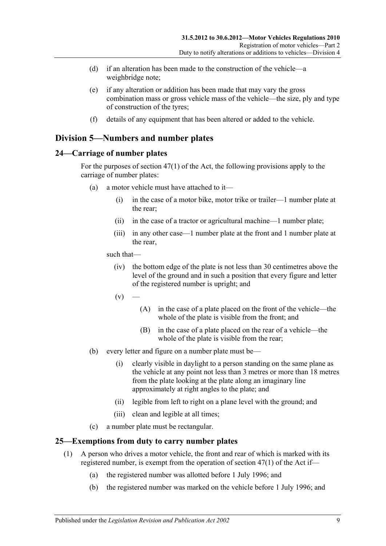- (d) if an alteration has been made to the construction of the vehicle—a weighbridge note;
- (e) if any alteration or addition has been made that may vary the gross combination mass or gross vehicle mass of the vehicle—the size, ply and type of construction of the tyres;
- (f) details of any equipment that has been altered or added to the vehicle.

# <span id="page-18-0"></span>**Division 5—Numbers and number plates**

# <span id="page-18-1"></span>**24—Carriage of number plates**

For the purposes of section 47(1) of the Act, the following provisions apply to the carriage of number plates:

- (a) a motor vehicle must have attached to it—
	- (i) in the case of a motor bike, motor trike or trailer—1 number plate at the rear;
	- (ii) in the case of a tractor or agricultural machine—1 number plate;
	- (iii) in any other case—1 number plate at the front and 1 number plate at the rear,

such that—

- (iv) the bottom edge of the plate is not less than 30 centimetres above the level of the ground and in such a position that every figure and letter of the registered number is upright; and
- $(v)$ 
	- (A) in the case of a plate placed on the front of the vehicle—the whole of the plate is visible from the front; and
	- (B) in the case of a plate placed on the rear of a vehicle—the whole of the plate is visible from the rear;
- (b) every letter and figure on a number plate must be—
	- (i) clearly visible in daylight to a person standing on the same plane as the vehicle at any point not less than 3 metres or more than 18 metres from the plate looking at the plate along an imaginary line approximately at right angles to the plate; and
	- (ii) legible from left to right on a plane level with the ground; and
	- (iii) clean and legible at all times;
- (c) a number plate must be rectangular.

# <span id="page-18-2"></span>**25—Exemptions from duty to carry number plates**

- (1) A person who drives a motor vehicle, the front and rear of which is marked with its registered number, is exempt from the operation of section 47(1) of the Act if—
	- (a) the registered number was allotted before 1 July 1996; and
	- (b) the registered number was marked on the vehicle before 1 July 1996; and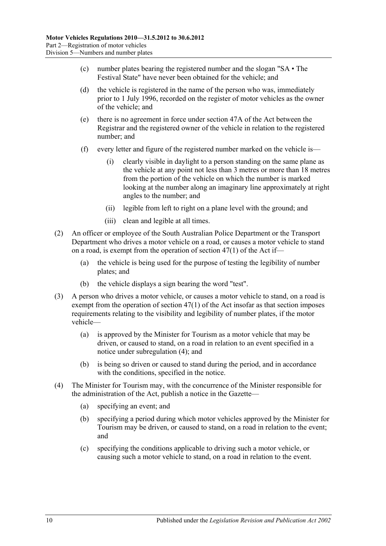- (c) number plates bearing the registered number and the slogan "SA The Festival State" have never been obtained for the vehicle; and
- (d) the vehicle is registered in the name of the person who was, immediately prior to 1 July 1996, recorded on the register of motor vehicles as the owner of the vehicle; and
- (e) there is no agreement in force under section 47A of the Act between the Registrar and the registered owner of the vehicle in relation to the registered number; and
- (f) every letter and figure of the registered number marked on the vehicle is—
	- (i) clearly visible in daylight to a person standing on the same plane as the vehicle at any point not less than 3 metres or more than 18 metres from the portion of the vehicle on which the number is marked looking at the number along an imaginary line approximately at right angles to the number; and
	- (ii) legible from left to right on a plane level with the ground; and
	- (iii) clean and legible at all times.
- (2) An officer or employee of the South Australian Police Department or the Transport Department who drives a motor vehicle on a road, or causes a motor vehicle to stand on a road, is exempt from the operation of section 47(1) of the Act if—
	- (a) the vehicle is being used for the purpose of testing the legibility of number plates; and
	- (b) the vehicle displays a sign bearing the word "test".
- <span id="page-19-1"></span>(3) A person who drives a motor vehicle, or causes a motor vehicle to stand, on a road is exempt from the operation of section 47(1) of the Act insofar as that section imposes requirements relating to the visibility and legibility of number plates, if the motor vehicle—
	- (a) is approved by the Minister for Tourism as a motor vehicle that may be driven, or caused to stand, on a road in relation to an event specified in a notice under [subregulation](#page-19-0) (4); and
	- (b) is being so driven or caused to stand during the period, and in accordance with the conditions, specified in the notice.
- <span id="page-19-0"></span>(4) The Minister for Tourism may, with the concurrence of the Minister responsible for the administration of the Act, publish a notice in the Gazette—
	- (a) specifying an event; and
	- (b) specifying a period during which motor vehicles approved by the Minister for Tourism may be driven, or caused to stand, on a road in relation to the event; and
	- (c) specifying the conditions applicable to driving such a motor vehicle, or causing such a motor vehicle to stand, on a road in relation to the event.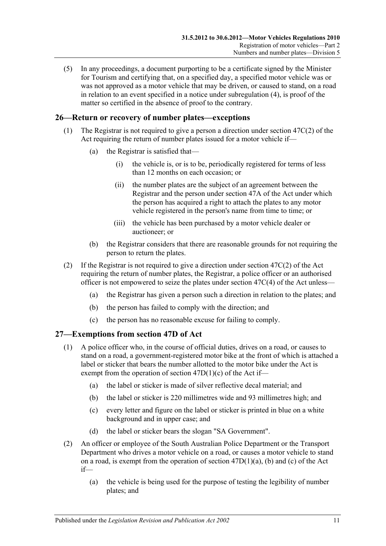(5) In any proceedings, a document purporting to be a certificate signed by the Minister for Tourism and certifying that, on a specified day, a specified motor vehicle was or was not approved as a motor vehicle that may be driven, or caused to stand, on a road in relation to an event specified in a notice under [subregulation](#page-19-0) (4), is proof of the matter so certified in the absence of proof to the contrary.

# <span id="page-20-0"></span>**26—Return or recovery of number plates—exceptions**

- (1) The Registrar is not required to give a person a direction under section 47C(2) of the Act requiring the return of number plates issued for a motor vehicle if—
	- (a) the Registrar is satisfied that—
		- (i) the vehicle is, or is to be, periodically registered for terms of less than 12 months on each occasion; or
		- (ii) the number plates are the subject of an agreement between the Registrar and the person under section 47A of the Act under which the person has acquired a right to attach the plates to any motor vehicle registered in the person's name from time to time; or
		- (iii) the vehicle has been purchased by a motor vehicle dealer or auctioneer; or
	- (b) the Registrar considers that there are reasonable grounds for not requiring the person to return the plates.
- (2) If the Registrar is not required to give a direction under section 47C(2) of the Act requiring the return of number plates, the Registrar, a police officer or an authorised officer is not empowered to seize the plates under section 47C(4) of the Act unless—
	- (a) the Registrar has given a person such a direction in relation to the plates; and
	- (b) the person has failed to comply with the direction; and
	- (c) the person has no reasonable excuse for failing to comply.

# <span id="page-20-1"></span>**27—Exemptions from section 47D of Act**

- (1) A police officer who, in the course of official duties, drives on a road, or causes to stand on a road, a government-registered motor bike at the front of which is attached a label or sticker that bears the number allotted to the motor bike under the Act is exempt from the operation of section 47D(1)(c) of the Act if—
	- (a) the label or sticker is made of silver reflective decal material; and
	- (b) the label or sticker is 220 millimetres wide and 93 millimetres high; and
	- (c) every letter and figure on the label or sticker is printed in blue on a white background and in upper case; and
	- (d) the label or sticker bears the slogan "SA Government".
- (2) An officer or employee of the South Australian Police Department or the Transport Department who drives a motor vehicle on a road, or causes a motor vehicle to stand on a road, is exempt from the operation of section 47D(1)(a), (b) and (c) of the Act if—
	- (a) the vehicle is being used for the purpose of testing the legibility of number plates; and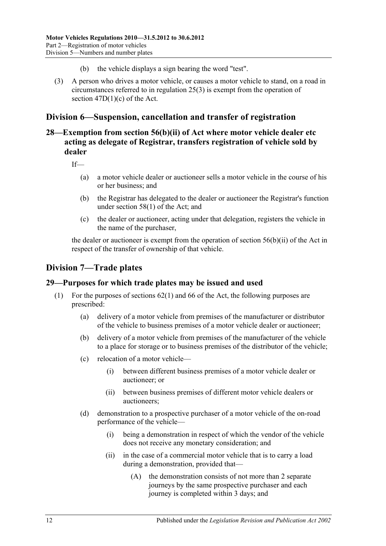- (b) the vehicle displays a sign bearing the word "test".
- (3) A person who drives a motor vehicle, or causes a motor vehicle to stand, on a road in circumstances referred to in [regulation](#page-19-1) 25(3) is exempt from the operation of section 47D(1)(c) of the Act.

# <span id="page-21-0"></span>**Division 6—Suspension, cancellation and transfer of registration**

# <span id="page-21-1"></span>**28—Exemption from section 56(b)(ii) of Act where motor vehicle dealer etc acting as delegate of Registrar, transfers registration of vehicle sold by dealer**

If—

- (a) a motor vehicle dealer or auctioneer sells a motor vehicle in the course of his or her business; and
- (b) the Registrar has delegated to the dealer or auctioneer the Registrar's function under section 58(1) of the Act; and
- (c) the dealer or auctioneer, acting under that delegation, registers the vehicle in the name of the purchaser,

the dealer or auctioneer is exempt from the operation of section 56(b)(ii) of the Act in respect of the transfer of ownership of that vehicle.

# <span id="page-21-2"></span>**Division 7—Trade plates**

# <span id="page-21-3"></span>**29—Purposes for which trade plates may be issued and used**

- (1) For the purposes of sections 62(1) and 66 of the Act, the following purposes are prescribed:
	- (a) delivery of a motor vehicle from premises of the manufacturer or distributor of the vehicle to business premises of a motor vehicle dealer or auctioneer;
	- (b) delivery of a motor vehicle from premises of the manufacturer of the vehicle to a place for storage or to business premises of the distributor of the vehicle;
	- (c) relocation of a motor vehicle—
		- (i) between different business premises of a motor vehicle dealer or auctioneer; or
		- (ii) between business premises of different motor vehicle dealers or auctioneers;
	- (d) demonstration to a prospective purchaser of a motor vehicle of the on-road performance of the vehicle—
		- (i) being a demonstration in respect of which the vendor of the vehicle does not receive any monetary consideration; and
		- (ii) in the case of a commercial motor vehicle that is to carry a load during a demonstration, provided that—
			- (A) the demonstration consists of not more than 2 separate journeys by the same prospective purchaser and each journey is completed within 3 days; and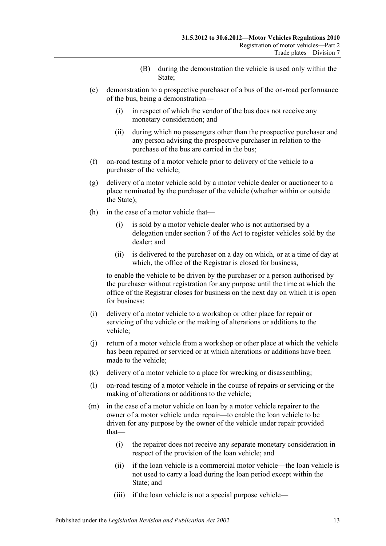- (B) during the demonstration the vehicle is used only within the State;
- (e) demonstration to a prospective purchaser of a bus of the on-road performance of the bus, being a demonstration—
	- (i) in respect of which the vendor of the bus does not receive any monetary consideration; and
	- (ii) during which no passengers other than the prospective purchaser and any person advising the prospective purchaser in relation to the purchase of the bus are carried in the bus;
- (f) on-road testing of a motor vehicle prior to delivery of the vehicle to a purchaser of the vehicle;
- (g) delivery of a motor vehicle sold by a motor vehicle dealer or auctioneer to a place nominated by the purchaser of the vehicle (whether within or outside the State);
- (h) in the case of a motor vehicle that—
	- (i) is sold by a motor vehicle dealer who is not authorised by a delegation under section 7 of the Act to register vehicles sold by the dealer; and
	- (ii) is delivered to the purchaser on a day on which, or at a time of day at which, the office of the Registrar is closed for business,

to enable the vehicle to be driven by the purchaser or a person authorised by the purchaser without registration for any purpose until the time at which the office of the Registrar closes for business on the next day on which it is open for business;

- (i) delivery of a motor vehicle to a workshop or other place for repair or servicing of the vehicle or the making of alterations or additions to the vehicle;
- (j) return of a motor vehicle from a workshop or other place at which the vehicle has been repaired or serviced or at which alterations or additions have been made to the vehicle;
- (k) delivery of a motor vehicle to a place for wrecking or disassembling;
- (l) on-road testing of a motor vehicle in the course of repairs or servicing or the making of alterations or additions to the vehicle;
- (m) in the case of a motor vehicle on loan by a motor vehicle repairer to the owner of a motor vehicle under repair—to enable the loan vehicle to be driven for any purpose by the owner of the vehicle under repair provided that—
	- (i) the repairer does not receive any separate monetary consideration in respect of the provision of the loan vehicle; and
	- (ii) if the loan vehicle is a commercial motor vehicle—the loan vehicle is not used to carry a load during the loan period except within the State; and
	- (iii) if the loan vehicle is not a special purpose vehicle—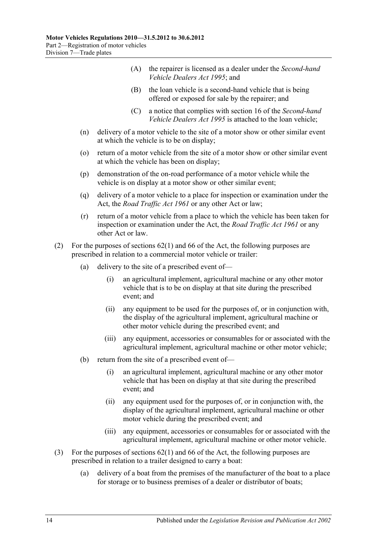- (A) the repairer is licensed as a dealer under the *[Second-hand](http://www.legislation.sa.gov.au/index.aspx?action=legref&type=act&legtitle=Second-hand%20Vehicle%20Dealers%20Act%201995)  [Vehicle Dealers Act](http://www.legislation.sa.gov.au/index.aspx?action=legref&type=act&legtitle=Second-hand%20Vehicle%20Dealers%20Act%201995) 1995*; and
- (B) the loan vehicle is a second-hand vehicle that is being offered or exposed for sale by the repairer; and
- (C) a notice that complies with section 16 of the *[Second-hand](http://www.legislation.sa.gov.au/index.aspx?action=legref&type=act&legtitle=Second-hand%20Vehicle%20Dealers%20Act%201995)  [Vehicle Dealers Act](http://www.legislation.sa.gov.au/index.aspx?action=legref&type=act&legtitle=Second-hand%20Vehicle%20Dealers%20Act%201995) 1995* is attached to the loan vehicle;
- (n) delivery of a motor vehicle to the site of a motor show or other similar event at which the vehicle is to be on display;
- (o) return of a motor vehicle from the site of a motor show or other similar event at which the vehicle has been on display;
- (p) demonstration of the on-road performance of a motor vehicle while the vehicle is on display at a motor show or other similar event;
- (q) delivery of a motor vehicle to a place for inspection or examination under the Act, the *[Road Traffic Act](http://www.legislation.sa.gov.au/index.aspx?action=legref&type=act&legtitle=Road%20Traffic%20Act%201961) 1961* or any other Act or law;
- (r) return of a motor vehicle from a place to which the vehicle has been taken for inspection or examination under the Act, the *[Road Traffic Act](http://www.legislation.sa.gov.au/index.aspx?action=legref&type=act&legtitle=Road%20Traffic%20Act%201961) 1961* or any other Act or law.
- (2) For the purposes of sections 62(1) and 66 of the Act, the following purposes are prescribed in relation to a commercial motor vehicle or trailer:
	- (a) delivery to the site of a prescribed event of—
		- (i) an agricultural implement, agricultural machine or any other motor vehicle that is to be on display at that site during the prescribed event; and
		- (ii) any equipment to be used for the purposes of, or in conjunction with, the display of the agricultural implement, agricultural machine or other motor vehicle during the prescribed event; and
		- (iii) any equipment, accessories or consumables for or associated with the agricultural implement, agricultural machine or other motor vehicle;
	- (b) return from the site of a prescribed event of—
		- (i) an agricultural implement, agricultural machine or any other motor vehicle that has been on display at that site during the prescribed event; and
		- (ii) any equipment used for the purposes of, or in conjunction with, the display of the agricultural implement, agricultural machine or other motor vehicle during the prescribed event; and
		- (iii) any equipment, accessories or consumables for or associated with the agricultural implement, agricultural machine or other motor vehicle.
- (3) For the purposes of sections 62(1) and 66 of the Act, the following purposes are prescribed in relation to a trailer designed to carry a boat:
	- (a) delivery of a boat from the premises of the manufacturer of the boat to a place for storage or to business premises of a dealer or distributor of boats;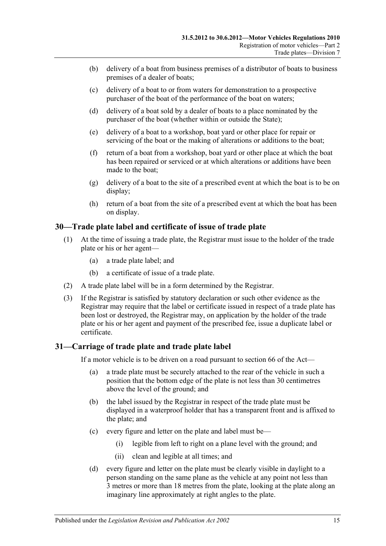- (b) delivery of a boat from business premises of a distributor of boats to business premises of a dealer of boats;
- (c) delivery of a boat to or from waters for demonstration to a prospective purchaser of the boat of the performance of the boat on waters;
- (d) delivery of a boat sold by a dealer of boats to a place nominated by the purchaser of the boat (whether within or outside the State);
- (e) delivery of a boat to a workshop, boat yard or other place for repair or servicing of the boat or the making of alterations or additions to the boat;
- (f) return of a boat from a workshop, boat yard or other place at which the boat has been repaired or serviced or at which alterations or additions have been made to the boat;
- (g) delivery of a boat to the site of a prescribed event at which the boat is to be on display;
- (h) return of a boat from the site of a prescribed event at which the boat has been on display.

# <span id="page-24-0"></span>**30—Trade plate label and certificate of issue of trade plate**

- (1) At the time of issuing a trade plate, the Registrar must issue to the holder of the trade plate or his or her agent—
	- (a) a trade plate label; and
	- (b) a certificate of issue of a trade plate.
- (2) A trade plate label will be in a form determined by the Registrar.
- (3) If the Registrar is satisfied by statutory declaration or such other evidence as the Registrar may require that the label or certificate issued in respect of a trade plate has been lost or destroyed, the Registrar may, on application by the holder of the trade plate or his or her agent and payment of the prescribed fee, issue a duplicate label or certificate.

# <span id="page-24-1"></span>**31—Carriage of trade plate and trade plate label**

If a motor vehicle is to be driven on a road pursuant to section 66 of the Act—

- (a) a trade plate must be securely attached to the rear of the vehicle in such a position that the bottom edge of the plate is not less than 30 centimetres above the level of the ground; and
- (b) the label issued by the Registrar in respect of the trade plate must be displayed in a waterproof holder that has a transparent front and is affixed to the plate; and
- (c) every figure and letter on the plate and label must be—
	- (i) legible from left to right on a plane level with the ground; and
	- (ii) clean and legible at all times; and
- (d) every figure and letter on the plate must be clearly visible in daylight to a person standing on the same plane as the vehicle at any point not less than 3 metres or more than 18 metres from the plate, looking at the plate along an imaginary line approximately at right angles to the plate.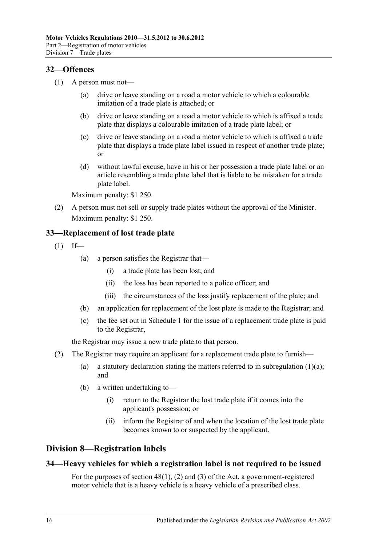# <span id="page-25-0"></span>**32—Offences**

- (1) A person must not—
	- (a) drive or leave standing on a road a motor vehicle to which a colourable imitation of a trade plate is attached; or
	- (b) drive or leave standing on a road a motor vehicle to which is affixed a trade plate that displays a colourable imitation of a trade plate label; or
	- (c) drive or leave standing on a road a motor vehicle to which is affixed a trade plate that displays a trade plate label issued in respect of another trade plate; or
	- (d) without lawful excuse, have in his or her possession a trade plate label or an article resembling a trade plate label that is liable to be mistaken for a trade plate label.

Maximum penalty: \$1 250.

(2) A person must not sell or supply trade plates without the approval of the Minister. Maximum penalty: \$1 250.

# <span id="page-25-1"></span>**33—Replacement of lost trade plate**

<span id="page-25-4"></span> $(1)$  If—

- (a) a person satisfies the Registrar that—
	- (i) a trade plate has been lost; and
	- (ii) the loss has been reported to a police officer; and
	- (iii) the circumstances of the loss justify replacement of the plate; and
- (b) an application for replacement of the lost plate is made to the Registrar; and
- (c) the fee set out in [Schedule 1](#page-68-0) for the issue of a replacement trade plate is paid to the Registrar,

the Registrar may issue a new trade plate to that person.

- (2) The Registrar may require an applicant for a replacement trade plate to furnish
	- (a) a statutory declaration stating the matters referred to in [subregulation](#page-25-4)  $(1)(a)$ ; and
	- (b) a written undertaking to—
		- (i) return to the Registrar the lost trade plate if it comes into the applicant's possession; or
		- (ii) inform the Registrar of and when the location of the lost trade plate becomes known to or suspected by the applicant.

# <span id="page-25-2"></span>**Division 8—Registration labels**

# <span id="page-25-3"></span>**34—Heavy vehicles for which a registration label is not required to be issued**

For the purposes of section 48(1), (2) and (3) of the Act, a government-registered motor vehicle that is a heavy vehicle is a heavy vehicle of a prescribed class.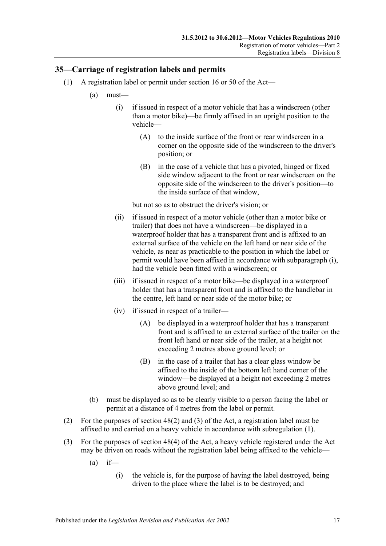# <span id="page-26-2"></span><span id="page-26-0"></span>**35—Carriage of registration labels and permits**

- <span id="page-26-1"></span>(1) A registration label or permit under section 16 or 50 of the Act—
	- (a) must—
		- (i) if issued in respect of a motor vehicle that has a windscreen (other than a motor bike)—be firmly affixed in an upright position to the vehicle—
			- (A) to the inside surface of the front or rear windscreen in a corner on the opposite side of the windscreen to the driver's position; or
			- (B) in the case of a vehicle that has a pivoted, hinged or fixed side window adjacent to the front or rear windscreen on the opposite side of the windscreen to the driver's position—to the inside surface of that window,

but not so as to obstruct the driver's vision; or

- (ii) if issued in respect of a motor vehicle (other than a motor bike or trailer) that does not have a windscreen—be displayed in a waterproof holder that has a transparent front and is affixed to an external surface of the vehicle on the left hand or near side of the vehicle, as near as practicable to the position in which the label or permit would have been affixed in accordance with [subparagraph](#page-26-1) (i), had the vehicle been fitted with a windscreen; or
- (iii) if issued in respect of a motor bike—be displayed in a waterproof holder that has a transparent front and is affixed to the handlebar in the centre, left hand or near side of the motor bike; or
- (iv) if issued in respect of a trailer—
	- (A) be displayed in a waterproof holder that has a transparent front and is affixed to an external surface of the trailer on the front left hand or near side of the trailer, at a height not exceeding 2 metres above ground level; or
	- (B) in the case of a trailer that has a clear glass window be affixed to the inside of the bottom left hand corner of the window—be displayed at a height not exceeding 2 metres above ground level; and
- (b) must be displayed so as to be clearly visible to a person facing the label or permit at a distance of 4 metres from the label or permit.
- (2) For the purposes of section 48(2) and (3) of the Act, a registration label must be affixed to and carried on a heavy vehicle in accordance with [subregulation](#page-26-2) (1).
- (3) For the purposes of section 48(4) of the Act, a heavy vehicle registered under the Act may be driven on roads without the registration label being affixed to the vehicle—
	- $(a)$  if—
		- (i) the vehicle is, for the purpose of having the label destroyed, being driven to the place where the label is to be destroyed; and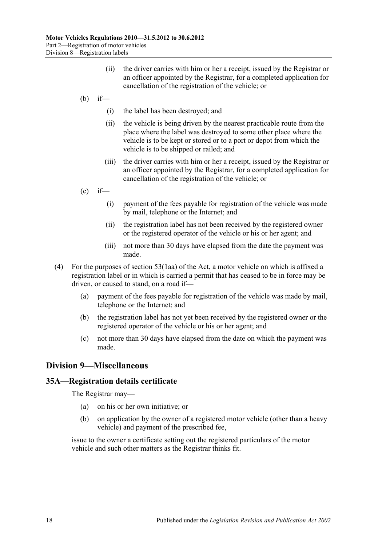- (ii) the driver carries with him or her a receipt, issued by the Registrar or an officer appointed by the Registrar, for a completed application for cancellation of the registration of the vehicle; or
- (b) if—
	- (i) the label has been destroyed; and
	- (ii) the vehicle is being driven by the nearest practicable route from the place where the label was destroyed to some other place where the vehicle is to be kept or stored or to a port or depot from which the vehicle is to be shipped or railed; and
	- (iii) the driver carries with him or her a receipt, issued by the Registrar or an officer appointed by the Registrar, for a completed application for cancellation of the registration of the vehicle; or
- $\int_{c}^{c}$  if
	- (i) payment of the fees payable for registration of the vehicle was made by mail, telephone or the Internet; and
	- (ii) the registration label has not been received by the registered owner or the registered operator of the vehicle or his or her agent; and
	- (iii) not more than 30 days have elapsed from the date the payment was made.
- (4) For the purposes of section 53(1aa) of the Act, a motor vehicle on which is affixed a registration label or in which is carried a permit that has ceased to be in force may be driven, or caused to stand, on a road if—
	- (a) payment of the fees payable for registration of the vehicle was made by mail, telephone or the Internet; and
	- (b) the registration label has not yet been received by the registered owner or the registered operator of the vehicle or his or her agent; and
	- (c) not more than 30 days have elapsed from the date on which the payment was made.

# <span id="page-27-0"></span>**Division 9—Miscellaneous**

# <span id="page-27-1"></span>**35A—Registration details certificate**

The Registrar may—

- (a) on his or her own initiative; or
- (b) on application by the owner of a registered motor vehicle (other than a heavy vehicle) and payment of the prescribed fee,

issue to the owner a certificate setting out the registered particulars of the motor vehicle and such other matters as the Registrar thinks fit.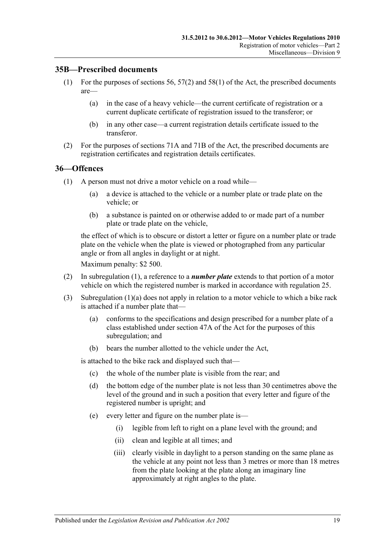# <span id="page-28-0"></span>**35B—Prescribed documents**

- (1) For the purposes of sections 56, 57(2) and 58(1) of the Act, the prescribed documents are—
	- (a) in the case of a heavy vehicle—the current certificate of registration or a current duplicate certificate of registration issued to the transferor; or
	- (b) in any other case—a current registration details certificate issued to the transferor.
- (2) For the purposes of sections 71A and 71B of the Act, the prescribed documents are registration certificates and registration details certificates.

#### <span id="page-28-2"></span><span id="page-28-1"></span>**36—Offences**

- <span id="page-28-3"></span>(1) A person must not drive a motor vehicle on a road while—
	- (a) a device is attached to the vehicle or a number plate or trade plate on the vehicle; or
	- (b) a substance is painted on or otherwise added to or made part of a number plate or trade plate on the vehicle,

the effect of which is to obscure or distort a letter or figure on a number plate or trade plate on the vehicle when the plate is viewed or photographed from any particular angle or from all angles in daylight or at night.

Maximum penalty: \$2 500.

- (2) In [subregulation](#page-28-2) (1), a reference to a *number plate* extends to that portion of a motor vehicle on which the registered number is marked in accordance with [regulation](#page-18-2) 25.
- (3) [Subregulation](#page-28-3) (1)(a) does not apply in relation to a motor vehicle to which a bike rack is attached if a number plate that—
	- (a) conforms to the specifications and design prescribed for a number plate of a class established under section 47A of the Act for the purposes of this subregulation; and
	- (b) bears the number allotted to the vehicle under the Act,

is attached to the bike rack and displayed such that—

- (c) the whole of the number plate is visible from the rear; and
- (d) the bottom edge of the number plate is not less than 30 centimetres above the level of the ground and in such a position that every letter and figure of the registered number is upright; and
- (e) every letter and figure on the number plate is—
	- (i) legible from left to right on a plane level with the ground; and
	- (ii) clean and legible at all times; and
	- (iii) clearly visible in daylight to a person standing on the same plane as the vehicle at any point not less than 3 metres or more than 18 metres from the plate looking at the plate along an imaginary line approximately at right angles to the plate.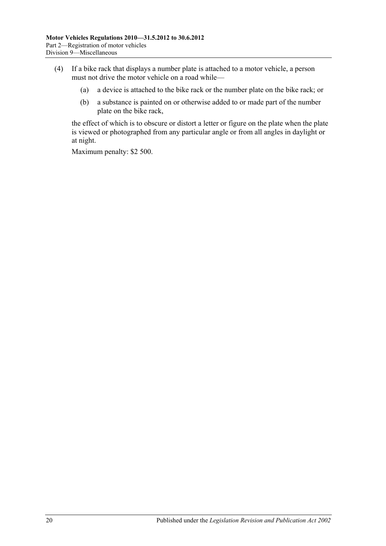- (4) If a bike rack that displays a number plate is attached to a motor vehicle, a person must not drive the motor vehicle on a road while—
	- (a) a device is attached to the bike rack or the number plate on the bike rack; or
	- (b) a substance is painted on or otherwise added to or made part of the number plate on the bike rack,

the effect of which is to obscure or distort a letter or figure on the plate when the plate is viewed or photographed from any particular angle or from all angles in daylight or at night.

Maximum penalty: \$2 500.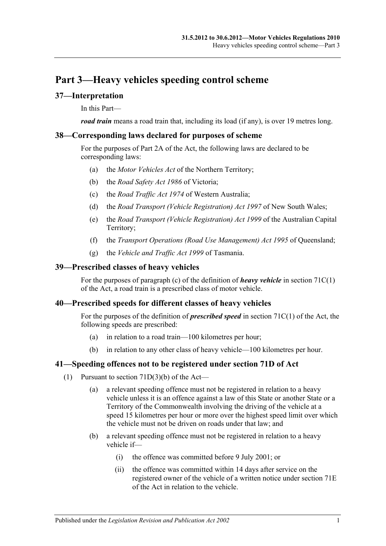# <span id="page-30-0"></span>**Part 3—Heavy vehicles speeding control scheme**

# <span id="page-30-1"></span>**37—Interpretation**

In this Part—

*road train* means a road train that, including its load (if any), is over 19 metres long.

#### <span id="page-30-2"></span>**38—Corresponding laws declared for purposes of scheme**

For the purposes of Part 2A of the Act, the following laws are declared to be corresponding laws:

- (a) the *Motor Vehicles Act* of the Northern Territory;
- (b) the *Road Safety Act 1986* of Victoria;
- (c) the *Road Traffic Act 1974* of Western Australia;
- (d) the *Road Transport (Vehicle Registration) Act 1997* of New South Wales;
- (e) the *Road Transport (Vehicle Registration) Act 1999* of the Australian Capital Territory;
- (f) the *Transport Operations (Road Use Management) Act 1995* of Queensland;
- (g) the *Vehicle and Traffic Act 1999* of Tasmania.

#### <span id="page-30-3"></span>**39—Prescribed classes of heavy vehicles**

For the purposes of paragraph (c) of the definition of *heavy vehicle* in section 71C(1) of the Act, a road train is a prescribed class of motor vehicle.

# <span id="page-30-4"></span>**40—Prescribed speeds for different classes of heavy vehicles**

For the purposes of the definition of *prescribed speed* in section 71C(1) of the Act, the following speeds are prescribed:

- (a) in relation to a road train—100 kilometres per hour;
- (b) in relation to any other class of heavy vehicle—100 kilometres per hour.

# <span id="page-30-5"></span>**41—Speeding offences not to be registered under section 71D of Act**

- (1) Pursuant to section  $71D(3)(b)$  of the Act—
	- (a) a relevant speeding offence must not be registered in relation to a heavy vehicle unless it is an offence against a law of this State or another State or a Territory of the Commonwealth involving the driving of the vehicle at a speed 15 kilometres per hour or more over the highest speed limit over which the vehicle must not be driven on roads under that law; and
	- (b) a relevant speeding offence must not be registered in relation to a heavy vehicle if—
		- (i) the offence was committed before 9 July 2001; or
		- (ii) the offence was committed within 14 days after service on the registered owner of the vehicle of a written notice under section 71E of the Act in relation to the vehicle.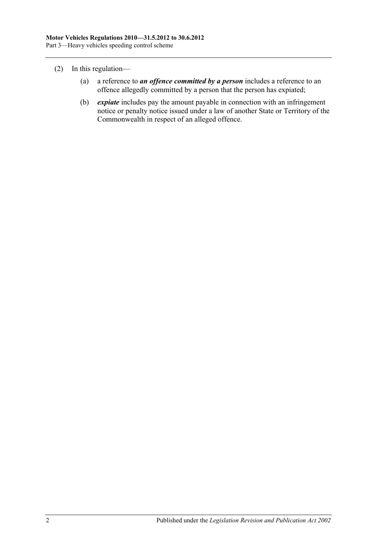- (2) In this regulation—
	- (a) a reference to *an offence committed by a person* includes a reference to an offence allegedly committed by a person that the person has expiated;
	- (b) *expiate* includes pay the amount payable in connection with an infringement notice or penalty notice issued under a law of another State or Territory of the Commonwealth in respect of an alleged offence.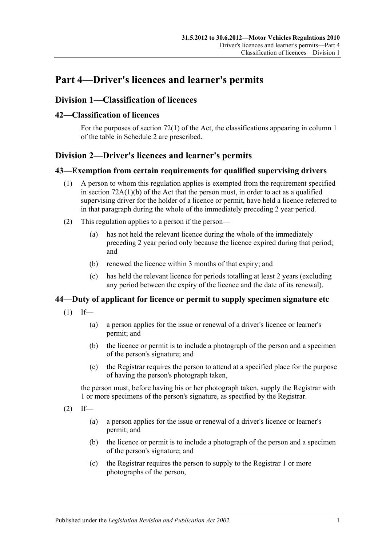# <span id="page-32-0"></span>**Part 4—Driver's licences and learner's permits**

# <span id="page-32-1"></span>**Division 1—Classification of licences**

# <span id="page-32-2"></span>**42—Classification of licences**

For the purposes of section 72(1) of the Act, the classifications appearing in column 1 of the table in [Schedule 2](#page-78-0) are prescribed.

# <span id="page-32-3"></span>**Division 2—Driver's licences and learner's permits**

#### <span id="page-32-4"></span>**43—Exemption from certain requirements for qualified supervising drivers**

- (1) A person to whom this regulation applies is exempted from the requirement specified in section 72A(1)(b) of the Act that the person must, in order to act as a qualified supervising driver for the holder of a licence or permit, have held a licence referred to in that paragraph during the whole of the immediately preceding 2 year period.
- (2) This regulation applies to a person if the person—
	- (a) has not held the relevant licence during the whole of the immediately preceding 2 year period only because the licence expired during that period; and
	- (b) renewed the licence within 3 months of that expiry; and
	- (c) has held the relevant licence for periods totalling at least 2 years (excluding any period between the expiry of the licence and the date of its renewal).

# <span id="page-32-5"></span>**44—Duty of applicant for licence or permit to supply specimen signature etc**

- $(1)$  If—
	- (a) a person applies for the issue or renewal of a driver's licence or learner's permit; and
	- (b) the licence or permit is to include a photograph of the person and a specimen of the person's signature; and
	- (c) the Registrar requires the person to attend at a specified place for the purpose of having the person's photograph taken,

the person must, before having his or her photograph taken, supply the Registrar with 1 or more specimens of the person's signature, as specified by the Registrar.

- $(2)$  If—
	- (a) a person applies for the issue or renewal of a driver's licence or learner's permit; and
	- (b) the licence or permit is to include a photograph of the person and a specimen of the person's signature; and
	- (c) the Registrar requires the person to supply to the Registrar 1 or more photographs of the person,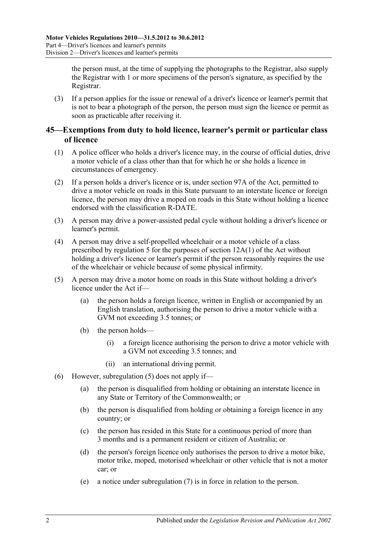the person must, at the time of supplying the photographs to the Registrar, also supply the Registrar with 1 or more specimens of the person's signature, as specified by the Registrar.

(3) If a person applies for the issue or renewal of a driver's licence or learner's permit that is not to bear a photograph of the person, the person must sign the licence or permit as soon as practicable after receiving it.

# <span id="page-33-0"></span>**45—Exemptions from duty to hold licence, learner's permit or particular class of licence**

- (1) A police officer who holds a driver's licence may, in the course of official duties, drive a motor vehicle of a class other than that for which he or she holds a licence in circumstances of emergency.
- (2) If a person holds a driver's licence or is, under section 97A of the Act, permitted to drive a motor vehicle on roads in this State pursuant to an interstate licence or foreign licence, the person may drive a moped on roads in this State without holding a licence endorsed with the classification R-DATE.
- (3) A person may drive a power-assisted pedal cycle without holding a driver's licence or learner's permit.
- (4) A person may drive a self-propelled wheelchair or a motor vehicle of a class prescribed by [regulation](#page-10-2) 5 for the purposes of section 12A(1) of the Act without holding a driver's licence or learner's permit if the person reasonably requires the use of the wheelchair or vehicle because of some physical infirmity.
- <span id="page-33-1"></span>(5) A person may drive a motor home on roads in this State without holding a driver's licence under the Act if—
	- (a) the person holds a foreign licence, written in English or accompanied by an English translation, authorising the person to drive a motor vehicle with a GVM not exceeding 3.5 tonnes; or
	- (b) the person holds—
		- (i) a foreign licence authorising the person to drive a motor vehicle with a GVM not exceeding 3.5 tonnes; and
		- (ii) an international driving permit.
- (6) However, [subregulation](#page-33-1) (5) does not apply if—
	- (a) the person is disqualified from holding or obtaining an interstate licence in any State or Territory of the Commonwealth; or
	- (b) the person is disqualified from holding or obtaining a foreign licence in any country; or
	- (c) the person has resided in this State for a continuous period of more than 3 months and is a permanent resident or citizen of Australia; or
	- (d) the person's foreign licence only authorises the person to drive a motor bike, motor trike, moped, motorised wheelchair or other vehicle that is not a motor car; or
	- (e) a notice under [subregulation](#page-34-1) (7) is in force in relation to the person.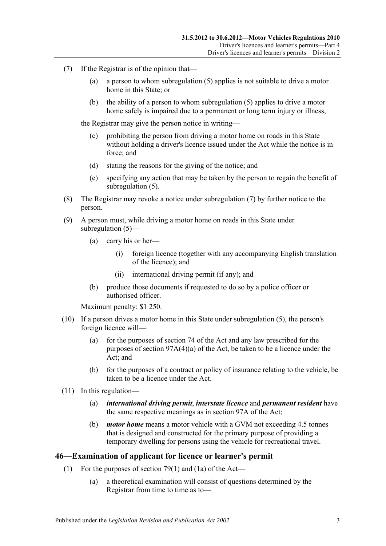- <span id="page-34-1"></span>(7) If the Registrar is of the opinion that—
	- (a) a person to whom [subregulation](#page-33-1) (5) applies is not suitable to drive a motor home in this State; or
	- (b) the ability of a person to whom [subregulation](#page-33-1) (5) applies to drive a motor home safely is impaired due to a permanent or long term injury or illness,

the Registrar may give the person notice in writing—

- (c) prohibiting the person from driving a motor home on roads in this State without holding a driver's licence issued under the Act while the notice is in force; and
- (d) stating the reasons for the giving of the notice; and
- (e) specifying any action that may be taken by the person to regain the benefit of [subregulation](#page-33-1) (5).
- (8) The Registrar may revoke a notice under [subregulation](#page-34-1) (7) by further notice to the person.
- (9) A person must, while driving a motor home on roads in this State under [subregulation](#page-33-1) (5)—
	- (a) carry his or her—
		- (i) foreign licence (together with any accompanying English translation of the licence); and
		- (ii) international driving permit (if any); and
	- (b) produce those documents if requested to do so by a police officer or authorised officer.

Maximum penalty: \$1 250.

- (10) If a person drives a motor home in this State under [subregulation](#page-33-1) (5), the person's foreign licence will—
	- (a) for the purposes of section 74 of the Act and any law prescribed for the purposes of section 97A(4)(a) of the Act, be taken to be a licence under the Act; and
	- (b) for the purposes of a contract or policy of insurance relating to the vehicle, be taken to be a licence under the Act.
- (11) In this regulation—
	- (a) *international driving permit*, *interstate licence* and *permanent resident* have the same respective meanings as in section 97A of the Act;
	- (b) *motor home* means a motor vehicle with a GVM not exceeding 4.5 tonnes that is designed and constructed for the primary purpose of providing a temporary dwelling for persons using the vehicle for recreational travel.

#### <span id="page-34-0"></span>**46—Examination of applicant for licence or learner's permit**

- (1) For the purposes of section 79(1) and (1a) of the Act—
	- (a) a theoretical examination will consist of questions determined by the Registrar from time to time as to—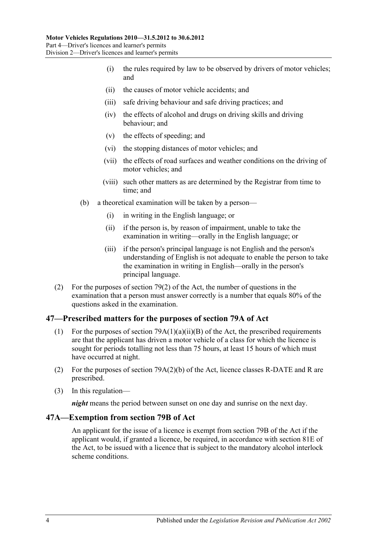- (i) the rules required by law to be observed by drivers of motor vehicles; and
- (ii) the causes of motor vehicle accidents; and
- (iii) safe driving behaviour and safe driving practices; and
- (iv) the effects of alcohol and drugs on driving skills and driving behaviour; and
- (v) the effects of speeding; and
- (vi) the stopping distances of motor vehicles; and
- (vii) the effects of road surfaces and weather conditions on the driving of motor vehicles; and
- (viii) such other matters as are determined by the Registrar from time to time; and
- (b) a theoretical examination will be taken by a person—
	- (i) in writing in the English language; or
	- (ii) if the person is, by reason of impairment, unable to take the examination in writing—orally in the English language; or
	- (iii) if the person's principal language is not English and the person's understanding of English is not adequate to enable the person to take the examination in writing in English—orally in the person's principal language.
- (2) For the purposes of section 79(2) of the Act, the number of questions in the examination that a person must answer correctly is a number that equals 80% of the questions asked in the examination.

# <span id="page-35-0"></span>**47—Prescribed matters for the purposes of section 79A of Act**

- (1) For the purposes of section  $79A(1)(a)(ii)(B)$  of the Act, the prescribed requirements are that the applicant has driven a motor vehicle of a class for which the licence is sought for periods totalling not less than 75 hours, at least 15 hours of which must have occurred at night.
- (2) For the purposes of section 79A(2)(b) of the Act, licence classes R-DATE and R are prescribed.
- (3) In this regulation—

*night* means the period between sunset on one day and sunrise on the next day.

# <span id="page-35-1"></span>**47A—Exemption from section 79B of Act**

An applicant for the issue of a licence is exempt from section 79B of the Act if the applicant would, if granted a licence, be required, in accordance with section 81E of the Act, to be issued with a licence that is subject to the mandatory alcohol interlock scheme conditions.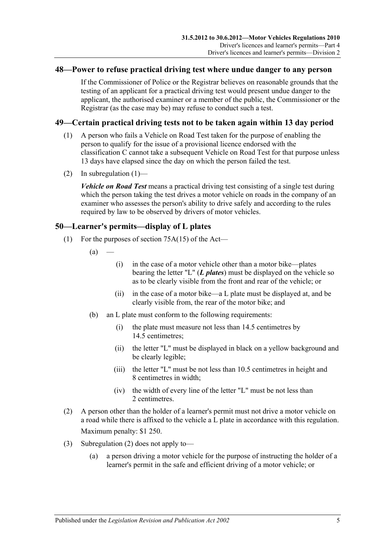### **48—Power to refuse practical driving test where undue danger to any person**

If the Commissioner of Police or the Registrar believes on reasonable grounds that the testing of an applicant for a practical driving test would present undue danger to the applicant, the authorised examiner or a member of the public, the Commissioner or the Registrar (as the case may be) may refuse to conduct such a test.

# <span id="page-36-0"></span>**49—Certain practical driving tests not to be taken again within 13 day period**

- (1) A person who fails a Vehicle on Road Test taken for the purpose of enabling the person to qualify for the issue of a provisional licence endorsed with the classification C cannot take a subsequent Vehicle on Road Test for that purpose unless 13 days have elapsed since the day on which the person failed the test.
- (2) In [subregulation](#page-36-0)  $(1)$ —

*Vehicle on Road Test* means a practical driving test consisting of a single test during which the person taking the test drives a motor vehicle on roads in the company of an examiner who assesses the person's ability to drive safely and according to the rules required by law to be observed by drivers of motor vehicles.

### **50—Learner's permits—display of L plates**

- (1) For the purposes of section 75A(15) of the Act—
	- $(a)$
- (i) in the case of a motor vehicle other than a motor bike—plates bearing the letter "L" (*L plates*) must be displayed on the vehicle so as to be clearly visible from the front and rear of the vehicle; or
- (ii) in the case of a motor bike—a L plate must be displayed at, and be clearly visible from, the rear of the motor bike; and
- (b) an L plate must conform to the following requirements:
	- (i) the plate must measure not less than 14.5 centimetres by 14.5 centimetres;
	- (ii) the letter "L" must be displayed in black on a yellow background and be clearly legible;
	- (iii) the letter "L" must be not less than 10.5 centimetres in height and 8 centimetres in width;
	- (iv) the width of every line of the letter "L" must be not less than 2 centimetres.
- <span id="page-36-1"></span>(2) A person other than the holder of a learner's permit must not drive a motor vehicle on a road while there is affixed to the vehicle a L plate in accordance with this regulation. Maximum penalty: \$1 250.
- (3) [Subregulation](#page-36-1) (2) does not apply to—
	- (a) a person driving a motor vehicle for the purpose of instructing the holder of a learner's permit in the safe and efficient driving of a motor vehicle; or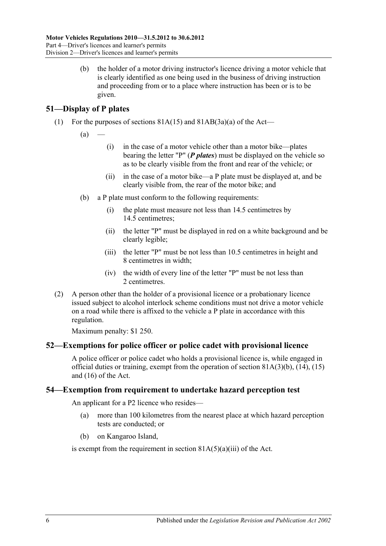(b) the holder of a motor driving instructor's licence driving a motor vehicle that is clearly identified as one being used in the business of driving instruction and proceeding from or to a place where instruction has been or is to be given.

# **51—Display of P plates**

- (1) For the purposes of sections  $81A(15)$  and  $81AB(3a)(a)$  of the Act—
	- $(a)$
- (i) in the case of a motor vehicle other than a motor bike—plates bearing the letter "P" (*P plates*) must be displayed on the vehicle so as to be clearly visible from the front and rear of the vehicle; or
- (ii) in the case of a motor bike—a P plate must be displayed at, and be clearly visible from, the rear of the motor bike; and
- (b) a P plate must conform to the following requirements:
	- (i) the plate must measure not less than 14.5 centimetres by 14.5 centimetres;
	- (ii) the letter "P" must be displayed in red on a white background and be clearly legible;
	- (iii) the letter "P" must be not less than 10.5 centimetres in height and 8 centimetres in width;
	- (iv) the width of every line of the letter "P" must be not less than 2 centimetres.
- (2) A person other than the holder of a provisional licence or a probationary licence issued subject to alcohol interlock scheme conditions must not drive a motor vehicle on a road while there is affixed to the vehicle a P plate in accordance with this regulation.

Maximum penalty: \$1 250.

### **52—Exemptions for police officer or police cadet with provisional licence**

A police officer or police cadet who holds a provisional licence is, while engaged in official duties or training, exempt from the operation of section 81A(3)(b), (14), (15) and (16) of the Act.

### **54—Exemption from requirement to undertake hazard perception test**

An applicant for a P2 licence who resides—

- (a) more than 100 kilometres from the nearest place at which hazard perception tests are conducted; or
- (b) on Kangaroo Island,

is exempt from the requirement in section  $81A(5)(a)(iii)$  of the Act.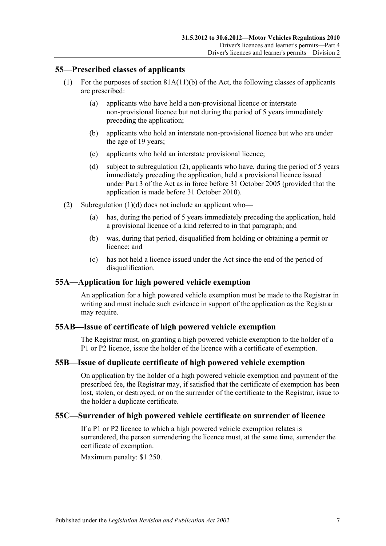### **55—Prescribed classes of applicants**

- (1) For the purposes of section 81A(11)(b) of the Act, the following classes of applicants are prescribed:
	- (a) applicants who have held a non-provisional licence or interstate non-provisional licence but not during the period of 5 years immediately preceding the application;
	- (b) applicants who hold an interstate non-provisional licence but who are under the age of 19 years;
	- (c) applicants who hold an interstate provisional licence;
	- (d) subject to [subregulation](#page-38-0) (2), applicants who have, during the period of 5 years immediately preceding the application, held a provisional licence issued under Part 3 of the Act as in force before 31 October 2005 (provided that the application is made before 31 October 2010).
- <span id="page-38-1"></span><span id="page-38-0"></span>(2) [Subregulation](#page-38-1) (1)(d) does not include an applicant who—
	- (a) has, during the period of 5 years immediately preceding the application, held a provisional licence of a kind referred to in that paragraph; and
	- (b) was, during that period, disqualified from holding or obtaining a permit or licence; and
	- (c) has not held a licence issued under the Act since the end of the period of disqualification.

### **55A—Application for high powered vehicle exemption**

An application for a high powered vehicle exemption must be made to the Registrar in writing and must include such evidence in support of the application as the Registrar may require.

### **55AB—Issue of certificate of high powered vehicle exemption**

The Registrar must, on granting a high powered vehicle exemption to the holder of a P1 or P2 licence, issue the holder of the licence with a certificate of exemption.

### **55B—Issue of duplicate certificate of high powered vehicle exemption**

On application by the holder of a high powered vehicle exemption and payment of the prescribed fee, the Registrar may, if satisfied that the certificate of exemption has been lost, stolen, or destroyed, or on the surrender of the certificate to the Registrar, issue to the holder a duplicate certificate.

### **55C—Surrender of high powered vehicle certificate on surrender of licence**

If a P1 or P2 licence to which a high powered vehicle exemption relates is surrendered, the person surrendering the licence must, at the same time, surrender the certificate of exemption.

Maximum penalty: \$1 250.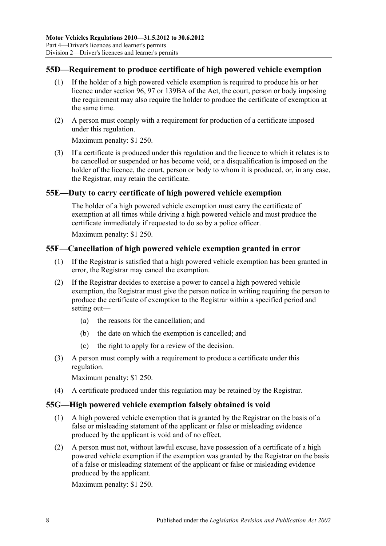# **55D—Requirement to produce certificate of high powered vehicle exemption**

- (1) If the holder of a high powered vehicle exemption is required to produce his or her licence under section 96, 97 or 139BA of the Act, the court, person or body imposing the requirement may also require the holder to produce the certificate of exemption at the same time.
- (2) A person must comply with a requirement for production of a certificate imposed under this regulation.

Maximum penalty: \$1 250.

(3) If a certificate is produced under this regulation and the licence to which it relates is to be cancelled or suspended or has become void, or a disqualification is imposed on the holder of the licence, the court, person or body to whom it is produced, or, in any case, the Registrar, may retain the certificate.

### **55E—Duty to carry certificate of high powered vehicle exemption**

The holder of a high powered vehicle exemption must carry the certificate of exemption at all times while driving a high powered vehicle and must produce the certificate immediately if requested to do so by a police officer.

Maximum penalty: \$1 250.

### **55F—Cancellation of high powered vehicle exemption granted in error**

- (1) If the Registrar is satisfied that a high powered vehicle exemption has been granted in error, the Registrar may cancel the exemption.
- (2) If the Registrar decides to exercise a power to cancel a high powered vehicle exemption, the Registrar must give the person notice in writing requiring the person to produce the certificate of exemption to the Registrar within a specified period and setting out—
	- (a) the reasons for the cancellation; and
	- (b) the date on which the exemption is cancelled; and
	- (c) the right to apply for a review of the decision.
- (3) A person must comply with a requirement to produce a certificate under this regulation.

Maximum penalty: \$1 250.

(4) A certificate produced under this regulation may be retained by the Registrar.

### **55G—High powered vehicle exemption falsely obtained is void**

- (1) A high powered vehicle exemption that is granted by the Registrar on the basis of a false or misleading statement of the applicant or false or misleading evidence produced by the applicant is void and of no effect.
- (2) A person must not, without lawful excuse, have possession of a certificate of a high powered vehicle exemption if the exemption was granted by the Registrar on the basis of a false or misleading statement of the applicant or false or misleading evidence produced by the applicant.

Maximum penalty: \$1 250.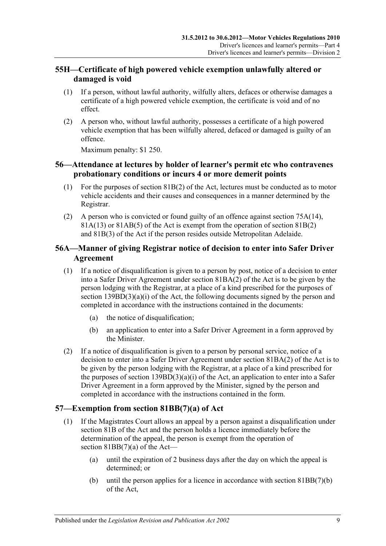# **55H—Certificate of high powered vehicle exemption unlawfully altered or damaged is void**

- (1) If a person, without lawful authority, wilfully alters, defaces or otherwise damages a certificate of a high powered vehicle exemption, the certificate is void and of no effect.
- (2) A person who, without lawful authority, possesses a certificate of a high powered vehicle exemption that has been wilfully altered, defaced or damaged is guilty of an offence.

Maximum penalty: \$1 250.

# **56—Attendance at lectures by holder of learner's permit etc who contravenes probationary conditions or incurs 4 or more demerit points**

- (1) For the purposes of section  $81B(2)$  of the Act, lectures must be conducted as to motor vehicle accidents and their causes and consequences in a manner determined by the Registrar.
- (2) A person who is convicted or found guilty of an offence against section 75A(14),  $81A(13)$  or  $81AB(5)$  of the Act is exempt from the operation of section  $81B(2)$ and 81B(3) of the Act if the person resides outside Metropolitan Adelaide.

# **56A—Manner of giving Registrar notice of decision to enter into Safer Driver Agreement**

- (1) If a notice of disqualification is given to a person by post, notice of a decision to enter into a Safer Driver Agreement under section 81BA(2) of the Act is to be given by the person lodging with the Registrar, at a place of a kind prescribed for the purposes of section  $139BD(3)(a)(i)$  of the Act, the following documents signed by the person and completed in accordance with the instructions contained in the documents:
	- (a) the notice of disqualification;
	- (b) an application to enter into a Safer Driver Agreement in a form approved by the Minister.
- (2) If a notice of disqualification is given to a person by personal service, notice of a decision to enter into a Safer Driver Agreement under section 81BA(2) of the Act is to be given by the person lodging with the Registrar, at a place of a kind prescribed for the purposes of section  $139BD(3)(a)(i)$  of the Act, an application to enter into a Safer Driver Agreement in a form approved by the Minister, signed by the person and completed in accordance with the instructions contained in the form.

# **57—Exemption from section 81BB(7)(a) of Act**

- (1) If the Magistrates Court allows an appeal by a person against a disqualification under section 81B of the Act and the person holds a licence immediately before the determination of the appeal, the person is exempt from the operation of section  $81BB(7)(a)$  of the Act—
	- (a) until the expiration of 2 business days after the day on which the appeal is determined; or
	- (b) until the person applies for a licence in accordance with section 81BB(7)(b) of the Act,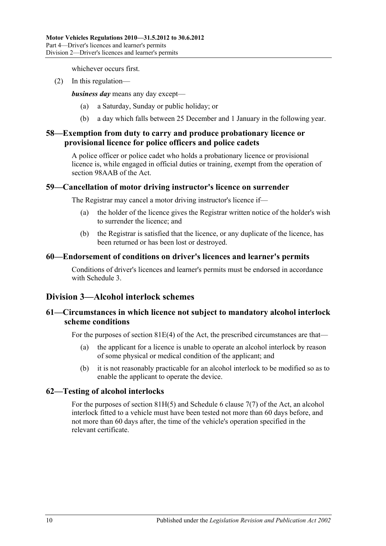whichever occurs first.

(2) In this regulation—

*business day* means any day except—

- (a) a Saturday, Sunday or public holiday; or
- (b) a day which falls between 25 December and 1 January in the following year.

### **58—Exemption from duty to carry and produce probationary licence or provisional licence for police officers and police cadets**

A police officer or police cadet who holds a probationary licence or provisional licence is, while engaged in official duties or training, exempt from the operation of section 98AAB of the Act.

### **59—Cancellation of motor driving instructor's licence on surrender**

The Registrar may cancel a motor driving instructor's licence if—

- (a) the holder of the licence gives the Registrar written notice of the holder's wish to surrender the licence; and
- (b) the Registrar is satisfied that the licence, or any duplicate of the licence, has been returned or has been lost or destroyed.

### **60—Endorsement of conditions on driver's licences and learner's permits**

Conditions of driver's licences and learner's permits must be endorsed in accordance with [Schedule 3.](#page-82-0)

# **Division 3—Alcohol interlock schemes**

# **61—Circumstances in which licence not subject to mandatory alcohol interlock scheme conditions**

For the purposes of section 81E(4) of the Act, the prescribed circumstances are that—

- (a) the applicant for a licence is unable to operate an alcohol interlock by reason of some physical or medical condition of the applicant; and
- (b) it is not reasonably practicable for an alcohol interlock to be modified so as to enable the applicant to operate the device.

### **62—Testing of alcohol interlocks**

For the purposes of section 81H(5) and Schedule 6 clause 7(7) of the Act, an alcohol interlock fitted to a vehicle must have been tested not more than 60 days before, and not more than 60 days after, the time of the vehicle's operation specified in the relevant certificate.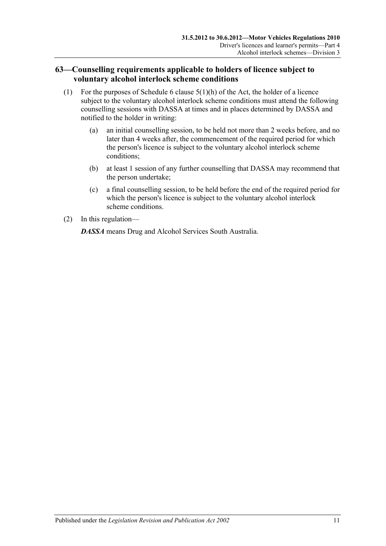# **63—Counselling requirements applicable to holders of licence subject to voluntary alcohol interlock scheme conditions**

- (1) For the purposes of Schedule 6 clause  $5(1)(h)$  of the Act, the holder of a licence subject to the voluntary alcohol interlock scheme conditions must attend the following counselling sessions with DASSA at times and in places determined by DASSA and notified to the holder in writing:
	- (a) an initial counselling session, to be held not more than 2 weeks before, and no later than 4 weeks after, the commencement of the required period for which the person's licence is subject to the voluntary alcohol interlock scheme conditions;
	- (b) at least 1 session of any further counselling that DASSA may recommend that the person undertake;
	- (c) a final counselling session, to be held before the end of the required period for which the person's licence is subject to the voluntary alcohol interlock scheme conditions.
- (2) In this regulation—

*DASSA* means Drug and Alcohol Services South Australia.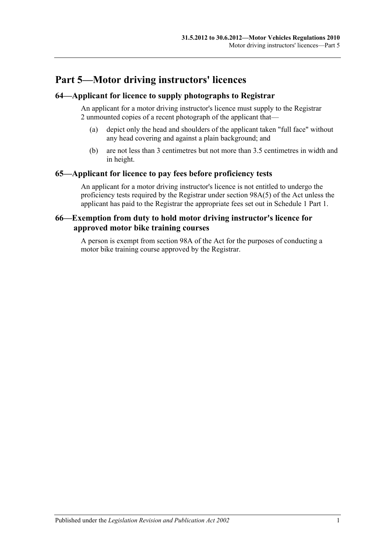# **Part 5—Motor driving instructors' licences**

# **64—Applicant for licence to supply photographs to Registrar**

An applicant for a motor driving instructor's licence must supply to the Registrar 2 unmounted copies of a recent photograph of the applicant that—

- (a) depict only the head and shoulders of the applicant taken "full face" without any head covering and against a plain background; and
- (b) are not less than 3 centimetres but not more than 3.5 centimetres in width and in height.

### **65—Applicant for licence to pay fees before proficiency tests**

An applicant for a motor driving instructor's licence is not entitled to undergo the proficiency tests required by the Registrar under section 98A(5) of the Act unless the applicant has paid to the Registrar the appropriate fees set out in Schedule 1 Part 1.

## **66—Exemption from duty to hold motor driving instructor's licence for approved motor bike training courses**

A person is exempt from section 98A of the Act for the purposes of conducting a motor bike training course approved by the Registrar.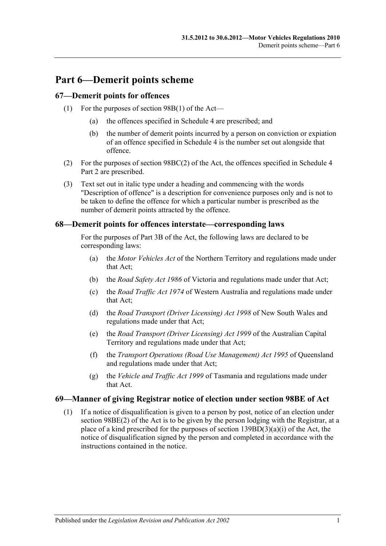# **Part 6—Demerit points scheme**

### **67—Demerit points for offences**

- (1) For the purposes of section 98B(1) of the Act—
	- (a) the offences specified in [Schedule 4](#page-84-0) are prescribed; and
	- (b) the number of demerit points incurred by a person on conviction or expiation of an offence specified in [Schedule 4](#page-84-0) is the number set out alongside that offence.
- (2) For the purposes of section 98BC(2) of the Act, the offences specified in Schedule 4 Part 2 are prescribed.
- (3) Text set out in italic type under a heading and commencing with the words "Description of offence" is a description for convenience purposes only and is not to be taken to define the offence for which a particular number is prescribed as the number of demerit points attracted by the offence.

### **68—Demerit points for offences interstate—corresponding laws**

For the purposes of Part 3B of the Act, the following laws are declared to be corresponding laws:

- (a) the *Motor Vehicles Act* of the Northern Territory and regulations made under that Act;
- (b) the *Road Safety Act 1986* of Victoria and regulations made under that Act;
- (c) the *Road Traffic Act 1974* of Western Australia and regulations made under that Act;
- (d) the *Road Transport (Driver Licensing) Act 1998* of New South Wales and regulations made under that Act;
- (e) the *Road Transport (Driver Licensing) Act 1999* of the Australian Capital Territory and regulations made under that Act;
- (f) the *Transport Operations (Road Use Management) Act 1995* of Queensland and regulations made under that Act;
- (g) the *Vehicle and Traffic Act 1999* of Tasmania and regulations made under that Act.

### **69—Manner of giving Registrar notice of election under section 98BE of Act**

(1) If a notice of disqualification is given to a person by post, notice of an election under section 98BE(2) of the Act is to be given by the person lodging with the Registrar, at a place of a kind prescribed for the purposes of section  $139BD(3)(a)(i)$  of the Act, the notice of disqualification signed by the person and completed in accordance with the instructions contained in the notice.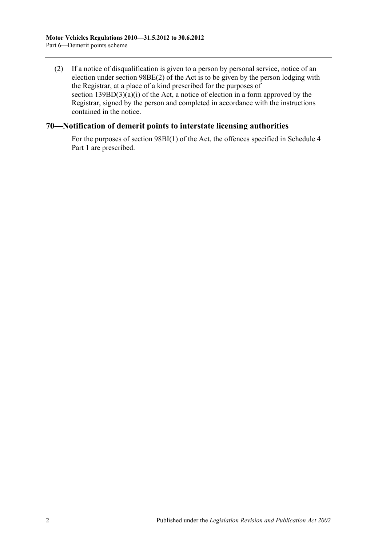(2) If a notice of disqualification is given to a person by personal service, notice of an election under section 98BE(2) of the Act is to be given by the person lodging with the Registrar, at a place of a kind prescribed for the purposes of section  $139BD(3)(a)(i)$  of the Act, a notice of election in a form approved by the Registrar, signed by the person and completed in accordance with the instructions contained in the notice.

### **70—Notification of demerit points to interstate licensing authorities**

For the purposes of section 98BI(1) of the Act, the offences specified in Schedule 4 Part 1 are prescribed.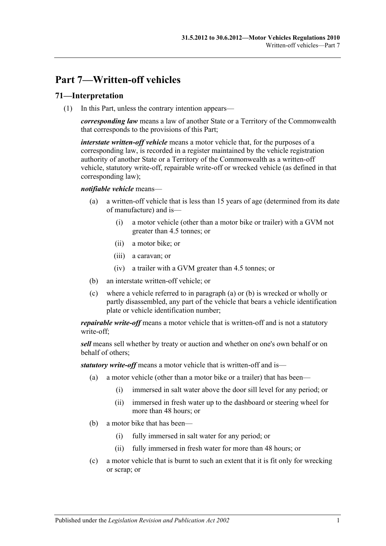# **Part 7—Written-off vehicles**

### **71—Interpretation**

(1) In this Part, unless the contrary intention appears—

*corresponding law* means a law of another State or a Territory of the Commonwealth that corresponds to the provisions of this Part;

*interstate written-off vehicle* means a motor vehicle that, for the purposes of a corresponding law, is recorded in a register maintained by the vehicle registration authority of another State or a Territory of the Commonwealth as a written-off vehicle, statutory write-off, repairable write-off or wrecked vehicle (as defined in that corresponding law);

#### <span id="page-48-0"></span>*notifiable vehicle* means—

- (a) a written-off vehicle that is less than 15 years of age (determined from its date of manufacture) and is—
	- (i) a motor vehicle (other than a motor bike or trailer) with a GVM not greater than 4.5 tonnes; or
	- (ii) a motor bike; or
	- (iii) a caravan; or
	- (iv) a trailer with a GVM greater than 4.5 tonnes; or
- <span id="page-48-1"></span>(b) an interstate written-off vehicle; or
- (c) where a vehicle referred to in [paragraph](#page-48-0) (a) or [\(b\)](#page-48-1) is wrecked or wholly or partly disassembled, any part of the vehicle that bears a vehicle identification plate or vehicle identification number;

*repairable write-off* means a motor vehicle that is written-off and is not a statutory write-off;

*sell* means sell whether by treaty or auction and whether on one's own behalf or on behalf of others;

*statutory write-off* means a motor vehicle that is written-off and is—

- (a) a motor vehicle (other than a motor bike or a trailer) that has been—
	- (i) immersed in salt water above the door sill level for any period; or
	- (ii) immersed in fresh water up to the dashboard or steering wheel for more than 48 hours; or
- (b) a motor bike that has been—
	- (i) fully immersed in salt water for any period; or
	- (ii) fully immersed in fresh water for more than 48 hours; or
- (c) a motor vehicle that is burnt to such an extent that it is fit only for wrecking or scrap; or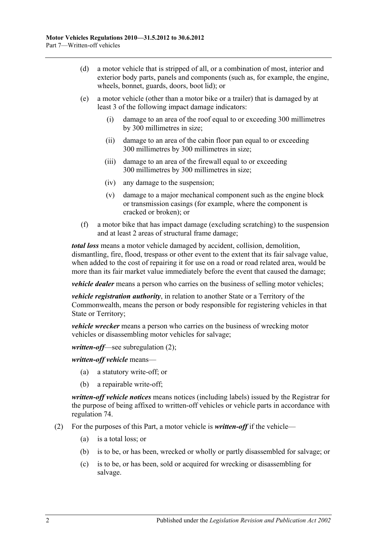- (d) a motor vehicle that is stripped of all, or a combination of most, interior and exterior body parts, panels and components (such as, for example, the engine, wheels, bonnet, guards, doors, boot lid); or
- (e) a motor vehicle (other than a motor bike or a trailer) that is damaged by at least 3 of the following impact damage indicators:
	- (i) damage to an area of the roof equal to or exceeding 300 millimetres by 300 millimetres in size;
	- (ii) damage to an area of the cabin floor pan equal to or exceeding 300 millimetres by 300 millimetres in size;
	- (iii) damage to an area of the firewall equal to or exceeding 300 millimetres by 300 millimetres in size;
	- (iv) any damage to the suspension;
	- (v) damage to a major mechanical component such as the engine block or transmission casings (for example, where the component is cracked or broken); or
- (f) a motor bike that has impact damage (excluding scratching) to the suspension and at least 2 areas of structural frame damage;

*total loss* means a motor vehicle damaged by accident, collision, demolition, dismantling, fire, flood, trespass or other event to the extent that its fair salvage value, when added to the cost of repairing it for use on a road or road related area, would be more than its fair market value immediately before the event that caused the damage;

*vehicle dealer* means a person who carries on the business of selling motor vehicles;

*vehicle registration authority*, in relation to another State or a Territory of the Commonwealth, means the person or body responsible for registering vehicles in that State or Territory;

*vehicle wrecker* means a person who carries on the business of wrecking motor vehicles or disassembling motor vehicles for salvage;

*written-off*—see [subregulation](#page-49-0) (2);

*written-off vehicle* means—

- (a) a statutory write-off; or
- (b) a repairable write-off;

*written-off vehicle notices* means notices (including labels) issued by the Registrar for the purpose of being affixed to written-off vehicles or vehicle parts in accordance with [regulation](#page-50-0) 74.

- <span id="page-49-0"></span>(2) For the purposes of this Part, a motor vehicle is *written-off* if the vehicle—
	- (a) is a total loss; or
	- (b) is to be, or has been, wrecked or wholly or partly disassembled for salvage; or
	- (c) is to be, or has been, sold or acquired for wrecking or disassembling for salvage.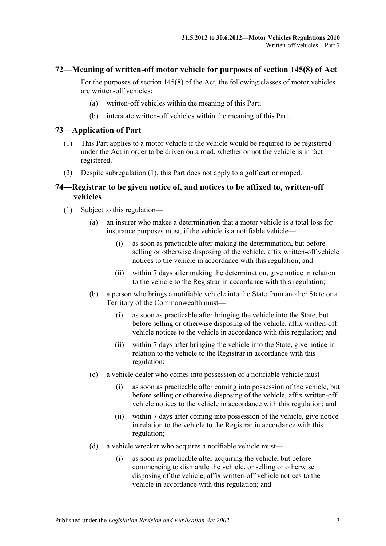### **72—Meaning of written-off motor vehicle for purposes of section 145(8) of Act**

For the purposes of section 145(8) of the Act, the following classes of motor vehicles are written-off vehicles:

- (a) written-off vehicles within the meaning of this Part;
- (b) interstate written-off vehicles within the meaning of this Part.

### <span id="page-50-1"></span>**73—Application of Part**

- (1) This Part applies to a motor vehicle if the vehicle would be required to be registered under the Act in order to be driven on a road, whether or not the vehicle is in fact registered.
- (2) Despite [subregulation](#page-50-1) (1), this Part does not apply to a golf cart or moped.

### <span id="page-50-0"></span>**74—Registrar to be given notice of, and notices to be affixed to, written-off vehicles**

- <span id="page-50-4"></span><span id="page-50-3"></span><span id="page-50-2"></span>(1) Subject to this regulation—
	- (a) an insurer who makes a determination that a motor vehicle is a total loss for insurance purposes must, if the vehicle is a notifiable vehicle—
		- (i) as soon as practicable after making the determination, but before selling or otherwise disposing of the vehicle, affix written-off vehicle notices to the vehicle in accordance with this regulation; and
		- (ii) within 7 days after making the determination, give notice in relation to the vehicle to the Registrar in accordance with this regulation;
	- (b) a person who brings a notifiable vehicle into the State from another State or a Territory of the Commonwealth must—
		- (i) as soon as practicable after bringing the vehicle into the State, but before selling or otherwise disposing of the vehicle, affix written-off vehicle notices to the vehicle in accordance with this regulation; and
		- (ii) within 7 days after bringing the vehicle into the State, give notice in relation to the vehicle to the Registrar in accordance with this regulation;
	- (c) a vehicle dealer who comes into possession of a notifiable vehicle must—
		- (i) as soon as practicable after coming into possession of the vehicle, but before selling or otherwise disposing of the vehicle, affix written-off vehicle notices to the vehicle in accordance with this regulation; and
		- (ii) within 7 days after coming into possession of the vehicle, give notice in relation to the vehicle to the Registrar in accordance with this regulation;
	- (d) a vehicle wrecker who acquires a notifiable vehicle must—
		- (i) as soon as practicable after acquiring the vehicle, but before commencing to dismantle the vehicle, or selling or otherwise disposing of the vehicle, affix written-off vehicle notices to the vehicle in accordance with this regulation; and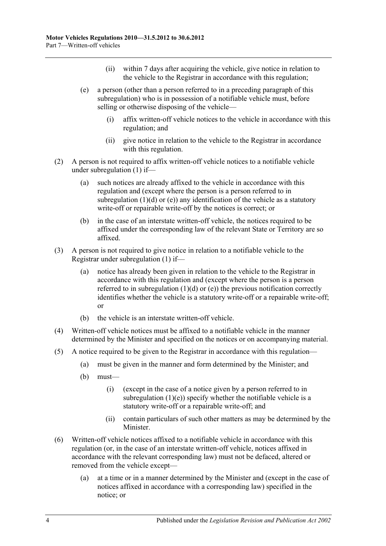- (ii) within 7 days after acquiring the vehicle, give notice in relation to the vehicle to the Registrar in accordance with this regulation;
- <span id="page-51-0"></span>(e) a person (other than a person referred to in a preceding paragraph of this subregulation) who is in possession of a notifiable vehicle must, before selling or otherwise disposing of the vehicle—
	- (i) affix written-off vehicle notices to the vehicle in accordance with this regulation; and
	- (ii) give notice in relation to the vehicle to the Registrar in accordance with this regulation.
- (2) A person is not required to affix written-off vehicle notices to a notifiable vehicle under [subregulation](#page-50-2) (1) if—
	- (a) such notices are already affixed to the vehicle in accordance with this regulation and (except where the person is a person referred to in [subregulation](#page-50-3)  $(1)(d)$  or  $(e)$ ) any identification of the vehicle as a statutory write-off or repairable write-off by the notices is correct; or
	- (b) in the case of an interstate written-off vehicle, the notices required to be affixed under the corresponding law of the relevant State or Territory are so affixed.
- (3) A person is not required to give notice in relation to a notifiable vehicle to the Registrar under [subregulation](#page-50-2) (1) if—
	- (a) notice has already been given in relation to the vehicle to the Registrar in accordance with this regulation and (except where the person is a person referred to in [subregulation](#page-50-3)  $(1)(d)$  or  $(e)$ ) the previous notification correctly identifies whether the vehicle is a statutory write-off or a repairable write-off; or
	- (b) the vehicle is an interstate written-off vehicle.
- (4) Written-off vehicle notices must be affixed to a notifiable vehicle in the manner determined by the Minister and specified on the notices or on accompanying material.
- $(5)$  A notice required to be given to the Registrar in accordance with this regulation—
	- (a) must be given in the manner and form determined by the Minister; and
	- (b) must—
		- (i) (except in the case of a notice given by a person referred to in [subregulation](#page-51-0)  $(1)(e)$ ) specify whether the notifiable vehicle is a statutory write-off or a repairable write-off; and
		- (ii) contain particulars of such other matters as may be determined by the Minister.
- (6) Written-off vehicle notices affixed to a notifiable vehicle in accordance with this regulation (or, in the case of an interstate written-off vehicle, notices affixed in accordance with the relevant corresponding law) must not be defaced, altered or removed from the vehicle except—
	- (a) at a time or in a manner determined by the Minister and (except in the case of notices affixed in accordance with a corresponding law) specified in the notice; or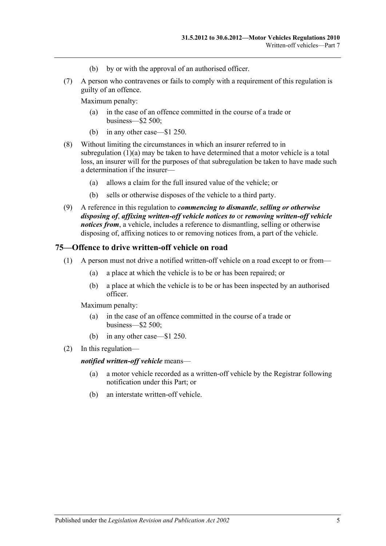- (b) by or with the approval of an authorised officer.
- (7) A person who contravenes or fails to comply with a requirement of this regulation is guilty of an offence.

Maximum penalty:

- (a) in the case of an offence committed in the course of a trade or business—\$2 500;
- (b) in any other case—\$1 250.
- (8) Without limiting the circumstances in which an insurer referred to in [subregulation](#page-50-4) (1)(a) may be taken to have determined that a motor vehicle is a total loss, an insurer will for the purposes of that subregulation be taken to have made such a determination if the insurer—
	- (a) allows a claim for the full insured value of the vehicle; or
	- (b) sells or otherwise disposes of the vehicle to a third party.
- (9) A reference in this regulation to *commencing to dismantle*, *selling or otherwise disposing of*, *affixing written-off vehicle notices to* or *removing written-off vehicle notices from*, a vehicle, includes a reference to dismantling, selling or otherwise disposing of, affixing notices to or removing notices from, a part of the vehicle.

### **75—Offence to drive written-off vehicle on road**

- (1) A person must not drive a notified written-off vehicle on a road except to or from—
	- (a) a place at which the vehicle is to be or has been repaired; or
	- (b) a place at which the vehicle is to be or has been inspected by an authorised officer.

Maximum penalty:

- (a) in the case of an offence committed in the course of a trade or business—\$2 500;
- (b) in any other case—\$1 250.
- (2) In this regulation—

#### *notified written-off vehicle* means—

- (a) a motor vehicle recorded as a written-off vehicle by the Registrar following notification under this Part; or
- (b) an interstate written-off vehicle.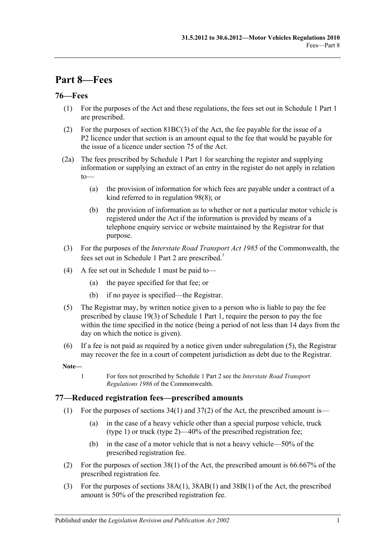# **Part 8—Fees**

## **76—Fees**

- (1) For the purposes of the Act and these regulations, the fees set out in Schedule 1 Part 1 are prescribed.
- (2) For the purposes of section 81BC(3) of the Act, the fee payable for the issue of a P2 licence under that section is an amount equal to the fee that would be payable for the issue of a licence under section 75 of the Act.
- (2a) The fees prescribed by Schedule 1 Part 1 for searching the register and supplying information or supplying an extract of an entry in the register do not apply in relation to—
	- (a) the provision of information for which fees are payable under a contract of a kind referred to in [regulation](#page-65-0) 98(8); or
	- (b) the provision of information as to whether or not a particular motor vehicle is registered under the Act if the information is provided by means of a telephone enquiry service or website maintained by the Registrar for that purpose.
- (3) For the purposes of the *Interstate Road Transport Act 1985* of the Commonwealth, the fees set out in Schedule 1 Part 2 are prescribed.<sup>1</sup>
- (4) A fee set out in [Schedule 1](#page-68-0) must be paid to—
	- (a) the payee specified for that fee; or
	- (b) if no payee is specified—the Registrar.
- <span id="page-54-0"></span>(5) The Registrar may, by written notice given to a person who is liable to pay the fee prescribed by clause 19(3) of Schedule 1 Part 1, require the person to pay the fee within the time specified in the notice (being a period of not less than 14 days from the day on which the notice is given).
- (6) If a fee is not paid as required by a notice given under [subregulation](#page-54-0) (5), the Registrar may recover the fee in a court of competent jurisdiction as debt due to the Registrar.

**Note—**

1 For fees not prescribed by Schedule 1 Part 2 see the *Interstate Road Transport Regulations 1986* of the Commonwealth.

### **77—Reduced registration fees—prescribed amounts**

- (1) For the purposes of sections  $34(1)$  and  $37(2)$  of the Act, the prescribed amount is—
	- (a) in the case of a heavy vehicle other than a special purpose vehicle, truck (type 1) or truck (type 2)—40% of the prescribed registration fee;
	- (b) in the case of a motor vehicle that is not a heavy vehicle—50% of the prescribed registration fee.
- (2) For the purposes of section 38(1) of the Act, the prescribed amount is 66.667% of the prescribed registration fee.
- (3) For the purposes of sections 38A(1), 38AB(1) and 38B(1) of the Act, the prescribed amount is 50% of the prescribed registration fee.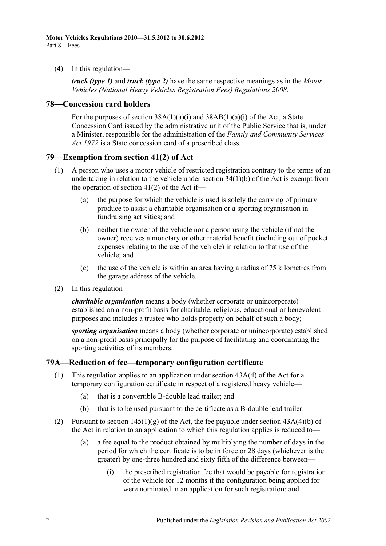(4) In this regulation—

*truck (type 1)* and *truck (type 2)* have the same respective meanings as in the *[Motor](http://www.legislation.sa.gov.au/index.aspx?action=legref&type=subordleg&legtitle=Motor%20Vehicles%20(National%20Heavy%20Vehicles%20Registration%20Fees)%20Regulations%202008)  [Vehicles \(National Heavy Vehicles Registration Fees\) Regulations](http://www.legislation.sa.gov.au/index.aspx?action=legref&type=subordleg&legtitle=Motor%20Vehicles%20(National%20Heavy%20Vehicles%20Registration%20Fees)%20Regulations%202008) 2008*.

### **78—Concession card holders**

For the purposes of section  $38A(1)(a)(i)$  and  $38AB(1)(a)(i)$  of the Act, a State Concession Card issued by the administrative unit of the Public Service that is, under a Minister, responsible for the administration of the *[Family and Community Services](http://www.legislation.sa.gov.au/index.aspx?action=legref&type=act&legtitle=Family%20and%20Community%20Services%20Act%201972)  Act [1972](http://www.legislation.sa.gov.au/index.aspx?action=legref&type=act&legtitle=Family%20and%20Community%20Services%20Act%201972)* is a State concession card of a prescribed class.

### **79—Exemption from section 41(2) of Act**

- (1) A person who uses a motor vehicle of restricted registration contrary to the terms of an undertaking in relation to the vehicle under section 34(1)(b) of the Act is exempt from the operation of section  $41(2)$  of the Act if—
	- (a) the purpose for which the vehicle is used is solely the carrying of primary produce to assist a charitable organisation or a sporting organisation in fundraising activities; and
	- (b) neither the owner of the vehicle nor a person using the vehicle (if not the owner) receives a monetary or other material benefit (including out of pocket expenses relating to the use of the vehicle) in relation to that use of the vehicle; and
	- (c) the use of the vehicle is within an area having a radius of 75 kilometres from the garage address of the vehicle.
- (2) In this regulation—

*charitable organisation* means a body (whether corporate or unincorporate) established on a non-profit basis for charitable, religious, educational or benevolent purposes and includes a trustee who holds property on behalf of such a body;

*sporting organisation* means a body (whether corporate or unincorporate) established on a non-profit basis principally for the purpose of facilitating and coordinating the sporting activities of its members.

### **79A—Reduction of fee—temporary configuration certificate**

- (1) This regulation applies to an application under section 43A(4) of the Act for a temporary configuration certificate in respect of a registered heavy vehicle—
	- (a) that is a convertible B-double lead trailer; and
	- (b) that is to be used pursuant to the certificate as a B-double lead trailer.
- (2) Pursuant to section  $145(1)(g)$  of the Act, the fee payable under section  $43A(4)(b)$  of the Act in relation to an application to which this regulation applies is reduced to—
	- (a) a fee equal to the product obtained by multiplying the number of days in the period for which the certificate is to be in force or 28 days (whichever is the greater) by one-three hundred and sixty fifth of the difference between—
		- (i) the prescribed registration fee that would be payable for registration of the vehicle for 12 months if the configuration being applied for were nominated in an application for such registration; and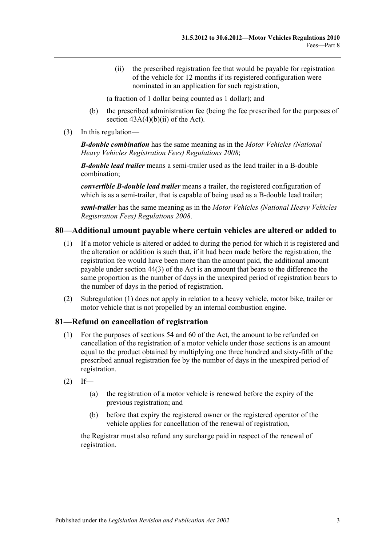(ii) the prescribed registration fee that would be payable for registration of the vehicle for 12 months if its registered configuration were nominated in an application for such registration,

(a fraction of 1 dollar being counted as 1 dollar); and

- (b) the prescribed administration fee (being the fee prescribed for the purposes of section  $43A(4)(b)(ii)$  of the Act).
- (3) In this regulation—

*B-double combination* has the same meaning as in the *[Motor Vehicles \(National](http://www.legislation.sa.gov.au/index.aspx?action=legref&type=subordleg&legtitle=Motor%20Vehicles%20(National%20Heavy%20Vehicles%20Registration%20Fees)%20Regulations%202008)  [Heavy Vehicles Registration Fees\) Regulations](http://www.legislation.sa.gov.au/index.aspx?action=legref&type=subordleg&legtitle=Motor%20Vehicles%20(National%20Heavy%20Vehicles%20Registration%20Fees)%20Regulations%202008) 2008*;

*B-double lead trailer* means a semi-trailer used as the lead trailer in a B-double combination;

*convertible B-double lead trailer* means a trailer, the registered configuration of which is as a semi-trailer, that is capable of being used as a B-double lead trailer;

*semi-trailer* has the same meaning as in the *[Motor Vehicles \(National Heavy Vehicles](http://www.legislation.sa.gov.au/index.aspx?action=legref&type=subordleg&legtitle=Motor%20Vehicles%20(National%20Heavy%20Vehicles%20Registration%20Fees)%20Regulations%202008)  [Registration Fees\) Regulations](http://www.legislation.sa.gov.au/index.aspx?action=legref&type=subordleg&legtitle=Motor%20Vehicles%20(National%20Heavy%20Vehicles%20Registration%20Fees)%20Regulations%202008) 2008*.

### <span id="page-56-0"></span>**80—Additional amount payable where certain vehicles are altered or added to**

- (1) If a motor vehicle is altered or added to during the period for which it is registered and the alteration or addition is such that, if it had been made before the registration, the registration fee would have been more than the amount paid, the additional amount payable under section 44(3) of the Act is an amount that bears to the difference the same proportion as the number of days in the unexpired period of registration bears to the number of days in the period of registration.
- (2) [Subregulation \(1\)](#page-56-0) does not apply in relation to a heavy vehicle, motor bike, trailer or motor vehicle that is not propelled by an internal combustion engine.

### **81—Refund on cancellation of registration**

- (1) For the purposes of sections 54 and 60 of the Act, the amount to be refunded on cancellation of the registration of a motor vehicle under those sections is an amount equal to the product obtained by multiplying one three hundred and sixty-fifth of the prescribed annual registration fee by the number of days in the unexpired period of registration.
- $(2)$  If—
	- (a) the registration of a motor vehicle is renewed before the expiry of the previous registration; and
	- (b) before that expiry the registered owner or the registered operator of the vehicle applies for cancellation of the renewal of registration,

the Registrar must also refund any surcharge paid in respect of the renewal of registration.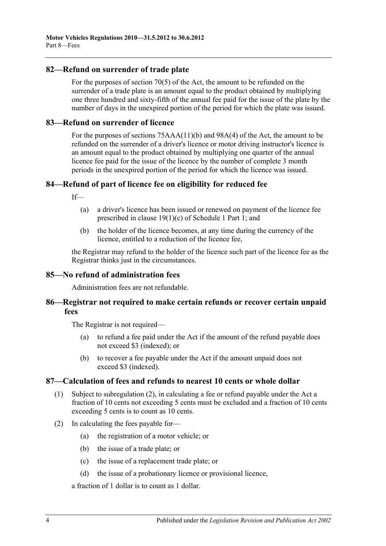### **82—Refund on surrender of trade plate**

For the purposes of section 70(5) of the Act, the amount to be refunded on the surrender of a trade plate is an amount equal to the product obtained by multiplying one three hundred and sixty-fifth of the annual fee paid for the issue of the plate by the number of days in the unexpired portion of the period for which the plate was issued.

### **83—Refund on surrender of licence**

For the purposes of sections 75AAA(11)(b) and 98A(4) of the Act, the amount to be refunded on the surrender of a driver's licence or motor driving instructor's licence is an amount equal to the product obtained by multiplying one quarter of the annual licence fee paid for the issue of the licence by the number of complete 3 month periods in the unexpired portion of the period for which the licence was issued.

### **84—Refund of part of licence fee on eligibility for reduced fee**

 $If$ <sub> $\equiv$ </sub>

- (a) a driver's licence has been issued or renewed on payment of the licence fee prescribed in clause 19(1)(c) of Schedule 1 Part 1; and
- (b) the holder of the licence becomes, at any time during the currency of the licence, entitled to a reduction of the licence fee,

the Registrar may refund to the holder of the licence such part of the licence fee as the Registrar thinks just in the circumstances.

### **85—No refund of administration fees**

Administration fees are not refundable.

## **86—Registrar not required to make certain refunds or recover certain unpaid fees**

The Registrar is not required—

- (a) to refund a fee paid under the Act if the amount of the refund payable does not exceed \$3 (indexed); or
- (b) to recover a fee payable under the Act if the amount unpaid does not exceed \$3 (indexed).

### **87—Calculation of fees and refunds to nearest 10 cents or whole dollar**

- (1) Subject to [subregulation](#page-57-0) (2), in calculating a fee or refund payable under the Act a fraction of 10 cents not exceeding 5 cents must be excluded and a fraction of 10 cents exceeding 5 cents is to count as 10 cents.
- <span id="page-57-0"></span>(2) In calculating the fees payable for—
	- (a) the registration of a motor vehicle; or
	- (b) the issue of a trade plate; or
	- (c) the issue of a replacement trade plate; or
	- (d) the issue of a probationary licence or provisional licence,

a fraction of 1 dollar is to count as 1 dollar.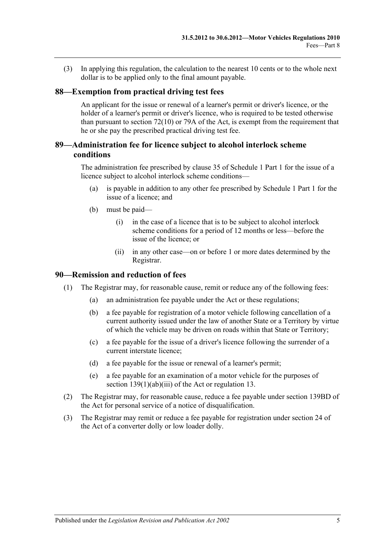(3) In applying this regulation, the calculation to the nearest 10 cents or to the whole next dollar is to be applied only to the final amount payable.

### **88—Exemption from practical driving test fees**

An applicant for the issue or renewal of a learner's permit or driver's licence, or the holder of a learner's permit or driver's licence, who is required to be tested otherwise than pursuant to section  $72(10)$  or 79A of the Act, is exempt from the requirement that he or she pay the prescribed practical driving test fee.

## **89—Administration fee for licence subject to alcohol interlock scheme conditions**

The administration fee prescribed by clause 35 of Schedule 1 Part 1 for the issue of a licence subject to alcohol interlock scheme conditions—

- (a) is payable in addition to any other fee prescribed by Schedule 1 Part 1 for the issue of a licence; and
- (b) must be paid—
	- (i) in the case of a licence that is to be subject to alcohol interlock scheme conditions for a period of 12 months or less—before the issue of the licence; or
	- (ii) in any other case—on or before 1 or more dates determined by the Registrar.

### **90—Remission and reduction of fees**

- (1) The Registrar may, for reasonable cause, remit or reduce any of the following fees:
	- (a) an administration fee payable under the Act or these regulations;
	- (b) a fee payable for registration of a motor vehicle following cancellation of a current authority issued under the law of another State or a Territory by virtue of which the vehicle may be driven on roads within that State or Territory;
	- (c) a fee payable for the issue of a driver's licence following the surrender of a current interstate licence;
	- (d) a fee payable for the issue or renewal of a learner's permit;
	- (e) a fee payable for an examination of a motor vehicle for the purposes of section 139(1)(ab)(iii) of the Act or [regulation](#page-13-0) 13.
- (2) The Registrar may, for reasonable cause, reduce a fee payable under section 139BD of the Act for personal service of a notice of disqualification.
- (3) The Registrar may remit or reduce a fee payable for registration under section 24 of the Act of a converter dolly or low loader dolly.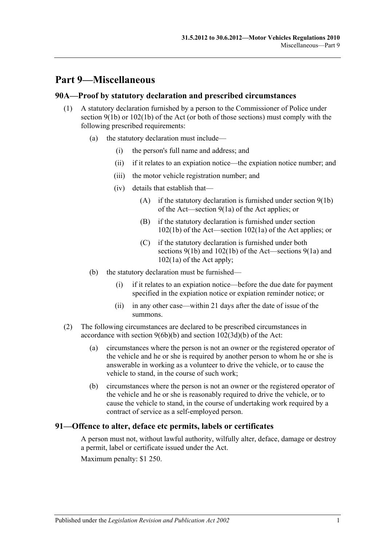# **Part 9—Miscellaneous**

### **90A—Proof by statutory declaration and prescribed circumstances**

- (1) A statutory declaration furnished by a person to the Commissioner of Police under section  $9(1b)$  or  $102(1b)$  of the Act (or both of those sections) must comply with the following prescribed requirements:
	- (a) the statutory declaration must include—
		- (i) the person's full name and address; and
		- (ii) if it relates to an expiation notice—the expiation notice number; and
		- (iii) the motor vehicle registration number; and
		- (iv) details that establish that—
			- (A) if the statutory declaration is furnished under section 9(1b) of the Act—section 9(1a) of the Act applies; or
			- (B) if the statutory declaration is furnished under section 102(1b) of the Act—section 102(1a) of the Act applies; or
			- (C) if the statutory declaration is furnished under both sections 9(1b) and 102(1b) of the Act—sections 9(1a) and 102(1a) of the Act apply;
	- (b) the statutory declaration must be furnished—
		- (i) if it relates to an expiation notice—before the due date for payment specified in the expiation notice or expiation reminder notice; or
		- (ii) in any other case—within 21 days after the date of issue of the summons.
- (2) The following circumstances are declared to be prescribed circumstances in accordance with section 9(6b)(b) and section 102(3d)(b) of the Act:
	- (a) circumstances where the person is not an owner or the registered operator of the vehicle and he or she is required by another person to whom he or she is answerable in working as a volunteer to drive the vehicle, or to cause the vehicle to stand, in the course of such work;
	- (b) circumstances where the person is not an owner or the registered operator of the vehicle and he or she is reasonably required to drive the vehicle, or to cause the vehicle to stand, in the course of undertaking work required by a contract of service as a self-employed person.

### **91—Offence to alter, deface etc permits, labels or certificates**

A person must not, without lawful authority, wilfully alter, deface, damage or destroy a permit, label or certificate issued under the Act.

Maximum penalty: \$1 250.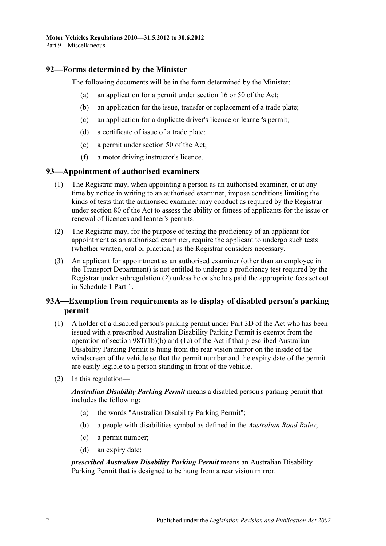### **92—Forms determined by the Minister**

The following documents will be in the form determined by the Minister:

- (a) an application for a permit under section 16 or 50 of the Act;
- (b) an application for the issue, transfer or replacement of a trade plate;
- (c) an application for a duplicate driver's licence or learner's permit;
- (d) a certificate of issue of a trade plate;
- (e) a permit under section 50 of the Act;
- (f) a motor driving instructor's licence.

### **93—Appointment of authorised examiners**

- (1) The Registrar may, when appointing a person as an authorised examiner, or at any time by notice in writing to an authorised examiner, impose conditions limiting the kinds of tests that the authorised examiner may conduct as required by the Registrar under section 80 of the Act to assess the ability or fitness of applicants for the issue or renewal of licences and learner's permits.
- <span id="page-61-0"></span>(2) The Registrar may, for the purpose of testing the proficiency of an applicant for appointment as an authorised examiner, require the applicant to undergo such tests (whether written, oral or practical) as the Registrar considers necessary.
- (3) An applicant for appointment as an authorised examiner (other than an employee in the Transport Department) is not entitled to undergo a proficiency test required by the Registrar under [subregulation](#page-61-0) (2) unless he or she has paid the appropriate fees set out in Schedule 1 Part 1.

# **93A—Exemption from requirements as to display of disabled person's parking permit**

- (1) A holder of a disabled person's parking permit under Part 3D of the Act who has been issued with a prescribed Australian Disability Parking Permit is exempt from the operation of section 98T(1b)(b) and (1c) of the Act if that prescribed Australian Disability Parking Permit is hung from the rear vision mirror on the inside of the windscreen of the vehicle so that the permit number and the expiry date of the permit are easily legible to a person standing in front of the vehicle.
- (2) In this regulation—

*Australian Disability Parking Permit* means a disabled person's parking permit that includes the following:

- (a) the words "Australian Disability Parking Permit";
- (b) a people with disabilities symbol as defined in the *[Australian Road Rules](http://www.legislation.sa.gov.au/index.aspx?action=legref&type=act&legtitle=Australian%20Road%20Rules)*;
- (c) a permit number;
- (d) an expiry date;

*prescribed Australian Disability Parking Permit* means an Australian Disability Parking Permit that is designed to be hung from a rear vision mirror.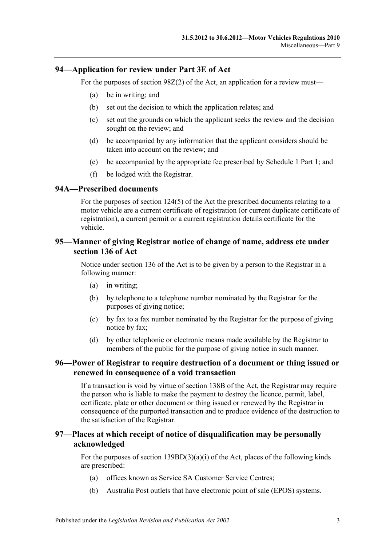### **94—Application for review under Part 3E of Act**

For the purposes of section 98Z(2) of the Act, an application for a review must—

- (a) be in writing; and
- (b) set out the decision to which the application relates; and
- (c) set out the grounds on which the applicant seeks the review and the decision sought on the review; and
- (d) be accompanied by any information that the applicant considers should be taken into account on the review; and
- (e) be accompanied by the appropriate fee prescribed by Schedule 1 Part 1; and
- (f) be lodged with the Registrar.

### **94A—Prescribed documents**

For the purposes of section 124(5) of the Act the prescribed documents relating to a motor vehicle are a current certificate of registration (or current duplicate certificate of registration), a current permit or a current registration details certificate for the vehicle.

### **95—Manner of giving Registrar notice of change of name, address etc under section 136 of Act**

Notice under section 136 of the Act is to be given by a person to the Registrar in a following manner:

- (a) in writing;
- (b) by telephone to a telephone number nominated by the Registrar for the purposes of giving notice;
- (c) by fax to a fax number nominated by the Registrar for the purpose of giving notice by fax;
- (d) by other telephonic or electronic means made available by the Registrar to members of the public for the purpose of giving notice in such manner.

### **96—Power of Registrar to require destruction of a document or thing issued or renewed in consequence of a void transaction**

If a transaction is void by virtue of section 138B of the Act, the Registrar may require the person who is liable to make the payment to destroy the licence, permit, label, certificate, plate or other document or thing issued or renewed by the Registrar in consequence of the purported transaction and to produce evidence of the destruction to the satisfaction of the Registrar.

### **97—Places at which receipt of notice of disqualification may be personally acknowledged**

For the purposes of section  $139BD(3)(a)(i)$  of the Act, places of the following kinds are prescribed:

- (a) offices known as Service SA Customer Service Centres;
- (b) Australia Post outlets that have electronic point of sale (EPOS) systems.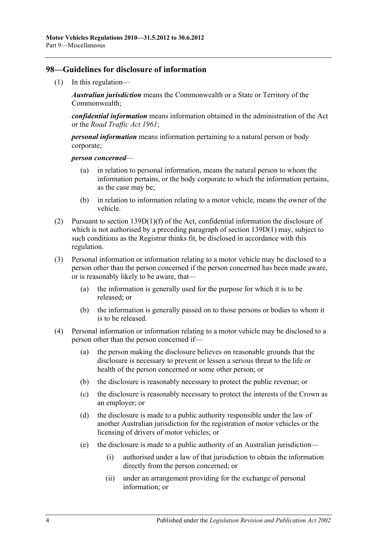### **98—Guidelines for disclosure of information**

(1) In this regulation—

*Australian jurisdiction* means the Commonwealth or a State or Territory of the Commonwealth;

*confidential information* means information obtained in the administration of the Act or the *[Road Traffic Act](http://www.legislation.sa.gov.au/index.aspx?action=legref&type=act&legtitle=Road%20Traffic%20Act%201961) 1961*;

*personal information* means information pertaining to a natural person or body corporate;

*person concerned*—

- (a) in relation to personal information, means the natural person to whom the information pertains, or the body corporate to which the information pertains, as the case may be;
- (b) in relation to information relating to a motor vehicle, means the owner of the vehicle.
- (2) Pursuant to section 139D(1)(f) of the Act, confidential information the disclosure of which is not authorised by a preceding paragraph of section 139D(1) may, subject to such conditions as the Registrar thinks fit, be disclosed in accordance with this regulation.
- (3) Personal information or information relating to a motor vehicle may be disclosed to a person other than the person concerned if the person concerned has been made aware, or is reasonably likely to be aware, that—
	- (a) the information is generally used for the purpose for which it is to be released; or
	- (b) the information is generally passed on to those persons or bodies to whom it is to be released.
- (4) Personal information or information relating to a motor vehicle may be disclosed to a person other than the person concerned if—
	- (a) the person making the disclosure believes on reasonable grounds that the disclosure is necessary to prevent or lessen a serious threat to the life or health of the person concerned or some other person; or
	- (b) the disclosure is reasonably necessary to protect the public revenue; or
	- (c) the disclosure is reasonably necessary to protect the interests of the Crown as an employer; or
	- (d) the disclosure is made to a public authority responsible under the law of another Australian jurisdiction for the registration of motor vehicles or the licensing of drivers of motor vehicles; or
	- (e) the disclosure is made to a public authority of an Australian jurisdiction—
		- (i) authorised under a law of that jurisdiction to obtain the information directly from the person concerned; or
		- (ii) under an arrangement providing for the exchange of personal information; or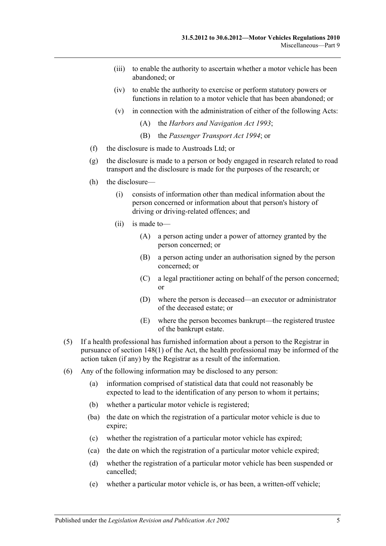- (iii) to enable the authority to ascertain whether a motor vehicle has been abandoned; or
- (iv) to enable the authority to exercise or perform statutory powers or functions in relation to a motor vehicle that has been abandoned; or
- (v) in connection with the administration of either of the following Acts:
	- (A) the *[Harbors and Navigation Act](http://www.legislation.sa.gov.au/index.aspx?action=legref&type=act&legtitle=Harbors%20and%20Navigation%20Act%201993) 1993*;
	- (B) the *[Passenger Transport Act](http://www.legislation.sa.gov.au/index.aspx?action=legref&type=act&legtitle=Passenger%20Transport%20Act%201994) 1994*; or
- (f) the disclosure is made to Austroads Ltd; or
- (g) the disclosure is made to a person or body engaged in research related to road transport and the disclosure is made for the purposes of the research; or
- (h) the disclosure—
	- (i) consists of information other than medical information about the person concerned or information about that person's history of driving or driving-related offences; and
	- (ii) is made to—
		- (A) a person acting under a power of attorney granted by the person concerned; or
		- (B) a person acting under an authorisation signed by the person concerned; or
		- (C) a legal practitioner acting on behalf of the person concerned; or
		- (D) where the person is deceased—an executor or administrator of the deceased estate; or
		- (E) where the person becomes bankrupt—the registered trustee of the bankrupt estate.
- (5) If a health professional has furnished information about a person to the Registrar in pursuance of section 148(1) of the Act, the health professional may be informed of the action taken (if any) by the Registrar as a result of the information.
- (6) Any of the following information may be disclosed to any person:
	- (a) information comprised of statistical data that could not reasonably be expected to lead to the identification of any person to whom it pertains;
	- (b) whether a particular motor vehicle is registered;
	- (ba) the date on which the registration of a particular motor vehicle is due to expire;
	- (c) whether the registration of a particular motor vehicle has expired;
	- (ca) the date on which the registration of a particular motor vehicle expired;
	- (d) whether the registration of a particular motor vehicle has been suspended or cancelled;
	- (e) whether a particular motor vehicle is, or has been, a written-off vehicle;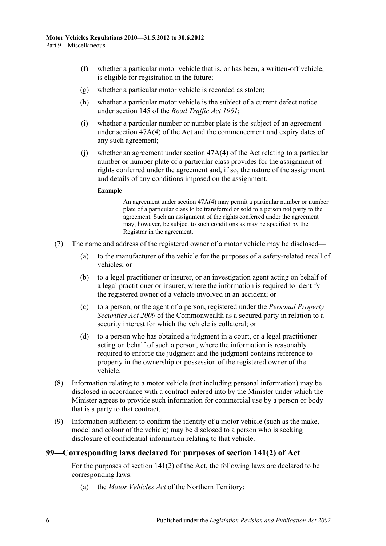- (f) whether a particular motor vehicle that is, or has been, a written-off vehicle, is eligible for registration in the future;
- (g) whether a particular motor vehicle is recorded as stolen;
- (h) whether a particular motor vehicle is the subject of a current defect notice under section 145 of the *[Road Traffic Act](http://www.legislation.sa.gov.au/index.aspx?action=legref&type=act&legtitle=Road%20Traffic%20Act%201961) 1961*;
- (i) whether a particular number or number plate is the subject of an agreement under section 47A(4) of the Act and the commencement and expiry dates of any such agreement;
- (i) whether an agreement under section  $47A(4)$  of the Act relating to a particular number or number plate of a particular class provides for the assignment of rights conferred under the agreement and, if so, the nature of the assignment and details of any conditions imposed on the assignment.

#### **Example—**

An agreement under section 47A(4) may permit a particular number or number plate of a particular class to be transferred or sold to a person not party to the agreement. Such an assignment of the rights conferred under the agreement may, however, be subject to such conditions as may be specified by the Registrar in the agreement.

- (7) The name and address of the registered owner of a motor vehicle may be disclosed—
	- (a) to the manufacturer of the vehicle for the purposes of a safety-related recall of vehicles; or
	- (b) to a legal practitioner or insurer, or an investigation agent acting on behalf of a legal practitioner or insurer, where the information is required to identify the registered owner of a vehicle involved in an accident; or
	- (c) to a person, or the agent of a person, registered under the *Personal Property Securities Act 2009* of the Commonwealth as a secured party in relation to a security interest for which the vehicle is collateral; or
	- (d) to a person who has obtained a judgment in a court, or a legal practitioner acting on behalf of such a person, where the information is reasonably required to enforce the judgment and the judgment contains reference to property in the ownership or possession of the registered owner of the vehicle.
- <span id="page-65-0"></span>(8) Information relating to a motor vehicle (not including personal information) may be disclosed in accordance with a contract entered into by the Minister under which the Minister agrees to provide such information for commercial use by a person or body that is a party to that contract.
- (9) Information sufficient to confirm the identity of a motor vehicle (such as the make, model and colour of the vehicle) may be disclosed to a person who is seeking disclosure of confidential information relating to that vehicle.

### **99—Corresponding laws declared for purposes of section 141(2) of Act**

For the purposes of section 141(2) of the Act, the following laws are declared to be corresponding laws:

(a) the *Motor Vehicles Act* of the Northern Territory;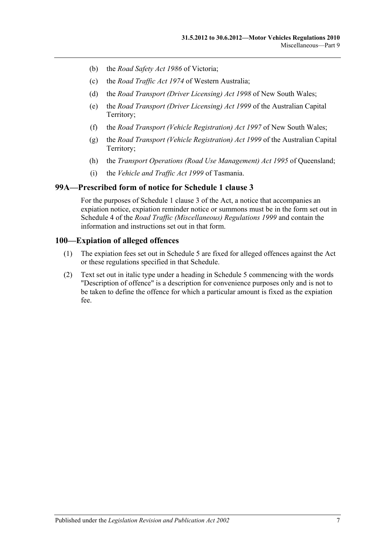- (b) the *Road Safety Act 1986* of Victoria;
- (c) the *Road Traffic Act 1974* of Western Australia;
- (d) the *Road Transport (Driver Licensing) Act 1998* of New South Wales;
- (e) the *Road Transport (Driver Licensing) Act 1999* of the Australian Capital Territory;
- (f) the *Road Transport (Vehicle Registration) Act 1997* of New South Wales;
- (g) the *Road Transport (Vehicle Registration) Act 1999* of the Australian Capital Territory;
- (h) the *Transport Operations (Road Use Management) Act 1995* of Queensland;
- (i) the *Vehicle and Traffic Act 1999* of Tasmania.

### **99A—Prescribed form of notice for Schedule 1 clause 3**

For the purposes of Schedule 1 clause 3 of the Act, a notice that accompanies an expiation notice, expiation reminder notice or summons must be in the form set out in Schedule 4 of the *[Road Traffic \(Miscellaneous\) Regulations](http://www.legislation.sa.gov.au/index.aspx?action=legref&type=subordleg&legtitle=Road%20Traffic%20(Miscellaneous)%20Regulations%201999) 1999* and contain the information and instructions set out in that form.

### **100—Expiation of alleged offences**

- (1) The expiation fees set out in [Schedule 5](#page-96-0) are fixed for alleged offences against the Act or these regulations specified in that Schedule.
- (2) Text set out in italic type under a heading in [Schedule 5](#page-96-0) commencing with the words "Description of offence" is a description for convenience purposes only and is not to be taken to define the offence for which a particular amount is fixed as the expiation fee.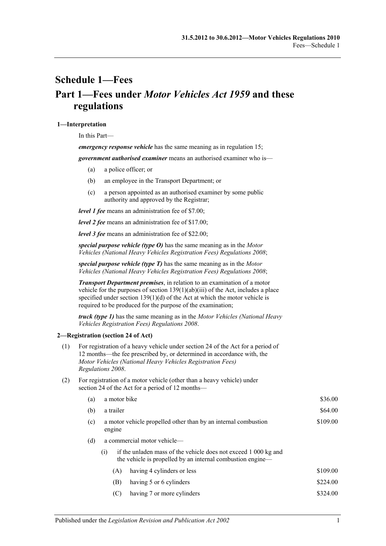# <span id="page-68-0"></span>**Schedule 1—Fees Part 1—Fees under** *Motor Vehicles Act 1959* **and these regulations**

#### **1—Interpretation**

In this Part—

*emergency response vehicle* has the same meaning as in [regulation](#page-13-1) 15;

*government authorised examiner* means an authorised examiner who is—

- (a) a police officer; or
- (b) an employee in the Transport Department; or
- (c) a person appointed as an authorised examiner by some public authority and approved by the Registrar;

*level 1 fee* means an administration fee of \$7.00;

*level 2 fee* means an administration fee of \$17.00;

*level 3 fee* means an administration fee of \$22.00;

*special purpose vehicle (type O)* has the same meaning as in the *[Motor](http://www.legislation.sa.gov.au/index.aspx?action=legref&type=subordleg&legtitle=Motor%20Vehicles%20(National%20Heavy%20Vehicles%20Registration%20Fees)%20Regulations%202008)  [Vehicles \(National Heavy Vehicles Registration Fees\) Regulations](http://www.legislation.sa.gov.au/index.aspx?action=legref&type=subordleg&legtitle=Motor%20Vehicles%20(National%20Heavy%20Vehicles%20Registration%20Fees)%20Regulations%202008) 2008*;

*special purpose vehicle (type T)* has the same meaning as in the *[Motor](http://www.legislation.sa.gov.au/index.aspx?action=legref&type=subordleg&legtitle=Motor%20Vehicles%20(National%20Heavy%20Vehicles%20Registration%20Fees)%20Regulations%202008)  [Vehicles \(National Heavy Vehicles Registration Fees\) Regulations](http://www.legislation.sa.gov.au/index.aspx?action=legref&type=subordleg&legtitle=Motor%20Vehicles%20(National%20Heavy%20Vehicles%20Registration%20Fees)%20Regulations%202008) 2008*;

*Transport Department premises*, in relation to an examination of a motor vehicle for the purposes of section 139(1)(ab)(iii) of the Act, includes a place specified under section  $139(1)(d)$  of the Act at which the motor vehicle is required to be produced for the purpose of the examination;

*truck (type 1)* has the same meaning as in the *[Motor Vehicles \(National Heavy](http://www.legislation.sa.gov.au/index.aspx?action=legref&type=subordleg&legtitle=Motor%20Vehicles%20(National%20Heavy%20Vehicles%20Registration%20Fees)%20Regulations%202008)  [Vehicles Registration Fees\) Regulations](http://www.legislation.sa.gov.au/index.aspx?action=legref&type=subordleg&legtitle=Motor%20Vehicles%20(National%20Heavy%20Vehicles%20Registration%20Fees)%20Regulations%202008) 2008*.

#### **2—Registration (section 24 of Act)**

- (1) For registration of a heavy vehicle under section 24 of the Act for a period of 12 months—the fee prescribed by, or determined in accordance with, the *[Motor Vehicles \(National Heavy Vehicles Registration Fees\)](http://www.legislation.sa.gov.au/index.aspx?action=legref&type=subordleg&legtitle=Motor%20Vehicles%20(National%20Heavy%20Vehicles%20Registration%20Fees)%20Regulations%202008)  [Regulations](http://www.legislation.sa.gov.au/index.aspx?action=legref&type=subordleg&legtitle=Motor%20Vehicles%20(National%20Heavy%20Vehicles%20Registration%20Fees)%20Regulations%202008) 2008*.
- (2) For registration of a motor vehicle (other than a heavy vehicle) under section 24 of the Act for a period of 12 months—

| (a) | a motor bike                                                                         | \$36.00                                                                                                                       |          |  |
|-----|--------------------------------------------------------------------------------------|-------------------------------------------------------------------------------------------------------------------------------|----------|--|
| (b) |                                                                                      | a trailer                                                                                                                     |          |  |
| (c) | \$109.00<br>a motor vehicle propelled other than by an internal combustion<br>engine |                                                                                                                               |          |  |
| (d) | a commercial motor vehicle—                                                          |                                                                                                                               |          |  |
|     | (1)                                                                                  | if the unladen mass of the vehicle does not exceed 1 000 kg and<br>the vehicle is propelled by an internal combustion engine— |          |  |
|     | (A)                                                                                  | having 4 cylinders or less                                                                                                    | \$109.00 |  |
|     | (B)                                                                                  | having 5 or 6 cylinders                                                                                                       | \$224.00 |  |
|     | (C)                                                                                  | having 7 or more cylinders                                                                                                    | \$324.00 |  |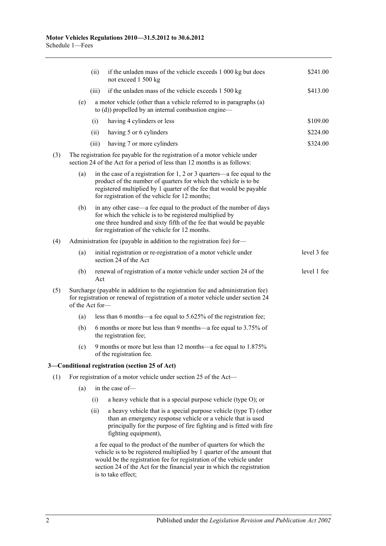|     |                                                                       | (ii)  | if the unladen mass of the vehicle exceeds 1 000 kg but does<br>not exceed 1 500 kg                                                                                                                                                                                                                                 | \$241.00    |  |  |
|-----|-----------------------------------------------------------------------|-------|---------------------------------------------------------------------------------------------------------------------------------------------------------------------------------------------------------------------------------------------------------------------------------------------------------------------|-------------|--|--|
|     |                                                                       | (iii) | if the unladen mass of the vehicle exceeds 1 500 kg                                                                                                                                                                                                                                                                 | \$413.00    |  |  |
|     | (e)                                                                   |       | a motor vehicle (other than a vehicle referred to in paragraphs (a)<br>to $(d)$ ) propelled by an internal combustion engine—                                                                                                                                                                                       |             |  |  |
|     |                                                                       | (i)   | having 4 cylinders or less                                                                                                                                                                                                                                                                                          | \$109.00    |  |  |
|     |                                                                       | (ii)  | having 5 or 6 cylinders                                                                                                                                                                                                                                                                                             | \$224.00    |  |  |
|     |                                                                       | (iii) | having 7 or more cylinders                                                                                                                                                                                                                                                                                          | \$324.00    |  |  |
| (3) |                                                                       |       | The registration fee payable for the registration of a motor vehicle under<br>section 24 of the Act for a period of less than 12 months is as follows:                                                                                                                                                              |             |  |  |
|     | (a)                                                                   |       | in the case of a registration for $1, 2$ or $3$ quarters—a fee equal to the<br>product of the number of quarters for which the vehicle is to be<br>registered multiplied by 1 quarter of the fee that would be payable<br>for registration of the vehicle for 12 months;                                            |             |  |  |
|     | (b)                                                                   |       | in any other case—a fee equal to the product of the number of days<br>for which the vehicle is to be registered multiplied by<br>one three hundred and sixty fifth of the fee that would be payable<br>for registration of the vehicle for 12 months.                                                               |             |  |  |
| (4) | Administration fee (payable in addition to the registration fee) for- |       |                                                                                                                                                                                                                                                                                                                     |             |  |  |
|     | (a)                                                                   |       | initial registration or re-registration of a motor vehicle under<br>section 24 of the Act                                                                                                                                                                                                                           | level 3 fee |  |  |
|     | (b)                                                                   | Act   | renewal of registration of a motor vehicle under section 24 of the                                                                                                                                                                                                                                                  | level 1 fee |  |  |
| (5) | of the Act for-                                                       |       | Surcharge (payable in addition to the registration fee and administration fee)<br>for registration or renewal of registration of a motor vehicle under section 24                                                                                                                                                   |             |  |  |
|     | (a)                                                                   |       | less than 6 months—a fee equal to 5.625% of the registration fee;                                                                                                                                                                                                                                                   |             |  |  |
|     | (b)                                                                   |       | 6 months or more but less than 9 months—a fee equal to 3.75% of<br>the registration fee;                                                                                                                                                                                                                            |             |  |  |
|     | (c)                                                                   |       | 9 months or more but less than 12 months—a fee equal to 1.875%<br>of the registration fee.                                                                                                                                                                                                                          |             |  |  |
|     |                                                                       |       | 3-Conditional registration (section 25 of Act)                                                                                                                                                                                                                                                                      |             |  |  |
| (1) |                                                                       |       | For registration of a motor vehicle under section 25 of the Act-                                                                                                                                                                                                                                                    |             |  |  |
|     | (a)                                                                   |       | in the case of-                                                                                                                                                                                                                                                                                                     |             |  |  |
|     |                                                                       | (i)   | a heavy vehicle that is a special purpose vehicle (type O); or                                                                                                                                                                                                                                                      |             |  |  |
|     |                                                                       | (ii)  | a heavy vehicle that is a special purpose vehicle (type T) (other<br>than an emergency response vehicle or a vehicle that is used<br>principally for the purpose of fire fighting and is fitted with fire<br>fighting equipment),                                                                                   |             |  |  |
|     |                                                                       |       | a fee equal to the product of the number of quarters for which the<br>vehicle is to be registered multiplied by 1 quarter of the amount that<br>would be the registration fee for registration of the vehicle under<br>section 24 of the Act for the financial year in which the registration<br>is to take effect; |             |  |  |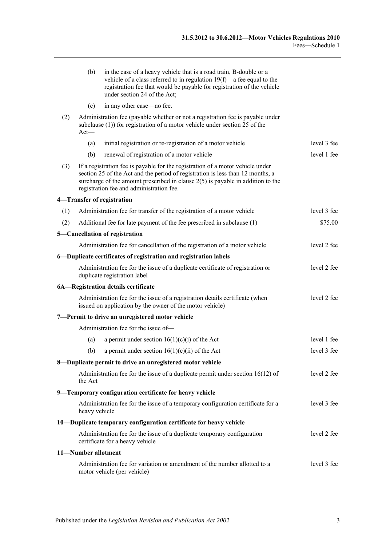|     | (b)                                                                                                                                                                                                                                                                                               | in the case of a heavy vehicle that is a road train, B-double or a<br>vehicle of a class referred to in regulation $19(f)$ —a fee equal to the<br>registration fee that would be payable for registration of the vehicle<br>under section 24 of the Act; |             |  |  |
|-----|---------------------------------------------------------------------------------------------------------------------------------------------------------------------------------------------------------------------------------------------------------------------------------------------------|----------------------------------------------------------------------------------------------------------------------------------------------------------------------------------------------------------------------------------------------------------|-------------|--|--|
|     | (c)                                                                                                                                                                                                                                                                                               | in any other case—no fee.                                                                                                                                                                                                                                |             |  |  |
| (2) | Administration fee (payable whether or not a registration fee is payable under<br>subclause $(1)$ ) for registration of a motor vehicle under section 25 of the<br>$Act-$                                                                                                                         |                                                                                                                                                                                                                                                          |             |  |  |
|     | (a)                                                                                                                                                                                                                                                                                               | initial registration or re-registration of a motor vehicle                                                                                                                                                                                               | level 3 fee |  |  |
|     | (b)                                                                                                                                                                                                                                                                                               | renewal of registration of a motor vehicle                                                                                                                                                                                                               | level 1 fee |  |  |
| (3) | If a registration fee is payable for the registration of a motor vehicle under<br>section 25 of the Act and the period of registration is less than 12 months, a<br>surcharge of the amount prescribed in clause $2(5)$ is payable in addition to the<br>registration fee and administration fee. |                                                                                                                                                                                                                                                          |             |  |  |
|     |                                                                                                                                                                                                                                                                                                   | 4-Transfer of registration                                                                                                                                                                                                                               |             |  |  |
| (1) |                                                                                                                                                                                                                                                                                                   | Administration fee for transfer of the registration of a motor vehicle                                                                                                                                                                                   | level 3 fee |  |  |
| (2) |                                                                                                                                                                                                                                                                                                   | Additional fee for late payment of the fee prescribed in subclause (1)                                                                                                                                                                                   | \$75.00     |  |  |
|     |                                                                                                                                                                                                                                                                                                   | 5-Cancellation of registration                                                                                                                                                                                                                           |             |  |  |
|     |                                                                                                                                                                                                                                                                                                   | Administration fee for cancellation of the registration of a motor vehicle                                                                                                                                                                               | level 2 fee |  |  |
|     |                                                                                                                                                                                                                                                                                                   | 6-Duplicate certificates of registration and registration labels                                                                                                                                                                                         |             |  |  |
|     |                                                                                                                                                                                                                                                                                                   | Administration fee for the issue of a duplicate certificate of registration or<br>duplicate registration label                                                                                                                                           | level 2 fee |  |  |
|     |                                                                                                                                                                                                                                                                                                   | 6A-Registration details certificate                                                                                                                                                                                                                      |             |  |  |
|     |                                                                                                                                                                                                                                                                                                   | Administration fee for the issue of a registration details certificate (when<br>issued on application by the owner of the motor vehicle)                                                                                                                 | level 2 fee |  |  |
|     |                                                                                                                                                                                                                                                                                                   | 7-Permit to drive an unregistered motor vehicle                                                                                                                                                                                                          |             |  |  |
|     |                                                                                                                                                                                                                                                                                                   | Administration fee for the issue of-                                                                                                                                                                                                                     |             |  |  |
|     | (a)                                                                                                                                                                                                                                                                                               | a permit under section $16(1)(c)(i)$ of the Act                                                                                                                                                                                                          | level 1 fee |  |  |
|     | (b)                                                                                                                                                                                                                                                                                               | a permit under section $16(1)(c)(ii)$ of the Act                                                                                                                                                                                                         | level 3 fee |  |  |
|     |                                                                                                                                                                                                                                                                                                   | 8-Duplicate permit to drive an unregistered motor vehicle                                                                                                                                                                                                |             |  |  |
|     | the Act                                                                                                                                                                                                                                                                                           | Administration fee for the issue of a duplicate permit under section $16(12)$ of                                                                                                                                                                         | level 2 fee |  |  |
|     |                                                                                                                                                                                                                                                                                                   | 9-Temporary configuration certificate for heavy vehicle                                                                                                                                                                                                  |             |  |  |
|     | heavy vehicle                                                                                                                                                                                                                                                                                     | Administration fee for the issue of a temporary configuration certificate for a                                                                                                                                                                          | level 3 fee |  |  |
|     |                                                                                                                                                                                                                                                                                                   | 10-Duplicate temporary configuration certificate for heavy vehicle                                                                                                                                                                                       |             |  |  |
|     |                                                                                                                                                                                                                                                                                                   | Administration fee for the issue of a duplicate temporary configuration<br>certificate for a heavy vehicle                                                                                                                                               | level 2 fee |  |  |
|     | 11-Number allotment                                                                                                                                                                                                                                                                               |                                                                                                                                                                                                                                                          |             |  |  |
|     |                                                                                                                                                                                                                                                                                                   | Administration fee for variation or amendment of the number allotted to a<br>motor vehicle (per vehicle)                                                                                                                                                 | level 3 fee |  |  |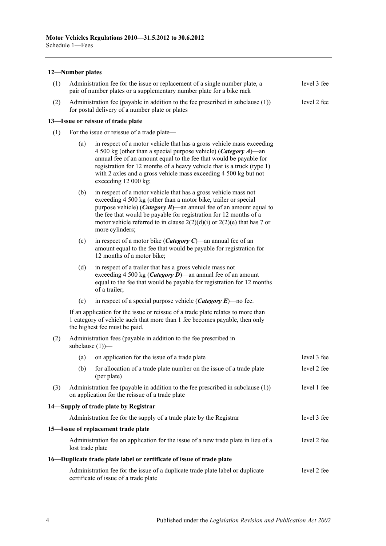#### **12—Number plates**

| (1) | Administration fee for the issue or replacement of a single number plate, a<br>pair of number plates or a supplementary number plate for a bike rack |                                                                                                                                                                                                                                                                                                                                                                                               |             |  |  |
|-----|------------------------------------------------------------------------------------------------------------------------------------------------------|-----------------------------------------------------------------------------------------------------------------------------------------------------------------------------------------------------------------------------------------------------------------------------------------------------------------------------------------------------------------------------------------------|-------------|--|--|
| (2) | Administration fee (payable in addition to the fee prescribed in subclause (1))<br>level 2 fee<br>for postal delivery of a number plate or plates    |                                                                                                                                                                                                                                                                                                                                                                                               |             |  |  |
|     |                                                                                                                                                      | 13-Issue or reissue of trade plate                                                                                                                                                                                                                                                                                                                                                            |             |  |  |
| (1) | For the issue or reissue of a trade plate—                                                                                                           |                                                                                                                                                                                                                                                                                                                                                                                               |             |  |  |
|     | (a)                                                                                                                                                  | in respect of a motor vehicle that has a gross vehicle mass exceeding<br>4 500 kg (other than a special purpose vehicle) ( <i>Category A</i> )—an<br>annual fee of an amount equal to the fee that would be payable for<br>registration for 12 months of a heavy vehicle that is a truck (type 1)<br>with 2 axles and a gross vehicle mass exceeding 4 500 kg but not<br>exceeding 12 000 kg; |             |  |  |
|     | (b)                                                                                                                                                  | in respect of a motor vehicle that has a gross vehicle mass not<br>exceeding 4 500 kg (other than a motor bike, trailer or special<br>purpose vehicle) ( <i>Category B</i> )—an annual fee of an amount equal to<br>the fee that would be payable for registration for 12 months of a<br>motor vehicle referred to in clause $2(2)(d)(i)$ or $2(2)(e)$ that has 7 or<br>more cylinders;       |             |  |  |
|     | (c)                                                                                                                                                  | in respect of a motor bike ( <i>Category C</i> )—an annual fee of an<br>amount equal to the fee that would be payable for registration for<br>12 months of a motor bike;                                                                                                                                                                                                                      |             |  |  |
|     | (d)                                                                                                                                                  | in respect of a trailer that has a gross vehicle mass not<br>exceeding 4 500 kg ( <i>Category D</i> )—an annual fee of an amount<br>equal to the fee that would be payable for registration for 12 months<br>of a trailer;                                                                                                                                                                    |             |  |  |
|     | (e)                                                                                                                                                  | in respect of a special purpose vehicle ( <i>Category E</i> )—no fee.                                                                                                                                                                                                                                                                                                                         |             |  |  |
|     |                                                                                                                                                      | If an application for the issue or reissue of a trade plate relates to more than<br>1 category of vehicle such that more than 1 fee becomes payable, then only<br>the highest fee must be paid.                                                                                                                                                                                               |             |  |  |
| (2) |                                                                                                                                                      | Administration fees (payable in addition to the fee prescribed in<br>subclause $(1)$ )—                                                                                                                                                                                                                                                                                                       |             |  |  |
|     | (a)                                                                                                                                                  | on application for the issue of a trade plate                                                                                                                                                                                                                                                                                                                                                 | level 3 fee |  |  |
|     |                                                                                                                                                      | (b) for allocation of a trade plate number on the issue of a trade plate<br>(per plate)                                                                                                                                                                                                                                                                                                       | level 2 fee |  |  |
| (3) |                                                                                                                                                      | Administration fee (payable in addition to the fee prescribed in subclause $(1)$ )<br>on application for the reissue of a trade plate                                                                                                                                                                                                                                                         | level 1 fee |  |  |
|     |                                                                                                                                                      | 14-Supply of trade plate by Registrar                                                                                                                                                                                                                                                                                                                                                         |             |  |  |
|     |                                                                                                                                                      | Administration fee for the supply of a trade plate by the Registrar                                                                                                                                                                                                                                                                                                                           | level 3 fee |  |  |
|     |                                                                                                                                                      | 15-Issue of replacement trade plate                                                                                                                                                                                                                                                                                                                                                           |             |  |  |
|     | lost trade plate                                                                                                                                     | Administration fee on application for the issue of a new trade plate in lieu of a                                                                                                                                                                                                                                                                                                             | level 2 fee |  |  |
|     |                                                                                                                                                      | 16—Duplicate trade plate label or certificate of issue of trade plate                                                                                                                                                                                                                                                                                                                         |             |  |  |
|     | level 2 fee<br>Administration fee for the issue of a duplicate trade plate label or duplicate<br>certificate of issue of a trade plate               |                                                                                                                                                                                                                                                                                                                                                                                               |             |  |  |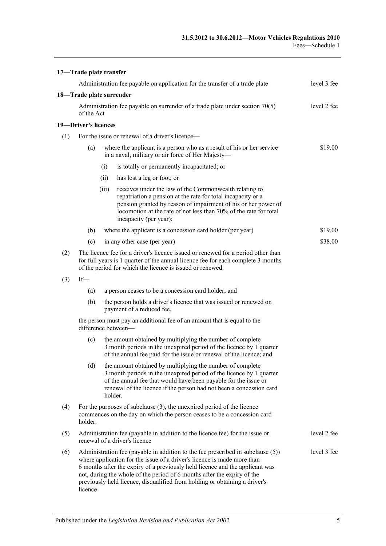|     | 17-Trade plate transfer                                                                                                                                                                                                           |             |                                                                                                                                                                                                                                                                                                                                                                                                     |             |
|-----|-----------------------------------------------------------------------------------------------------------------------------------------------------------------------------------------------------------------------------------|-------------|-----------------------------------------------------------------------------------------------------------------------------------------------------------------------------------------------------------------------------------------------------------------------------------------------------------------------------------------------------------------------------------------------------|-------------|
|     |                                                                                                                                                                                                                                   |             | Administration fee payable on application for the transfer of a trade plate                                                                                                                                                                                                                                                                                                                         | level 3 fee |
|     | 18-Trade plate surrender                                                                                                                                                                                                          |             |                                                                                                                                                                                                                                                                                                                                                                                                     |             |
|     | Administration fee payable on surrender of a trade plate under section $70(5)$<br>of the Act                                                                                                                                      | level 2 fee |                                                                                                                                                                                                                                                                                                                                                                                                     |             |
|     | 19-Driver's licences                                                                                                                                                                                                              |             |                                                                                                                                                                                                                                                                                                                                                                                                     |             |
| (1) |                                                                                                                                                                                                                                   |             | For the issue or renewal of a driver's licence—                                                                                                                                                                                                                                                                                                                                                     |             |
|     | (a)                                                                                                                                                                                                                               |             | where the applicant is a person who as a result of his or her service<br>in a naval, military or air force of Her Majesty-                                                                                                                                                                                                                                                                          | \$19.00     |
|     |                                                                                                                                                                                                                                   | (i)         | is totally or permanently incapacitated; or                                                                                                                                                                                                                                                                                                                                                         |             |
|     |                                                                                                                                                                                                                                   | (ii)        | has lost a leg or foot; or                                                                                                                                                                                                                                                                                                                                                                          |             |
|     |                                                                                                                                                                                                                                   | (iii)       | receives under the law of the Commonwealth relating to<br>repatriation a pension at the rate for total incapacity or a<br>pension granted by reason of impairment of his or her power of<br>locomotion at the rate of not less than 70% of the rate for total<br>incapacity (per year);                                                                                                             |             |
|     | (b)                                                                                                                                                                                                                               |             | where the applicant is a concession card holder (per year)                                                                                                                                                                                                                                                                                                                                          | \$19.00     |
|     | (c)                                                                                                                                                                                                                               |             | in any other case (per year)                                                                                                                                                                                                                                                                                                                                                                        | \$38.00     |
| (2) | The licence fee for a driver's licence issued or renewed for a period other than<br>for full years is 1 quarter of the annual licence fee for each complete 3 months<br>of the period for which the licence is issued or renewed. |             |                                                                                                                                                                                                                                                                                                                                                                                                     |             |
| (3) | $If$ —                                                                                                                                                                                                                            |             |                                                                                                                                                                                                                                                                                                                                                                                                     |             |
|     | (a)                                                                                                                                                                                                                               |             | a person ceases to be a concession card holder; and                                                                                                                                                                                                                                                                                                                                                 |             |
|     | (b)                                                                                                                                                                                                                               |             | the person holds a driver's licence that was issued or renewed on<br>payment of a reduced fee,                                                                                                                                                                                                                                                                                                      |             |
|     |                                                                                                                                                                                                                                   |             | the person must pay an additional fee of an amount that is equal to the<br>difference between-                                                                                                                                                                                                                                                                                                      |             |
|     | (c)                                                                                                                                                                                                                               |             | the amount obtained by multiplying the number of complete<br>3 month periods in the unexpired period of the licence by 1 quarter<br>of the annual fee paid for the issue or renewal of the licence; and                                                                                                                                                                                             |             |
|     | (d)                                                                                                                                                                                                                               |             | the amount obtained by multiplying the number of complete<br>3 month periods in the unexpired period of the licence by 1 quarter<br>of the annual fee that would have been payable for the issue or<br>renewal of the licence if the person had not been a concession card<br>holder.                                                                                                               |             |
| (4) | holder.                                                                                                                                                                                                                           |             | For the purposes of subclause $(3)$ , the unexpired period of the licence<br>commences on the day on which the person ceases to be a concession card                                                                                                                                                                                                                                                |             |
| (5) |                                                                                                                                                                                                                                   |             | Administration fee (payable in addition to the licence fee) for the issue or<br>renewal of a driver's licence                                                                                                                                                                                                                                                                                       | level 2 fee |
| (6) | licence                                                                                                                                                                                                                           |             | Administration fee (payable in addition to the fee prescribed in subclause (5))<br>where application for the issue of a driver's licence is made more than<br>6 months after the expiry of a previously held licence and the applicant was<br>not, during the whole of the period of 6 months after the expiry of the<br>previously held licence, disqualified from holding or obtaining a driver's | level 3 fee |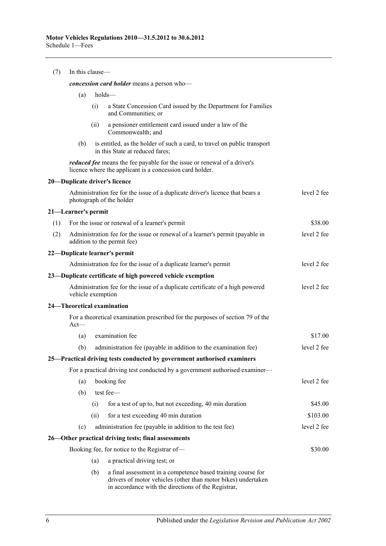| (7) | In this clause-     |      |                                                                                                                                                                                      |             |  |  |
|-----|---------------------|------|--------------------------------------------------------------------------------------------------------------------------------------------------------------------------------------|-------------|--|--|
|     |                     |      | concession card holder means a person who-                                                                                                                                           |             |  |  |
|     | (a)                 |      | holds—                                                                                                                                                                               |             |  |  |
|     |                     | (i)  | a State Concession Card issued by the Department for Families<br>and Communities; or                                                                                                 |             |  |  |
|     |                     | (ii) | a pensioner entitlement card issued under a law of the<br>Commonwealth; and                                                                                                          |             |  |  |
|     | (b)                 |      | is entitled, as the holder of such a card, to travel on public transport<br>in this State at reduced fares;                                                                          |             |  |  |
|     |                     |      | <i>reduced fee</i> means the fee payable for the issue or renewal of a driver's<br>licence where the applicant is a concession card holder.                                          |             |  |  |
|     |                     |      | 20-Duplicate driver's licence                                                                                                                                                        |             |  |  |
|     |                     |      | Administration fee for the issue of a duplicate driver's licence that bears a<br>photograph of the holder                                                                            | level 2 fee |  |  |
|     | 21—Learner's permit |      |                                                                                                                                                                                      |             |  |  |
| (1) |                     |      | For the issue or renewal of a learner's permit                                                                                                                                       | \$38.00     |  |  |
| (2) |                     |      | Administration fee for the issue or renewal of a learner's permit (payable in<br>addition to the permit fee)                                                                         | level 2 fee |  |  |
|     |                     |      | 22—Duplicate learner's permit                                                                                                                                                        |             |  |  |
|     |                     |      | Administration fee for the issue of a duplicate learner's permit                                                                                                                     | level 2 fee |  |  |
|     |                     |      | 23—Duplicate certificate of high powered vehicle exemption                                                                                                                           |             |  |  |
|     | vehicle exemption   |      | Administration fee for the issue of a duplicate certificate of a high powered                                                                                                        | level 2 fee |  |  |
|     |                     |      | 24-Theoretical examination                                                                                                                                                           |             |  |  |
|     | $Act$ —             |      | For a theoretical examination prescribed for the purposes of section 79 of the                                                                                                       |             |  |  |
|     | (a)                 |      | examination fee                                                                                                                                                                      | \$17.00     |  |  |
|     | (b)                 |      | administration fee (payable in addition to the examination fee)                                                                                                                      | level 2 fee |  |  |
|     |                     |      | 25—Practical driving tests conducted by government authorised examiners                                                                                                              |             |  |  |
|     |                     |      | For a practical driving test conducted by a government authorised examiner—                                                                                                          |             |  |  |
|     | (a)                 |      | booking fee                                                                                                                                                                          | level 2 fee |  |  |
|     | (b)                 |      | test fee-                                                                                                                                                                            |             |  |  |
|     |                     | (i)  | for a test of up to, but not exceeding, 40 min duration                                                                                                                              | \$45.00     |  |  |
|     |                     | (ii) | for a test exceeding 40 min duration                                                                                                                                                 | \$103.00    |  |  |
|     | (c)                 |      | administration fee (payable in addition to the test fee)                                                                                                                             | level 2 fee |  |  |
|     |                     |      | 26-Other practical driving tests; final assessments                                                                                                                                  |             |  |  |
|     |                     |      | Booking fee, for notice to the Registrar of-                                                                                                                                         | \$30.00     |  |  |
|     |                     | (a)  | a practical driving test; or                                                                                                                                                         |             |  |  |
|     |                     | (b)  | a final assessment in a competence based training course for<br>drivers of motor vehicles (other than motor bikes) undertaken<br>in accordance with the directions of the Registrar, |             |  |  |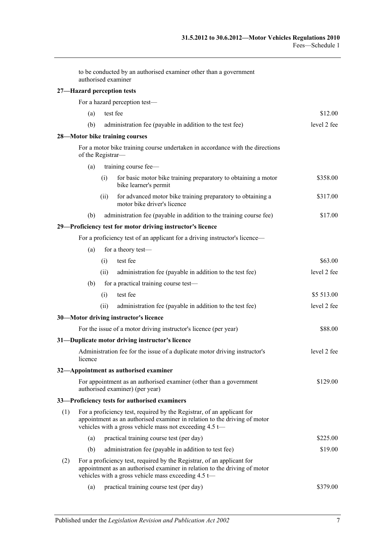|     |                   |      | to be conducted by an authorised examiner other than a government<br>authorised examiner                                                                                                                          |             |
|-----|-------------------|------|-------------------------------------------------------------------------------------------------------------------------------------------------------------------------------------------------------------------|-------------|
|     |                   |      | 27-Hazard perception tests                                                                                                                                                                                        |             |
|     |                   |      | For a hazard perception test-                                                                                                                                                                                     |             |
|     | (a)               |      | test fee                                                                                                                                                                                                          | \$12.00     |
|     | (b)               |      | administration fee (payable in addition to the test fee)                                                                                                                                                          | level 2 fee |
|     |                   |      | 28-Motor bike training courses                                                                                                                                                                                    |             |
|     | of the Registrar- |      | For a motor bike training course undertaken in accordance with the directions                                                                                                                                     |             |
|     | (a)               |      | training course fee-                                                                                                                                                                                              |             |
|     |                   | (i)  | for basic motor bike training preparatory to obtaining a motor<br>bike learner's permit                                                                                                                           | \$358.00    |
|     |                   | (ii) | for advanced motor bike training preparatory to obtaining a<br>motor bike driver's licence                                                                                                                        | \$317.00    |
|     | (b)               |      | administration fee (payable in addition to the training course fee)                                                                                                                                               | \$17.00     |
|     |                   |      | 29-Proficiency test for motor driving instructor's licence                                                                                                                                                        |             |
|     |                   |      | For a proficiency test of an applicant for a driving instructor's licence—                                                                                                                                        |             |
|     | (a)               |      | for a theory test-                                                                                                                                                                                                |             |
|     |                   | (i)  | test fee                                                                                                                                                                                                          | \$63.00     |
|     |                   | (ii) | administration fee (payable in addition to the test fee)                                                                                                                                                          | level 2 fee |
|     | (b)               |      | for a practical training course test-                                                                                                                                                                             |             |
|     |                   | (i)  | test fee                                                                                                                                                                                                          | \$5 513.00  |
|     |                   | (ii) | administration fee (payable in addition to the test fee)                                                                                                                                                          | level 2 fee |
|     |                   |      | 30-Motor driving instructor's licence                                                                                                                                                                             |             |
|     |                   |      | For the issue of a motor driving instructor's licence (per year)                                                                                                                                                  | \$88.00     |
|     |                   |      | 31-Duplicate motor driving instructor's licence                                                                                                                                                                   |             |
|     | licence           |      | Administration fee for the issue of a duplicate motor driving instructor's                                                                                                                                        | level 2 fee |
|     |                   |      | 32-Appointment as authorised examiner                                                                                                                                                                             |             |
|     |                   |      | For appointment as an authorised examiner (other than a government<br>authorised examiner) (per year)                                                                                                             | \$129.00    |
|     |                   |      | 33—Proficiency tests for authorised examiners                                                                                                                                                                     |             |
| (1) |                   |      | For a proficiency test, required by the Registrar, of an applicant for<br>appointment as an authorised examiner in relation to the driving of motor<br>vehicles with a gross vehicle mass not exceeding $4.5 t$ — |             |
|     | (a)               |      | practical training course test (per day)                                                                                                                                                                          | \$225.00    |
|     | (b)               |      | administration fee (payable in addition to test fee)                                                                                                                                                              | \$19.00     |
| (2) |                   |      | For a proficiency test, required by the Registrar, of an applicant for<br>appointment as an authorised examiner in relation to the driving of motor<br>vehicles with a gross vehicle mass exceeding 4.5 t-        |             |

(a) practical training course test (per day) \$379.00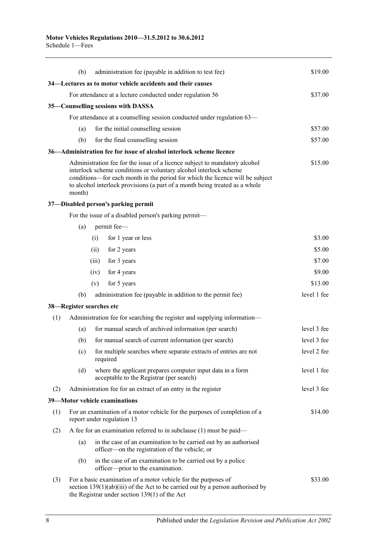|     | (b)    | administration fee (payable in addition to test fee)                                                                                                                                                                                                                                                            | \$19.00     |
|-----|--------|-----------------------------------------------------------------------------------------------------------------------------------------------------------------------------------------------------------------------------------------------------------------------------------------------------------------|-------------|
|     |        | 34—Lectures as to motor vehicle accidents and their causes                                                                                                                                                                                                                                                      |             |
|     |        | For attendance at a lecture conducted under regulation 56                                                                                                                                                                                                                                                       | \$37.00     |
|     |        | 35—Counselling sessions with DASSA                                                                                                                                                                                                                                                                              |             |
|     |        | For attendance at a counselling session conducted under regulation 63—                                                                                                                                                                                                                                          |             |
|     | (a)    | for the initial counselling session                                                                                                                                                                                                                                                                             | \$57.00     |
|     | (b)    | for the final counselling session                                                                                                                                                                                                                                                                               | \$57.00     |
|     |        | 36—Administration fee for issue of alcohol interlock scheme licence                                                                                                                                                                                                                                             |             |
|     | month) | Administration fee for the issue of a licence subject to mandatory alcohol<br>interlock scheme conditions or voluntary alcohol interlock scheme<br>conditions—for each month in the period for which the licence will be subject<br>to alcohol interlock provisions (a part of a month being treated as a whole | \$15.00     |
|     |        | 37-Disabled person's parking permit                                                                                                                                                                                                                                                                             |             |
|     |        | For the issue of a disabled person's parking permit—                                                                                                                                                                                                                                                            |             |
|     | (a)    | permit fee-                                                                                                                                                                                                                                                                                                     |             |
|     |        | for 1 year or less<br>(i)                                                                                                                                                                                                                                                                                       | \$3.00      |
|     |        | for 2 years<br>(ii)                                                                                                                                                                                                                                                                                             | \$5.00      |
|     |        | for 3 years<br>(iii)                                                                                                                                                                                                                                                                                            | \$7.00      |
|     |        | for 4 years<br>(iv)                                                                                                                                                                                                                                                                                             | \$9.00      |
|     |        | for 5 years<br>(v)                                                                                                                                                                                                                                                                                              | \$13.00     |
|     | (b)    | administration fee (payable in addition to the permit fee)                                                                                                                                                                                                                                                      | level 1 fee |
|     |        | 38—Register searches etc                                                                                                                                                                                                                                                                                        |             |
| (1) |        | Administration fee for searching the register and supplying information—                                                                                                                                                                                                                                        |             |
|     | (a)    | for manual search of archived information (per search)                                                                                                                                                                                                                                                          | level 3 fee |
|     | (b)    | for manual search of current information (per search)                                                                                                                                                                                                                                                           | level 3 fee |
|     | (c)    | for multiple searches where separate extracts of entries are not<br>required                                                                                                                                                                                                                                    | level 2 fee |
|     | (d)    | where the applicant prepares computer input data in a form<br>acceptable to the Registrar (per search)                                                                                                                                                                                                          | level 1 fee |
| (2) |        | Administration fee for an extract of an entry in the register                                                                                                                                                                                                                                                   | level 3 fee |
|     |        | 39-Motor vehicle examinations                                                                                                                                                                                                                                                                                   |             |
| (1) |        | For an examination of a motor vehicle for the purposes of completion of a<br>report under regulation 13                                                                                                                                                                                                         | \$14.00     |
| (2) |        | A fee for an examination referred to in subclause $(1)$ must be paid—                                                                                                                                                                                                                                           |             |
|     | (a)    | in the case of an examination to be carried out by an authorised<br>officer—on the registration of the vehicle; or                                                                                                                                                                                              |             |
|     | (b)    | in the case of an examination to be carried out by a police<br>officer---prior to the examination.                                                                                                                                                                                                              |             |
| (3) |        | For a basic examination of a motor vehicle for the purposes of<br>section $139(1)(ab)(iii)$ of the Act to be carried out by a person authorised by<br>the Registrar under section $139(1)$ of the Act                                                                                                           | \$33.00     |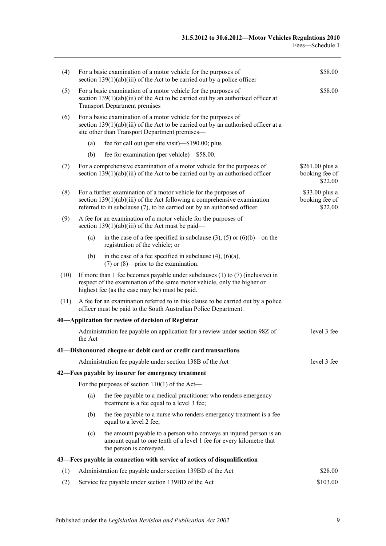| (4)  |                                                                                                                                                                                              | For a basic examination of a motor vehicle for the purposes of<br>section $139(1)(ab)(iii)$ of the Act to be carried out by a police officer                                                                               | \$58.00                                       |
|------|----------------------------------------------------------------------------------------------------------------------------------------------------------------------------------------------|----------------------------------------------------------------------------------------------------------------------------------------------------------------------------------------------------------------------------|-----------------------------------------------|
| (5)  | For a basic examination of a motor vehicle for the purposes of<br>section $139(1)(ab)(iii)$ of the Act to be carried out by an authorised officer at<br><b>Transport Department premises</b> |                                                                                                                                                                                                                            |                                               |
| (6)  |                                                                                                                                                                                              | For a basic examination of a motor vehicle for the purposes of<br>section $139(1)(ab)(iii)$ of the Act to be carried out by an authorised officer at a<br>site other than Transport Department premises-                   |                                               |
|      | (a)                                                                                                                                                                                          | fee for call out (per site visit)—\$190.00; plus                                                                                                                                                                           |                                               |
|      | (b)                                                                                                                                                                                          | fee for examination (per vehicle)—\$58.00.                                                                                                                                                                                 |                                               |
| (7)  |                                                                                                                                                                                              | For a comprehensive examination of a motor vehicle for the purposes of<br>section $139(1)(ab)(iii)$ of the Act to be carried out by an authorised officer                                                                  | $$261.00$ plus a<br>booking fee of<br>\$22.00 |
| (8)  |                                                                                                                                                                                              | For a further examination of a motor vehicle for the purposes of<br>section $139(1)(ab)(iii)$ of the Act following a comprehensive examination<br>referred to in subclause (7), to be carried out by an authorised officer | \$33.00 plus a<br>booking fee of<br>\$22.00   |
| (9)  |                                                                                                                                                                                              | A fee for an examination of a motor vehicle for the purposes of<br>section $139(1)(ab)(iii)$ of the Act must be paid—                                                                                                      |                                               |
|      | (a)                                                                                                                                                                                          | in the case of a fee specified in subclause (3), (5) or (6)(b)—on the<br>registration of the vehicle; or                                                                                                                   |                                               |
|      | (b)                                                                                                                                                                                          | in the case of a fee specified in subclause $(4)$ , $(6)(a)$ ,<br>$(7)$ or $(8)$ —prior to the examination.                                                                                                                |                                               |
| (10) |                                                                                                                                                                                              | If more than 1 fee becomes payable under subclauses $(1)$ to $(7)$ (inclusive) in<br>respect of the examination of the same motor vehicle, only the higher or<br>highest fee (as the case may be) must be paid.            |                                               |
| (11) |                                                                                                                                                                                              | A fee for an examination referred to in this clause to be carried out by a police<br>officer must be paid to the South Australian Police Department.                                                                       |                                               |
|      |                                                                                                                                                                                              | 40—Application for review of decision of Registrar                                                                                                                                                                         |                                               |
|      | the Act                                                                                                                                                                                      | Administration fee payable on application for a review under section 98Z of                                                                                                                                                | level 3 fee                                   |
|      |                                                                                                                                                                                              | 41—Dishonoured cheque or debit card or credit card transactions                                                                                                                                                            |                                               |
|      |                                                                                                                                                                                              | Administration fee payable under section 138B of the Act                                                                                                                                                                   | level 3 fee                                   |
|      |                                                                                                                                                                                              | 42—Fees payable by insurer for emergency treatment                                                                                                                                                                         |                                               |
|      |                                                                                                                                                                                              | For the purposes of section $110(1)$ of the Act—                                                                                                                                                                           |                                               |
|      | (a)                                                                                                                                                                                          | the fee payable to a medical practitioner who renders emergency<br>treatment is a fee equal to a level 3 fee;                                                                                                              |                                               |
|      | (b)                                                                                                                                                                                          | the fee payable to a nurse who renders emergency treatment is a fee<br>equal to a level 2 fee;                                                                                                                             |                                               |
|      | (c)                                                                                                                                                                                          | the amount payable to a person who conveys an injured person is an<br>amount equal to one tenth of a level 1 fee for every kilometre that<br>the person is conveyed.                                                       |                                               |
|      |                                                                                                                                                                                              | 43—Fees payable in connection with service of notices of disqualification                                                                                                                                                  |                                               |
| (1)  |                                                                                                                                                                                              | Administration fee payable under section 139BD of the Act                                                                                                                                                                  | \$28.00                                       |
| (2)  |                                                                                                                                                                                              | Service fee payable under section 139BD of the Act                                                                                                                                                                         | \$103.00                                      |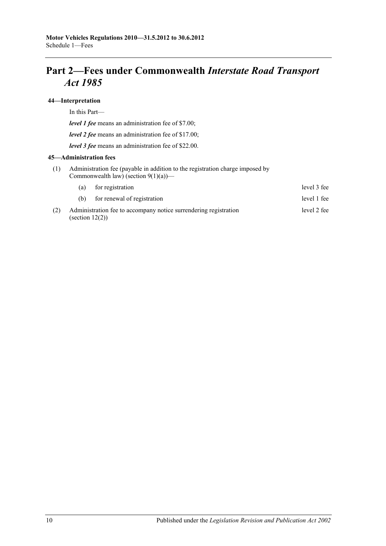## **Part 2—Fees under Commonwealth** *Interstate Road Transport Act 1985*

#### **44—Interpretation**

In this Part—

*level 1 fee* means an administration fee of \$7.00;

*level 2 fee* means an administration fee of \$17.00;

*level 3 fee* means an administration fee of \$22.00.

#### **45—Administration fees**

(1) Administration fee (payable in addition to the registration charge imposed by Commonwealth law) (section  $9(1)(a)$ )—

|     |                    | (a) for registration                                             | level 3 fee |
|-----|--------------------|------------------------------------------------------------------|-------------|
|     | (h)                | for renewal of registration                                      | level 1 fee |
| (2) | (section $12(2)$ ) | Administration fee to accompany notice surrendering registration | level 2 fee |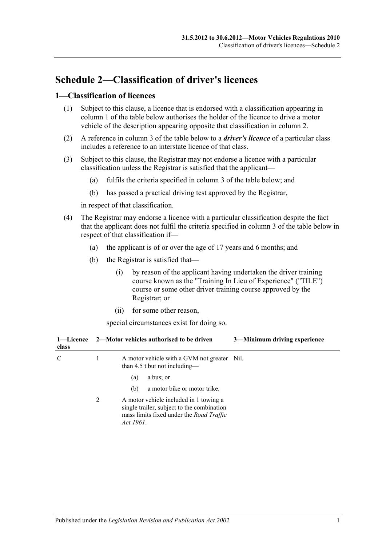## **Schedule 2—Classification of driver's licences**

### **1—Classification of licences**

- (1) Subject to this clause, a licence that is endorsed with a classification appearing in column 1 of the table below authorises the holder of the licence to drive a motor vehicle of the description appearing opposite that classification in column 2.
- (2) A reference in column 3 of the table below to a *driver's licence* of a particular class includes a reference to an interstate licence of that class.
- (3) Subject to this clause, the Registrar may not endorse a licence with a particular classification unless the Registrar is satisfied that the applicant—
	- (a) fulfils the criteria specified in column 3 of the table below; and
	- (b) has passed a practical driving test approved by the Registrar,

in respect of that classification.

- (4) The Registrar may endorse a licence with a particular classification despite the fact that the applicant does not fulfil the criteria specified in column 3 of the table below in respect of that classification if—
	- (a) the applicant is of or over the age of 17 years and 6 months; and
	- (b) the Registrar is satisfied that—
		- (i) by reason of the applicant having undertaken the driver training course known as the "Training In Lieu of Experience" ("TILE") course or some other driver training course approved by the Registrar; or
		- (ii) for some other reason,

special circumstances exist for doing so.

| 1—Licence<br>class |   | 3-Minimum driving experience<br>2—Motor vehicles authorised to be driven                                                                      |
|--------------------|---|-----------------------------------------------------------------------------------------------------------------------------------------------|
| C                  | 1 | A motor vehicle with a GVM not greater Nil.<br>than 4.5 t but not including—                                                                  |
|                    |   | a bus; or<br>(a)                                                                                                                              |
|                    |   | a motor bike or motor trike.<br>(b)                                                                                                           |
|                    | 2 | A motor vehicle included in 1 towing a<br>single trailer, subject to the combination<br>mass limits fixed under the Road Traffic<br>Act 1961. |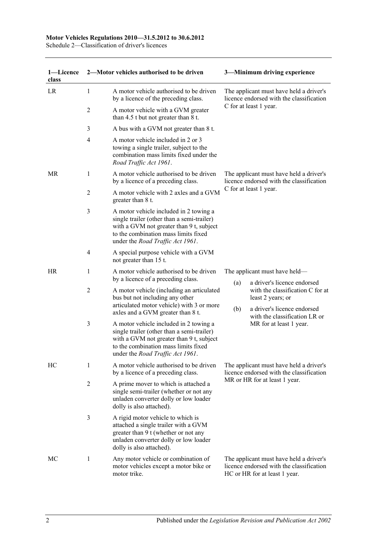#### **Motor Vehicles Regulations 2010—31.5.2012 to 30.6.2012**

Schedule 2—Classification of driver's licences

| 1-Licence<br>class |                | 2-Motor vehicles authorised to be driven                                                                                                                                                                     | 3-Minimum driving experience |                                                                                                                      |  |
|--------------------|----------------|--------------------------------------------------------------------------------------------------------------------------------------------------------------------------------------------------------------|------------------------------|----------------------------------------------------------------------------------------------------------------------|--|
| LR                 | 1              | A motor vehicle authorised to be driven<br>by a licence of the preceding class.                                                                                                                              |                              | The applicant must have held a driver's<br>licence endorsed with the classification                                  |  |
|                    | 2              | A motor vehicle with a GVM greater<br>than $4.5$ t but not greater than $8$ t.                                                                                                                               |                              | C for at least 1 year.                                                                                               |  |
|                    | 3              | A bus with a GVM not greater than 8 t.                                                                                                                                                                       |                              |                                                                                                                      |  |
|                    | 4              | A motor vehicle included in 2 or 3<br>towing a single trailer, subject to the<br>combination mass limits fixed under the<br>Road Traffic Act 1961.                                                           |                              |                                                                                                                      |  |
| MR.                | 1              | A motor vehicle authorised to be driven<br>by a licence of a preceding class.                                                                                                                                |                              | The applicant must have held a driver's<br>licence endorsed with the classification                                  |  |
|                    | $\overline{c}$ | A motor vehicle with 2 axles and a GVM<br>greater than 8 t.                                                                                                                                                  |                              | C for at least 1 year.                                                                                               |  |
|                    | 3              | A motor vehicle included in 2 towing a<br>single trailer (other than a semi-trailer)<br>with a GVM not greater than 9 t, subject<br>to the combination mass limits fixed<br>under the Road Traffic Act 1961. |                              |                                                                                                                      |  |
|                    | 4              | A special purpose vehicle with a GVM<br>not greater than 15 t.                                                                                                                                               |                              |                                                                                                                      |  |
| <b>HR</b>          | 1              | A motor vehicle authorised to be driven<br>by a licence of a preceding class.                                                                                                                                | (a)                          | The applicant must have held—<br>a driver's licence endorsed                                                         |  |
|                    | $\overline{2}$ | A motor vehicle (including an articulated<br>bus but not including any other<br>articulated motor vehicle) with 3 or more                                                                                    |                              | with the classification C for at<br>least 2 years; or                                                                |  |
|                    |                | axles and a GVM greater than 8 t.                                                                                                                                                                            | (b)                          | a driver's licence endorsed<br>with the classification LR or                                                         |  |
|                    | 3              | A motor vehicle included in 2 towing a<br>single trailer (other than a semi-trailer)<br>with a GVM not greater than 9 t, subject<br>to the combination mass limits fixed<br>under the Road Traffic Act 1961. |                              | MR for at least 1 year.                                                                                              |  |
| HC                 | 1              | A motor vehicle authorised to be driven<br>by a licence of a preceding class.                                                                                                                                |                              | The applicant must have held a driver's<br>licence endorsed with the classification                                  |  |
|                    | $\overline{c}$ | A prime mover to which is attached a<br>single semi-trailer (whether or not any<br>unladen converter dolly or low loader<br>dolly is also attached).                                                         |                              | MR or HR for at least 1 year.                                                                                        |  |
|                    | 3              | A rigid motor vehicle to which is<br>attached a single trailer with a GVM<br>greater than 9 t (whether or not any<br>unladen converter dolly or low loader<br>dolly is also attached).                       |                              |                                                                                                                      |  |
| МC                 | 1              | Any motor vehicle or combination of<br>motor vehicles except a motor bike or<br>motor trike.                                                                                                                 |                              | The applicant must have held a driver's<br>licence endorsed with the classification<br>HC or HR for at least 1 year. |  |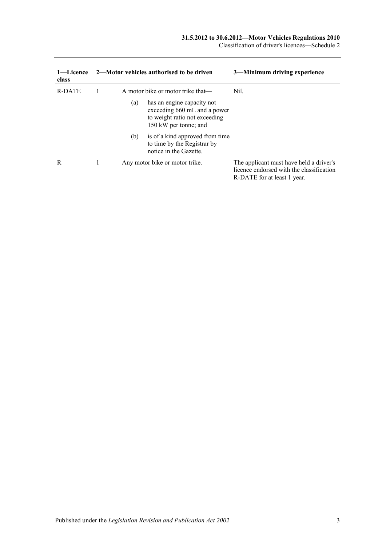Classification of driver's licences—Schedule 2

| 1—Licence<br>class |     | 2—Motor vehicles authorised to be driven                                                                             | 3—Minimum driving experience                                                                                       |
|--------------------|-----|----------------------------------------------------------------------------------------------------------------------|--------------------------------------------------------------------------------------------------------------------|
| R-DATE             |     | A motor bike or motor trike that—                                                                                    | Nil.                                                                                                               |
|                    | (a) | has an engine capacity not<br>exceeding 660 mL and a power<br>to weight ratio not exceeding<br>150 kW per tonne; and |                                                                                                                    |
|                    | (b) | is of a kind approved from time<br>to time by the Registrar by<br>notice in the Gazette.                             |                                                                                                                    |
| R                  |     | Any motor bike or motor trike.                                                                                       | The applicant must have held a driver's<br>licence endorsed with the classification<br>R-DATE for at least 1 year. |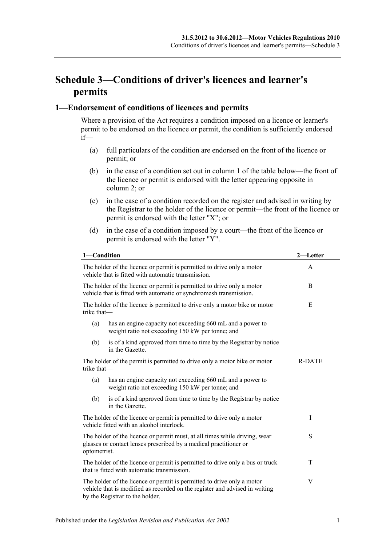## **Schedule 3—Conditions of driver's licences and learner's permits**

### **1—Endorsement of conditions of licences and permits**

Where a provision of the Act requires a condition imposed on a licence or learner's permit to be endorsed on the licence or permit, the condition is sufficiently endorsed if—

- (a) full particulars of the condition are endorsed on the front of the licence or permit; or
- (b) in the case of a condition set out in column 1 of the table below—the front of the licence or permit is endorsed with the letter appearing opposite in column 2; or
- (c) in the case of a condition recorded on the register and advised in writing by the Registrar to the holder of the licence or permit—the front of the licence or permit is endorsed with the letter "X"; or
- (d) in the case of a condition imposed by a court—the front of the licence or permit is endorsed with the letter "Y".

| 1-Condition                                                                                                                                                          |                                                                                                                                                                                          | 2—Letter |  |  |  |
|----------------------------------------------------------------------------------------------------------------------------------------------------------------------|------------------------------------------------------------------------------------------------------------------------------------------------------------------------------------------|----------|--|--|--|
|                                                                                                                                                                      | The holder of the licence or permit is permitted to drive only a motor<br>A<br>vehicle that is fitted with automatic transmission.                                                       |          |  |  |  |
| The holder of the licence or permit is permitted to drive only a motor<br>vehicle that is fitted with automatic or synchromesh transmission.                         | B                                                                                                                                                                                        |          |  |  |  |
| trike that-                                                                                                                                                          | The holder of the licence is permitted to drive only a motor bike or motor                                                                                                               | E        |  |  |  |
| (a)                                                                                                                                                                  | has an engine capacity not exceeding 660 mL and a power to<br>weight ratio not exceeding 150 kW per tonne; and                                                                           |          |  |  |  |
| (b)                                                                                                                                                                  | is of a kind approved from time to time by the Registrar by notice<br>in the Gazette.                                                                                                    |          |  |  |  |
| The holder of the permit is permitted to drive only a motor bike or motor<br>trike that-                                                                             | <b>R-DATE</b>                                                                                                                                                                            |          |  |  |  |
| (a)                                                                                                                                                                  | has an engine capacity not exceeding 660 mL and a power to<br>weight ratio not exceeding 150 kW per tonne; and                                                                           |          |  |  |  |
| (b)                                                                                                                                                                  | is of a kind approved from time to time by the Registrar by notice<br>in the Gazette.                                                                                                    |          |  |  |  |
| The holder of the licence or permit is permitted to drive only a motor<br>vehicle fitted with an alcohol interlock.                                                  | I                                                                                                                                                                                        |          |  |  |  |
| S<br>The holder of the licence or permit must, at all times while driving, wear<br>glasses or contact lenses prescribed by a medical practitioner or<br>optometrist. |                                                                                                                                                                                          |          |  |  |  |
|                                                                                                                                                                      | The holder of the licence or permit is permitted to drive only a bus or truck<br>that is fitted with automatic transmission.                                                             | T        |  |  |  |
|                                                                                                                                                                      | The holder of the licence or permit is permitted to drive only a motor<br>vehicle that is modified as recorded on the register and advised in writing<br>by the Registrar to the holder. | V        |  |  |  |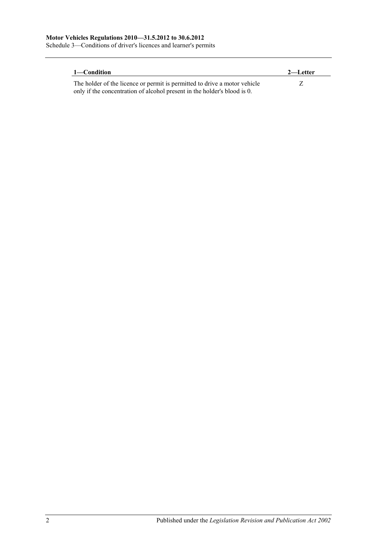Schedule 3—Conditions of driver's licences and learner's permits

| 1—Condition                                                               | 2—Letter |
|---------------------------------------------------------------------------|----------|
| The holder of the licence or permit is permitted to drive a motor vehicle |          |
| only if the concentration of alcohol present in the holder's blood is 0.  |          |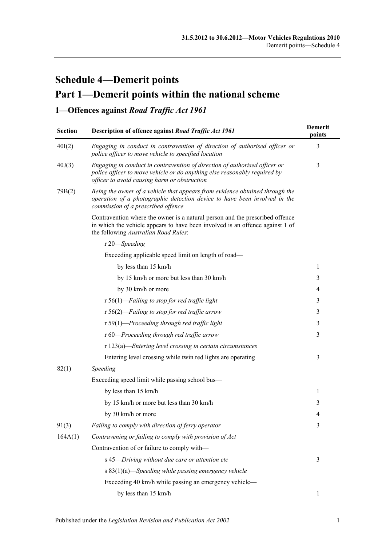# **Schedule 4—Demerit points Part 1—Demerit points within the national scheme**

### **1—Offences against** *Road Traffic Act 1961*

| <b>Section</b> | <b>Demerit</b><br>points                                                                                                                                                                                |   |
|----------------|---------------------------------------------------------------------------------------------------------------------------------------------------------------------------------------------------------|---|
| 40I(2)         | Engaging in conduct in contravention of direction of authorised officer or<br>police officer to move vehicle to specified location                                                                      | 3 |
| 40J(3)         | Engaging in conduct in contravention of direction of authorised officer or<br>police officer to move vehicle or do anything else reasonably required by<br>officer to avoid causing harm or obstruction | 3 |
| 79B(2)         | Being the owner of a vehicle that appears from evidence obtained through the<br>operation of a photographic detection device to have been involved in the<br>commission of a prescribed offence         |   |
|                | Contravention where the owner is a natural person and the prescribed offence<br>in which the vehicle appears to have been involved is an offence against 1 of<br>the following Australian Road Rules:   |   |
|                | r 20-Speeding                                                                                                                                                                                           |   |
|                | Exceeding applicable speed limit on length of road-                                                                                                                                                     |   |
|                | by less than 15 km/h                                                                                                                                                                                    | 1 |
|                | by 15 km/h or more but less than 30 km/h                                                                                                                                                                | 3 |
|                | by 30 km/h or more                                                                                                                                                                                      | 4 |
|                | $r 56(1)$ -Failing to stop for red traffic light                                                                                                                                                        | 3 |
|                | $r 56(2)$ -Failing to stop for red traffic arrow                                                                                                                                                        | 3 |
|                | $r 59(1)$ -Proceeding through red traffic light                                                                                                                                                         | 3 |
|                | r 60-Proceeding through red traffic arrow                                                                                                                                                               | 3 |
|                | $r 123(a)$ -Entering level crossing in certain circumstances                                                                                                                                            |   |
|                | Entering level crossing while twin red lights are operating                                                                                                                                             | 3 |
| 82(1)          | Speeding                                                                                                                                                                                                |   |
|                | Exceeding speed limit while passing school bus-                                                                                                                                                         |   |
|                | by less than 15 km/h                                                                                                                                                                                    | 1 |
|                | by 15 km/h or more but less than 30 km/h                                                                                                                                                                | 3 |
|                | by 30 km/h or more                                                                                                                                                                                      | 4 |
| 91(3)          | Failing to comply with direction of ferry operator                                                                                                                                                      | 3 |
| 164A(1)        | Contravening or failing to comply with provision of Act                                                                                                                                                 |   |
|                | Contravention of or failure to comply with-                                                                                                                                                             |   |
|                | s 45-Driving without due care or attention etc                                                                                                                                                          | 3 |
|                | s 83(1)(a)—Speeding while passing emergency vehicle                                                                                                                                                     |   |
|                | Exceeding 40 km/h while passing an emergency vehicle-                                                                                                                                                   |   |
|                | by less than 15 km/h                                                                                                                                                                                    | 1 |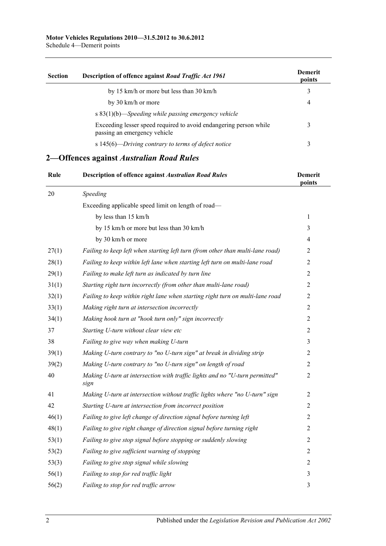Schedule 4—Demerit points

| <b>Section</b> | Description of offence against Road Traffic Act 1961                                              | <b>Demerit</b><br>points |
|----------------|---------------------------------------------------------------------------------------------------|--------------------------|
|                | by 15 km/h or more but less than 30 km/h                                                          | 3                        |
|                | by 30 km/h or more                                                                                | $\overline{4}$           |
|                | s 83(1)(b)-Speeding while passing emergency vehicle                                               |                          |
|                | Exceeding lesser speed required to avoid endangering person while<br>passing an emergency vehicle | 3                        |
|                | s $145(6)$ -Driving contrary to terms of defect notice                                            | 3                        |
|                | 2—Offences against Australian Road Rules                                                          |                          |
| Rule           | <b>Description of offence against Australian Road Rules</b>                                       | <b>Demerit</b><br>points |
| 20             | Speeding                                                                                          |                          |
|                | Exceeding applicable speed limit on length of road-                                               |                          |
|                | by less than 15 km/h                                                                              | 1                        |
|                | by 15 km/h or more but less than 30 km/h                                                          | 3                        |
|                | by 30 km/h or more                                                                                | $\overline{4}$           |
| 27(1)          | Failing to keep left when starting left turn (from other than multi-lane road)                    | 2                        |
| 28(1)          | Failing to keep within left lane when starting left turn on multi-lane road                       | 2                        |
| 29(1)          | Failing to make left turn as indicated by turn line                                               | $\overline{2}$           |
| 31(1)          | Starting right turn incorrectly (from other than multi-lane road)                                 | 2                        |
| 32(1)          | Failing to keep within right lane when starting right turn on multi-lane road                     | 2                        |
| 33(1)          | Making right turn at intersection incorrectly                                                     | 2                        |
| 34(1)          | Making hook turn at "hook turn only" sign incorrectly                                             | 2                        |
| 37             | Starting U-turn without clear view etc                                                            | 2                        |
| 38             | Failing to give way when making U-turn                                                            | 3                        |
| 39(1)          | Making U-turn contrary to "no U-turn sign" at break in dividing strip                             | 2                        |
| 39(2)          | Making U-turn contrary to "no U-turn sign" on length of road                                      | $\overline{2}$           |
| 40             | Making U-turn at intersection with traffic lights and no "U-turn permitted"<br>sign               | $\overline{2}$           |
| 41             | Making U-turn at intersection without traffic lights where "no U-turn" sign                       | $\overline{2}$           |
| 42             | Starting U-turn at intersection from incorrect position                                           | $\overline{c}$           |
| 46(1)          | Failing to give left change of direction signal before turning left                               | 2                        |
| 48(1)          | Failing to give right change of direction signal before turning right                             | 2                        |
| 53(1)          | Failing to give stop signal before stopping or suddenly slowing                                   | 2                        |
| 53(2)          | Failing to give sufficient warning of stopping                                                    | 2                        |
| 53(3)          | Failing to give stop signal while slowing                                                         | 2                        |
| 56(1)          | Failing to stop for red traffic light                                                             | 3                        |
| 56(2)          | Failing to stop for red traffic arrow                                                             | 3                        |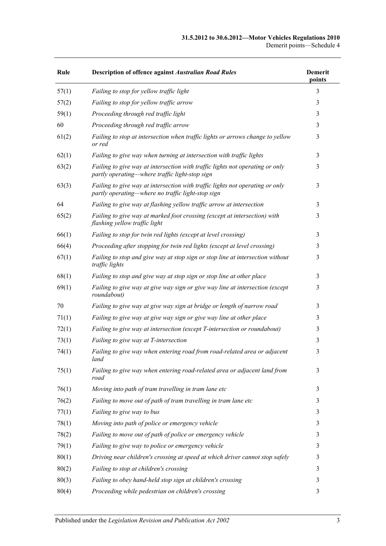| Rule  | <b>Description of offence against Australian Road Rules</b>                                                                        | <b>Demerit</b><br>points |
|-------|------------------------------------------------------------------------------------------------------------------------------------|--------------------------|
| 57(1) | Failing to stop for yellow traffic light                                                                                           | 3                        |
| 57(2) | Failing to stop for yellow traffic arrow                                                                                           | 3                        |
| 59(1) | Proceeding through red traffic light                                                                                               | 3                        |
| 60    | Proceeding through red traffic arrow                                                                                               | 3                        |
| 61(2) | Failing to stop at intersection when traffic lights or arrows change to yellow<br>or red                                           | 3                        |
| 62(1) | Failing to give way when turning at intersection with traffic lights                                                               | 3                        |
| 63(2) | Failing to give way at intersection with traffic lights not operating or only<br>partly operating—where traffic light-stop sign    | 3                        |
| 63(3) | Failing to give way at intersection with traffic lights not operating or only<br>partly operating—where no traffic light-stop sign | 3                        |
| 64    | Failing to give way at flashing yellow traffic arrow at intersection                                                               | 3                        |
| 65(2) | Failing to give way at marked foot crossing (except at intersection) with<br>flashing yellow traffic light                         | 3                        |
| 66(1) | Failing to stop for twin red lights (except at level crossing)                                                                     | 3                        |
| 66(4) | Proceeding after stopping for twin red lights (except at level crossing)                                                           | 3                        |
| 67(1) | Failing to stop and give way at stop sign or stop line at intersection without<br>traffic lights                                   | 3                        |
| 68(1) | Failing to stop and give way at stop sign or stop line at other place                                                              | 3                        |
| 69(1) | Failing to give way at give way sign or give way line at intersection (except<br>roundabout)                                       | 3                        |
| 70    | Failing to give way at give way sign at bridge or length of narrow road                                                            | 3                        |
| 71(1) | Failing to give way at give way sign or give way line at other place                                                               | 3                        |
| 72(1) | Failing to give way at intersection (except T-intersection or roundabout)                                                          | 3                        |
| 73(1) | Failing to give way at T-intersection                                                                                              | 3                        |
| 74(1) | Failing to give way when entering road from road-related area or adjacent<br>land                                                  | 3                        |
| 75(1) | Failing to give way when entering road-related area or adjacent land from<br>road                                                  | 3                        |
| 76(1) | Moving into path of tram travelling in tram lane etc                                                                               | 3                        |
| 76(2) | Failing to move out of path of tram travelling in tram lane etc                                                                    | 3                        |
| 77(1) | Failing to give way to bus                                                                                                         | 3                        |
| 78(1) | Moving into path of police or emergency vehicle                                                                                    | 3                        |
| 78(2) | Failing to move out of path of police or emergency vehicle                                                                         | 3                        |
| 79(1) | Failing to give way to police or emergency vehicle                                                                                 | 3                        |
| 80(1) | Driving near children's crossing at speed at which driver cannot stop safely                                                       | 3                        |
| 80(2) | Failing to stop at children's crossing                                                                                             | 3                        |
| 80(3) | Failing to obey hand-held stop sign at children's crossing                                                                         | 3                        |
| 80(4) | Proceeding while pedestrian on children's crossing                                                                                 | 3                        |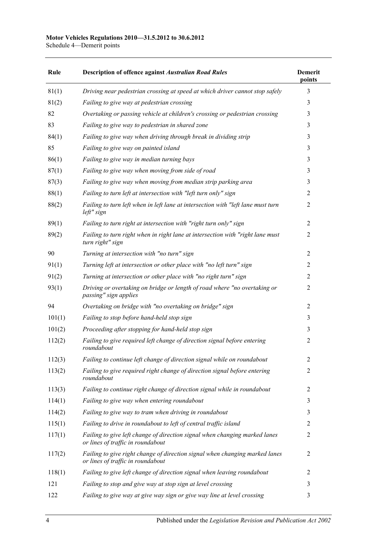#### **Motor Vehicles Regulations 2010—31.5.2012 to 30.6.2012**

Schedule 4—Demerit points

| Rule   | <b>Description of offence against Australian Road Rules</b>                                                      | <b>Demerit</b><br>points |
|--------|------------------------------------------------------------------------------------------------------------------|--------------------------|
| 81(1)  | Driving near pedestrian crossing at speed at which driver cannot stop safely                                     | 3                        |
| 81(2)  | Failing to give way at pedestrian crossing                                                                       | 3                        |
| 82     | Overtaking or passing vehicle at children's crossing or pedestrian crossing                                      | 3                        |
| 83     | Failing to give way to pedestrian in shared zone                                                                 | 3                        |
| 84(1)  | Failing to give way when driving through break in dividing strip                                                 | 3                        |
| 85     | Failing to give way on painted island                                                                            | 3                        |
| 86(1)  | Failing to give way in median turning bays                                                                       | 3                        |
| 87(1)  | Failing to give way when moving from side of road                                                                | 3                        |
| 87(3)  | Failing to give way when moving from median strip parking area                                                   | 3                        |
| 88(1)  | Failing to turn left at intersection with "left turn only" sign                                                  | 2                        |
| 88(2)  | Failing to turn left when in left lane at intersection with "left lane must turn<br>left" sign                   | 2                        |
| 89(1)  | Failing to turn right at intersection with "right turn only" sign                                                | $\overline{c}$           |
| 89(2)  | Failing to turn right when in right lane at intersection with "right lane must<br>turn right" sign               | 2                        |
| 90     | Turning at intersection with "no turn" sign                                                                      | 2                        |
| 91(1)  | Turning left at intersection or other place with "no left turn" sign                                             | 2                        |
| 91(2)  | Turning at intersection or other place with "no right turn" sign                                                 | 2                        |
| 93(1)  | Driving or overtaking on bridge or length of road where "no overtaking or<br>passing" sign applies               | $\overline{c}$           |
| 94     | Overtaking on bridge with "no overtaking on bridge" sign                                                         | $\overline{c}$           |
| 101(1) | Failing to stop before hand-held stop sign                                                                       | 3                        |
| 101(2) | Proceeding after stopping for hand-held stop sign                                                                | 3                        |
| 112(2) | Failing to give required left change of direction signal before entering<br>roundabout                           | $\overline{c}$           |
| 112(3) | Failing to continue left change of direction signal while on roundabout                                          | $\overline{c}$           |
| 113(2) | Failing to give required right change of direction signal before entering<br>roundabout                          | $\overline{c}$           |
| 113(3) | Failing to continue right change of direction signal while in roundabout                                         | 2                        |
| 114(1) | Failing to give way when entering roundabout                                                                     | 3                        |
| 114(2) | Failing to give way to tram when driving in roundabout                                                           | 3                        |
| 115(1) | Failing to drive in roundabout to left of central traffic island                                                 | $\overline{c}$           |
| 117(1) | Failing to give left change of direction signal when changing marked lanes<br>or lines of traffic in roundabout  | $\overline{c}$           |
| 117(2) | Failing to give right change of direction signal when changing marked lanes<br>or lines of traffic in roundabout | $\overline{c}$           |
| 118(1) | Failing to give left change of direction signal when leaving roundabout                                          | $\overline{c}$           |
| 121    | Failing to stop and give way at stop sign at level crossing                                                      | 3                        |
| 122    | Failing to give way at give way sign or give way line at level crossing                                          | 3                        |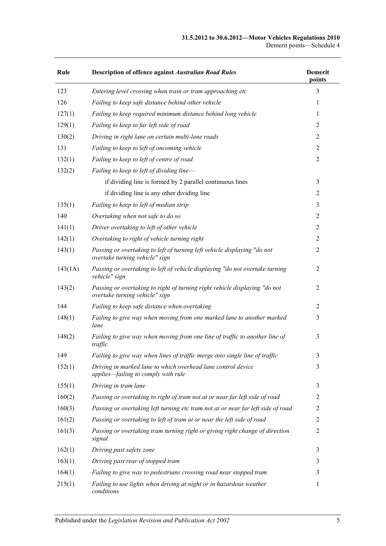#### **31.5.2012 to 30.6.2012—Motor Vehicles Regulations 2010** Demerit points—Schedule 4

| Rule    | <b>Description of offence against Australian Road Rules</b>                                                  | <b>Demerit</b><br>points |
|---------|--------------------------------------------------------------------------------------------------------------|--------------------------|
| 123     | Entering level crossing when train or tram approaching etc                                                   | 3                        |
| 126     | Failing to keep safe distance behind other vehicle                                                           | 1                        |
| 127(1)  | Failing to keep required minimum distance behind long vehicle                                                | 1                        |
| 129(1)  | Failing to keep to far left side of road                                                                     | 2                        |
| 130(2)  | Driving in right lane on certain multi-lane roads                                                            | 2                        |
| 131     | Failing to keep to left of oncoming vehicle                                                                  | $\overline{2}$           |
| 132(1)  | Failing to keep to left of centre of road                                                                    | $\overline{c}$           |
| 132(2)  | Failing to keep to left of dividing line-                                                                    |                          |
|         | if dividing line is formed by 2 parallel continuous lines                                                    | 3                        |
|         | if dividing line is any other dividing line                                                                  | $\overline{2}$           |
| 135(1)  | Failing to keep to left of median strip                                                                      | 3                        |
| 140     | Overtaking when not safe to do so                                                                            | $\overline{2}$           |
| 141(1)  | Driver overtaking to left of other vehicle                                                                   | $\overline{2}$           |
| 142(1)  | Overtaking to right of vehicle turning right                                                                 | $\overline{2}$           |
| 143(1)  | Passing or overtaking to left of turning left vehicle displaying "do not<br>overtake turning vehicle" sign   | $\overline{c}$           |
| 143(1A) | Passing or overtaking to left of vehicle displaying "do not overtake turning<br>vehicle" sign                | $\overline{c}$           |
| 143(2)  | Passing or overtaking to right of turning right vehicle displaying "do not<br>overtake turning vehicle" sign | 2                        |
| 144     | Failing to keep safe distance when overtaking                                                                | $\overline{2}$           |
| 148(1)  | Failing to give way when moving from one marked lane to another marked<br>lane                               | 3                        |
| 148(2)  | Failing to give way when moving from one line of traffic to another line of<br>traffic                       | 3                        |
| 149     | Failing to give way when lines of traffic merge into single line of traffic                                  | 3                        |
| 152(1)  | Driving in marked lane to which overhead lane control device<br>applies-failing to comply with rule          | 3                        |
| 155(1)  | Driving in tram lane                                                                                         | 3                        |
| 160(2)  | Passing or overtaking to right of tram not at or near far left side of road                                  | 2                        |
| 160(3)  | Passing or overtaking left turning etc tram not at or near far left side of road                             | 2                        |
| 161(2)  | Passing or overtaking to left of tram at or near the left side of road                                       | $\overline{c}$           |
| 161(3)  | Passing or overtaking tram turning right or giving right change of direction<br>signal                       | 2                        |
| 162(1)  | Driving past safety zone                                                                                     | 3                        |
| 163(1)  | Driving past rear of stopped tram                                                                            | 3                        |
| 164(1)  | Failing to give way to pedestrians crossing road near stopped tram                                           | 3                        |
| 215(1)  | Failing to use lights when driving at night or in hazardous weather<br>conditions                            | 1                        |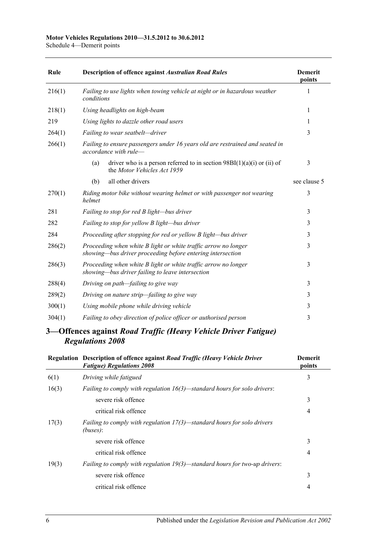| Rule   | <b>Description of offence against Australian Road Rules</b>                                                                  | <b>Demerit</b><br>points |
|--------|------------------------------------------------------------------------------------------------------------------------------|--------------------------|
| 216(1) | Failing to use lights when towing vehicle at night or in hazardous weather<br>conditions                                     | 1                        |
| 218(1) | Using headlights on high-beam                                                                                                | 1                        |
| 219    | Using lights to dazzle other road users                                                                                      | 1                        |
| 264(1) | Failing to wear seatbelt-driver                                                                                              | 3                        |
| 266(1) | Failing to ensure passengers under 16 years old are restrained and seated in<br>accordance with rule-                        |                          |
|        | driver who is a person referred to in section $98B(1)(a)(i)$ or (ii) of<br>(a)<br>the Motor Vehicles Act 1959                | 3                        |
|        | all other drivers<br>(b)                                                                                                     | see clause 5             |
| 270(1) | Riding motor bike without wearing helmet or with passenger not wearing<br>helmet                                             | 3                        |
| 281    | Failing to stop for red B light-bus driver                                                                                   | 3                        |
| 282    | Failing to stop for yellow B light-bus driver                                                                                | 3                        |
| 284    | Proceeding after stopping for red or yellow B light-bus driver                                                               | 3                        |
| 286(2) | Proceeding when white B light or white traffic arrow no longer<br>showing-bus driver proceeding before entering intersection | 3                        |
| 286(3) | Proceeding when white B light or white traffic arrow no longer<br>showing—bus driver failing to leave intersection           | 3                        |
| 288(4) | Driving on path—failing to give way                                                                                          | 3                        |
| 289(2) | Driving on nature strip-failing to give way                                                                                  | 3                        |
| 300(1) | Using mobile phone while driving vehicle                                                                                     | 3                        |
| 304(1) | Failing to obey direction of police officer or authorised person                                                             | 3                        |

### **3—Offences against** *Road Traffic (Heavy Vehicle Driver Fatigue) Regulations 2008*

|       | Regulation Description of offence against Road Traffic (Heavy Vehicle Driver<br><b>Fatigue) Regulations 2008</b> | <b>Demerit</b><br>points |
|-------|------------------------------------------------------------------------------------------------------------------|--------------------------|
| 6(1)  | Driving while fatigued                                                                                           | 3                        |
| 16(3) | <i>Failing to comply with regulation <math>16(3)</math>—standard hours for solo drivers:</i>                     |                          |
|       | severe risk offence                                                                                              | 3                        |
|       | critical risk offence                                                                                            | 4                        |
| 17(3) | Failing to comply with regulation $17(3)$ —standard hours for solo drivers<br>(buses):                           |                          |
|       | severe risk offence                                                                                              | 3                        |
|       | critical risk offence                                                                                            | 4                        |
| 19(3) | <i>Failing to comply with regulation <math>19(3)</math>—standard hours for two-up drivers:</i>                   |                          |
|       | severe risk offence                                                                                              | 3                        |
|       | critical risk offence                                                                                            | 4                        |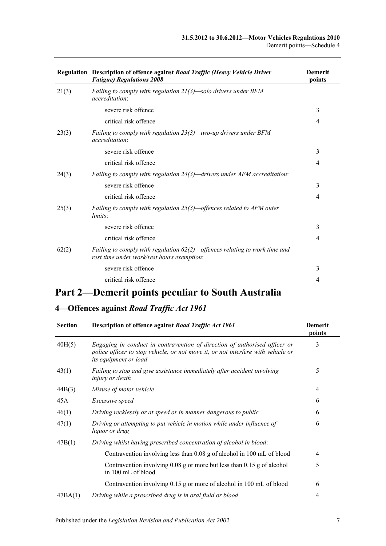|       | Regulation Description of offence against Road Traffic (Heavy Vehicle Driver<br><b>Fatigue) Regulations 2008</b>            | <b>Demerit</b><br>points |
|-------|-----------------------------------------------------------------------------------------------------------------------------|--------------------------|
| 21(3) | Failing to comply with regulation $21(3)$ —solo drivers under BFM<br><i>accreditation:</i>                                  |                          |
|       | severe risk offence                                                                                                         | 3                        |
|       | critical risk offence                                                                                                       | $\overline{4}$           |
| 23(3) | Failing to comply with regulation $23(3)$ —two-up drivers under BFM<br><i>accreditation:</i>                                |                          |
|       | severe risk offence                                                                                                         | 3                        |
|       | critical risk offence                                                                                                       | $\overline{4}$           |
| 24(3) | Failing to comply with regulation 24(3)—drivers under AFM accreditation:                                                    |                          |
|       | severe risk offence                                                                                                         | 3                        |
|       | critical risk offence                                                                                                       | $\overline{4}$           |
| 25(3) | Failing to comply with regulation $25(3)$ —offences related to AFM outer<br>limits:                                         |                          |
|       | severe risk offence                                                                                                         | 3                        |
|       | critical risk offence                                                                                                       | $\overline{4}$           |
| 62(2) | Failing to comply with regulation $62(2)$ —offences relating to work time and<br>rest time under work/rest hours exemption: |                          |
|       | severe risk offence                                                                                                         | 3                        |
|       | critical risk offence                                                                                                       | 4                        |
|       |                                                                                                                             |                          |

## **Part 2—Demerit points peculiar to South Australia**

### **4—Offences against** *Road Traffic Act 1961*

| <b>Section</b> | Description of offence against Road Traffic Act 1961                                                                                                                                           | <b>Demerit</b><br>points |
|----------------|------------------------------------------------------------------------------------------------------------------------------------------------------------------------------------------------|--------------------------|
| 40H(5)         | Engaging in conduct in contravention of direction of authorised officer or<br>police officer to stop vehicle, or not move it, or not interfere with vehicle or<br><i>its equipment or load</i> | 3                        |
| 43(1)          | Failing to stop and give assistance immediately after accident involving<br><i>injury or death</i>                                                                                             | 5                        |
| 44B(3)         | Misuse of motor vehicle                                                                                                                                                                        | $\overline{4}$           |
| 45A            | Excessive speed                                                                                                                                                                                | 6                        |
| 46(1)          | Driving recklessly or at speed or in manner dangerous to public                                                                                                                                | 6                        |
| 47(1)          | Driving or attempting to put vehicle in motion while under influence of<br><i>liquor or drug</i>                                                                                               | 6                        |
| 47B(1)         | Driving whilst having prescribed concentration of alcohol in blood:                                                                                                                            |                          |
|                | Contravention involving less than 0.08 g of alcohol in 100 mL of blood                                                                                                                         | 4                        |
|                | Contravention involving $0.08$ g or more but less than $0.15$ g of alcohol<br>in 100 mL of blood                                                                                               | 5                        |
|                | Contravention involving 0.15 g or more of alcohol in 100 mL of blood                                                                                                                           | 6                        |
| 47BA(1)        | Driving while a prescribed drug is in oral fluid or blood                                                                                                                                      | 4                        |
|                |                                                                                                                                                                                                |                          |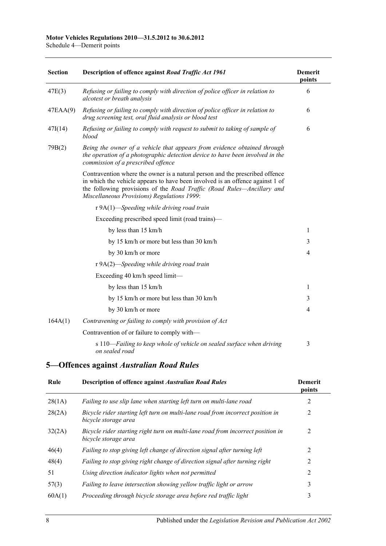| <b>Section</b> | Description of offence against Road Traffic Act 1961                                                                                                                                                                                                                                          | <b>Demerit</b><br>points |
|----------------|-----------------------------------------------------------------------------------------------------------------------------------------------------------------------------------------------------------------------------------------------------------------------------------------------|--------------------------|
| 47E(3)         | Refusing or failing to comply with direction of police officer in relation to<br>alcotest or breath analysis                                                                                                                                                                                  | 6                        |
| 47EAA(9)       | Refusing or failing to comply with direction of police officer in relation to<br>drug screening test, oral fluid analysis or blood test                                                                                                                                                       | 6                        |
| 47I(14)        | Refusing or failing to comply with request to submit to taking of sample of<br><i>blood</i>                                                                                                                                                                                                   | 6                        |
| 79B(2)         | Being the owner of a vehicle that appears from evidence obtained through<br>the operation of a photographic detection device to have been involved in the<br>commission of a prescribed offence                                                                                               |                          |
|                | Contravention where the owner is a natural person and the prescribed offence<br>in which the vehicle appears to have been involved is an offence against 1 of<br>the following provisions of the Road Traffic (Road Rules-Ancillary and<br><b>Miscellaneous Provisions) Regulations 1999:</b> |                          |
|                | $r 9A(1)$ —Speeding while driving road train                                                                                                                                                                                                                                                  |                          |
|                | Exceeding prescribed speed limit (road trains)—                                                                                                                                                                                                                                               |                          |
|                | by less than 15 km/h                                                                                                                                                                                                                                                                          | 1                        |
|                | by 15 km/h or more but less than 30 km/h                                                                                                                                                                                                                                                      | 3                        |
|                | by 30 km/h or more                                                                                                                                                                                                                                                                            | 4                        |
|                | r 9A(2)—Speeding while driving road train                                                                                                                                                                                                                                                     |                          |
|                | Exceeding 40 km/h speed limit-                                                                                                                                                                                                                                                                |                          |
|                | by less than 15 km/h                                                                                                                                                                                                                                                                          | 1                        |
|                | by 15 km/h or more but less than 30 km/h                                                                                                                                                                                                                                                      | 3                        |
|                | by 30 km/h or more                                                                                                                                                                                                                                                                            | 4                        |
| 164A(1)        | Contravening or failing to comply with provision of Act                                                                                                                                                                                                                                       |                          |
|                | Contravention of or failure to comply with—                                                                                                                                                                                                                                                   |                          |
|                | s 110—Failing to keep whole of vehicle on sealed surface when driving<br>on sealed road                                                                                                                                                                                                       | 3                        |

### **5—Offences against** *Australian Road Rules*

| Rule   | <b>Description of offence against Australian Road Rules</b>                                             | <b>Demerit</b><br>points |
|--------|---------------------------------------------------------------------------------------------------------|--------------------------|
| 28(1A) | Failing to use slip lane when starting left turn on multi-lane road                                     | 2                        |
| 28(2A) | Bicycle rider starting left turn on multi-lane road from incorrect position in<br>bicycle storage area  | 2                        |
| 32(2A) | Bicycle rider starting right turn on multi-lane road from incorrect position in<br>bicycle storage area | $\mathfrak{D}$           |
| 46(4)  | Failing to stop giving left change of direction signal after turning left                               | 2                        |
| 48(4)  | Failing to stop giving right change of direction signal after turning right                             | 2                        |
| 51     | Using direction indicator lights when not permitted                                                     | 2                        |
| 57(3)  | Failing to leave intersection showing yellow traffic light or arrow                                     | 3                        |
| 60A(1) | Proceeding through bicycle storage area before red traffic light                                        | 3                        |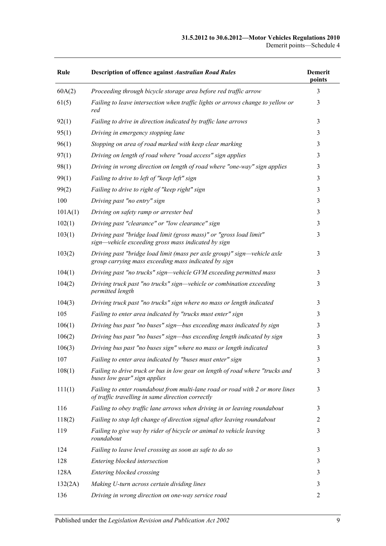#### **31.5.2012 to 30.6.2012—Motor Vehicles Regulations 2010** Demerit points—Schedule 4

| Rule    | <b>Description of offence against Australian Road Rules</b>                                                                        | <b>Demerit</b><br>points |
|---------|------------------------------------------------------------------------------------------------------------------------------------|--------------------------|
| 60A(2)  | Proceeding through bicycle storage area before red traffic arrow                                                                   | 3                        |
| 61(5)   | Failing to leave intersection when traffic lights or arrows change to yellow or<br>red                                             | 3                        |
| 92(1)   | Failing to drive in direction indicated by traffic lane arrows                                                                     | 3                        |
| 95(1)   | Driving in emergency stopping lane                                                                                                 | 3                        |
| 96(1)   | Stopping on area of road marked with keep clear marking                                                                            | 3                        |
| 97(1)   | Driving on length of road where "road access" sign applies                                                                         | 3                        |
| 98(1)   | Driving in wrong direction on length of road where "one-way" sign applies                                                          | 3                        |
| 99(1)   | Failing to drive to left of "keep left" sign                                                                                       | 3                        |
| 99(2)   | Failing to drive to right of "keep right" sign                                                                                     | 3                        |
| 100     | Driving past "no entry" sign                                                                                                       | 3                        |
| 101A(1) | Driving on safety ramp or arrester bed                                                                                             | 3                        |
| 102(1)  | Driving past "clearance" or "low clearance" sign                                                                                   | 3                        |
| 103(1)  | Driving past "bridge load limit (gross mass)" or "gross load limit"<br>sign—vehicle exceeding gross mass indicated by sign         | 3                        |
| 103(2)  | Driving past "bridge load limit (mass per axle group)" sign—vehicle axle<br>group carrying mass exceeding mass indicated by sign   | 3                        |
| 104(1)  | Driving past "no trucks" sign—vehicle GVM exceeding permitted mass                                                                 | 3                        |
| 104(2)  | Driving truck past "no trucks" sign—vehicle or combination exceeding<br>permitted length                                           | 3                        |
| 104(3)  | Driving truck past "no trucks" sign where no mass or length indicated                                                              | 3                        |
| 105     | Failing to enter area indicated by "trucks must enter" sign                                                                        | 3                        |
| 106(1)  | Driving bus past "no buses" sign—bus exceeding mass indicated by sign                                                              | 3                        |
| 106(2)  | Driving bus past "no buses" sign—bus exceeding length indicated by sign                                                            | 3                        |
| 106(3)  | Driving bus past "no buses sign" where no mass or length indicated                                                                 | 3                        |
| 107     | Failing to enter area indicated by "buses must enter" sign                                                                         | 3                        |
| 108(1)  | Failing to drive truck or bus in low gear on length of road where "trucks and<br>buses low gear" sign applies                      | 3                        |
| 111(1)  | Failing to enter roundabout from multi-lane road or road with 2 or more lines<br>of traffic travelling in same direction correctly | 3                        |
| 116     | Failing to obey traffic lane arrows when driving in or leaving roundabout                                                          | 3                        |
| 118(2)  | Failing to stop left change of direction signal after leaving roundabout                                                           | $\overline{c}$           |
| 119     | Failing to give way by rider of bicycle or animal to vehicle leaving<br>roundabout                                                 | 3                        |
| 124     | Failing to leave level crossing as soon as safe to do so                                                                           | 3                        |
| 128     | Entering blocked intersection                                                                                                      | 3                        |
| 128A    | Entering blocked crossing                                                                                                          | 3                        |
| 132(2A) | Making U-turn across certain dividing lines                                                                                        | 3                        |
| 136     | Driving in wrong direction on one-way service road                                                                                 | 2                        |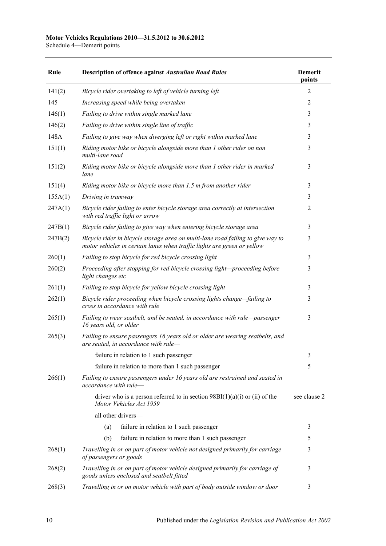Schedule 4—Demerit points

| Rule    | <b>Description of offence against Australian Road Rules</b>                                                                                                | <b>Demerit</b><br>points |
|---------|------------------------------------------------------------------------------------------------------------------------------------------------------------|--------------------------|
| 141(2)  | Bicycle rider overtaking to left of vehicle turning left                                                                                                   | 2                        |
| 145     | Increasing speed while being overtaken                                                                                                                     | $\overline{c}$           |
| 146(1)  | Failing to drive within single marked lane                                                                                                                 | 3                        |
| 146(2)  | Failing to drive within single line of traffic                                                                                                             | 3                        |
| 148A    | Failing to give way when diverging left or right within marked lane                                                                                        | 3                        |
| 151(1)  | Riding motor bike or bicycle alongside more than 1 other rider on non<br>multi-lane road                                                                   | 3                        |
| 151(2)  | Riding motor bike or bicycle alongside more than 1 other rider in marked<br>lane                                                                           | 3                        |
| 151(4)  | Riding motor bike or bicycle more than 1.5 m from another rider                                                                                            | 3                        |
| 155A(1) | Driving in tramway                                                                                                                                         | 3                        |
| 247A(1) | Bicycle rider failing to enter bicycle storage area correctly at intersection<br>with red traffic light or arrow                                           | 2                        |
| 247B(1) | Bicycle rider failing to give way when entering bicycle storage area                                                                                       | 3                        |
| 247B(2) | Bicycle rider in bicycle storage area on multi-lane road failing to give way to<br>motor vehicles in certain lanes when traffic lights are green or yellow | 3                        |
| 260(1)  | Failing to stop bicycle for red bicycle crossing light                                                                                                     | 3                        |
| 260(2)  | Proceeding after stopping for red bicycle crossing light-proceeding before<br>light changes etc                                                            | 3                        |
| 261(1)  | Failing to stop bicycle for yellow bicycle crossing light                                                                                                  | 3                        |
| 262(1)  | Bicycle rider proceeding when bicycle crossing lights change—failing to<br>cross in accordance with rule                                                   | 3                        |
| 265(1)  | Failing to wear seatbelt, and be seated, in accordance with rule-passenger<br>16 years old, or older                                                       | 3                        |
| 265(3)  | Failing to ensure passengers 16 years old or older are wearing seatbelts, and<br>are seated, in accordance with rule-                                      |                          |
|         | failure in relation to 1 such passenger                                                                                                                    | 3                        |
|         | failure in relation to more than 1 such passenger                                                                                                          | 5                        |
| 266(1)  | Failing to ensure passengers under 16 years old are restrained and seated in<br>accordance with rule-                                                      |                          |
|         | driver who is a person referred to in section $98B(1)(a)(i)$ or (ii) of the<br>Motor Vehicles Act 1959                                                     | see clause 2             |
|         | all other drivers-                                                                                                                                         |                          |
|         | failure in relation to 1 such passenger<br>(a)                                                                                                             | 3                        |
|         | (b)<br>failure in relation to more than 1 such passenger                                                                                                   | 5                        |
| 268(1)  | Travelling in or on part of motor vehicle not designed primarily for carriage<br>of passengers or goods                                                    | 3                        |
| 268(2)  | Travelling in or on part of motor vehicle designed primarily for carriage of<br>goods unless enclosed and seatbelt fitted                                  | 3                        |
| 268(3)  | Travelling in or on motor vehicle with part of body outside window or door                                                                                 | 3                        |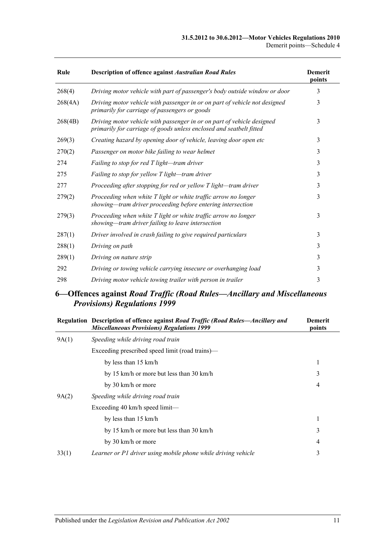| Rule    | <b>Description of offence against Australian Road Rules</b>                                                                                   | <b>Demerit</b><br>points |
|---------|-----------------------------------------------------------------------------------------------------------------------------------------------|--------------------------|
| 268(4)  | Driving motor vehicle with part of passenger's body outside window or door                                                                    | 3                        |
| 268(4A) | Driving motor vehicle with passenger in or on part of vehicle not designed<br>primarily for carriage of passengers or goods                   | 3                        |
| 268(4B) | Driving motor vehicle with passenger in or on part of vehicle designed<br>primarily for carriage of goods unless enclosed and seatbelt fitted | 3                        |
| 269(3)  | Creating hazard by opening door of vehicle, leaving door open etc                                                                             | 3                        |
| 270(2)  | Passenger on motor bike failing to wear helmet                                                                                                | 3                        |
| 274     | Failing to stop for red T light-tram driver                                                                                                   | 3                        |
| 275     | Failing to stop for yellow T light-tram driver                                                                                                | 3                        |
| 277     | Proceeding after stopping for red or yellow T light-tram driver                                                                               | 3                        |
| 279(2)  | Proceeding when white T light or white traffic arrow no longer<br>showing—tram driver proceeding before entering intersection                 | 3                        |
| 279(3)  | Proceeding when white T light or white traffic arrow no longer<br>showing—tram driver failing to leave intersection                           | 3                        |
| 287(1)  | Driver involved in crash failing to give required particulars                                                                                 | 3                        |
| 288(1)  | Driving on path                                                                                                                               | 3                        |
| 289(1)  | Driving on nature strip                                                                                                                       | 3                        |
| 292     | Driving or towing vehicle carrying insecure or overhanging load                                                                               | 3                        |
| 298     | Driving motor vehicle towing trailer with person in trailer                                                                                   | 3                        |

### **6—Offences against** *Road Traffic (Road Rules—Ancillary and Miscellaneous Provisions) Regulations 1999*

|       | Regulation Description of offence against Road Traffic (Road Rules—Ancillary and<br><b>Miscellaneous Provisions) Regulations 1999</b> | <b>Demerit</b><br>points |
|-------|---------------------------------------------------------------------------------------------------------------------------------------|--------------------------|
| 9A(1) | Speeding while driving road train                                                                                                     |                          |
|       | Exceeding prescribed speed limit (road trains)—                                                                                       |                          |
|       | by less than 15 km/h                                                                                                                  | 1                        |
|       | by 15 km/h or more but less than 30 km/h                                                                                              | 3                        |
|       | by 30 km/h or more                                                                                                                    | 4                        |
| 9A(2) | Speeding while driving road train                                                                                                     |                          |
|       | Exceeding $40 \text{ km/h}$ speed limit—                                                                                              |                          |
|       | by less than 15 km/h                                                                                                                  | 1                        |
|       | by 15 km/h or more but less than 30 km/h                                                                                              | 3                        |
|       | by 30 km/h or more                                                                                                                    | 4                        |
| 33(1) | Learner or P1 driver using mobile phone while driving vehicle                                                                         | 3                        |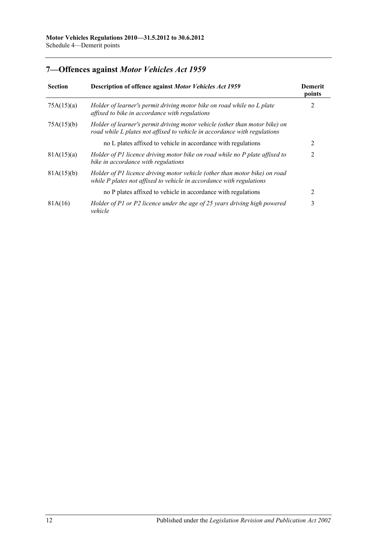## **7—Offences against** *Motor Vehicles Act 1959*

| <b>Section</b> | Description of offence against Motor Vehicles Act 1959                                                                                                   | <b>Demerit</b><br>points |
|----------------|----------------------------------------------------------------------------------------------------------------------------------------------------------|--------------------------|
| 75A(15)(a)     | Holder of learner's permit driving motor bike on road while no L plate<br>affixed to bike in accordance with regulations                                 | 2                        |
| 75A(15)(b)     | Holder of learner's permit driving motor vehicle (other than motor bike) on<br>road while L plates not affixed to vehicle in accordance with regulations |                          |
|                | no L plates affixed to vehicle in accordance with regulations                                                                                            | 2                        |
| 81A(15)(a)     | Holder of P1 licence driving motor bike on road while no P plate affixed to<br>bike in accordance with regulations                                       | 2                        |
| 81A(15)(b)     | Holder of P1 licence driving motor vehicle (other than motor bike) on road<br>while P plates not affixed to vehicle in accordance with regulations       |                          |
|                | no P plates affixed to vehicle in accordance with regulations                                                                                            | $\mathfrak{D}$           |
| 81A(16)        | Holder of P1 or P2 licence under the age of 25 years driving high powered<br>vehicle                                                                     | 3                        |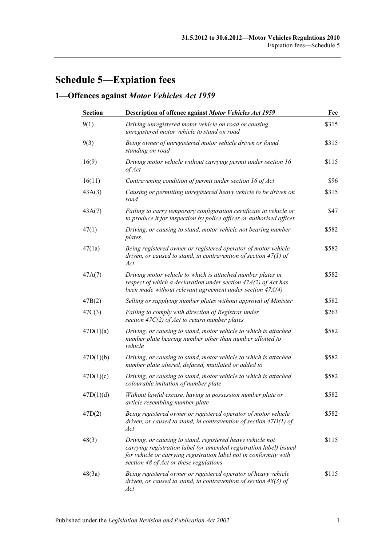# **Schedule 5—Expiation fees**

## **1—Offences against** *Motor Vehicles Act 1959*

| <b>Section</b> | Description of offence against Motor Vehicles Act 1959                                                                                                                                                                                          | Fee   |
|----------------|-------------------------------------------------------------------------------------------------------------------------------------------------------------------------------------------------------------------------------------------------|-------|
| 9(1)           | Driving unregistered motor vehicle on road or causing<br>unregistered motor vehicle to stand on road                                                                                                                                            | \$315 |
| 9(3)           | Being owner of unregistered motor vehicle driven or found<br>standing on road                                                                                                                                                                   | \$315 |
| 16(9)          | Driving motor vehicle without carrying permit under section 16<br>of Act                                                                                                                                                                        | \$115 |
| 16(11)         | Contravening condition of permit under section 16 of Act                                                                                                                                                                                        | \$96  |
| 43A(3)         | Causing or permitting unregistered heavy vehicle to be driven on<br>road                                                                                                                                                                        | \$315 |
| 43A(7)         | Failing to carry temporary configuration certificate in vehicle or<br>to produce it for inspection by police officer or authorised officer                                                                                                      | \$47  |
| 47(1)          | Driving, or causing to stand, motor vehicle not bearing number<br>plates                                                                                                                                                                        | \$582 |
| 47(1a)         | Being registered owner or registered operator of motor vehicle<br>driven, or caused to stand, in contravention of section $47(1)$ of<br>Act                                                                                                     | \$582 |
| 47A(7)         | Driving motor vehicle to which is attached number plates in<br>respect of which a declaration under section $47A(2)$ of Act has<br>been made without relevant agreement under section $47A(4)$                                                  | \$582 |
| 47B(2)         | Selling or supplying number plates without approval of Minister                                                                                                                                                                                 | \$582 |
| 47C(3)         | Failing to comply with direction of Registrar under<br>section $47C(2)$ of Act to return number plates                                                                                                                                          | \$263 |
| 47D(1)(a)      | Driving, or causing to stand, motor vehicle to which is attached<br>number plate bearing number other than number allotted to<br>vehicle                                                                                                        | \$582 |
| 47D(1)(b)      | Driving, or causing to stand, motor vehicle to which is attached<br>number plate altered, defaced, mutilated or added to                                                                                                                        | \$582 |
| 47D(1)(c)      | Driving, or causing to stand, motor vehicle to which is attached<br>colourable imitation of number plate                                                                                                                                        | \$582 |
| 47D(1)(d)      | Without lawful excuse, having in possession number plate or<br>article resembling number plate                                                                                                                                                  | \$582 |
| 47D(2)         | Being registered owner or registered operator of motor vehicle<br>driven, or caused to stand, in contravention of section $47D(1)$ of<br>Act                                                                                                    | \$582 |
| 48(3)          | Driving, or causing to stand, registered heavy vehicle not<br>carrying registration label (or amended registration label) issued<br>for vehicle or carrying registration label not in conformity with<br>section 48 of Act or these regulations | \$115 |
| 48(3a)         | Being registered owner or registered operator of heavy vehicle<br>driven, or caused to stand, in contravention of section 48(3) of<br>Act                                                                                                       | \$115 |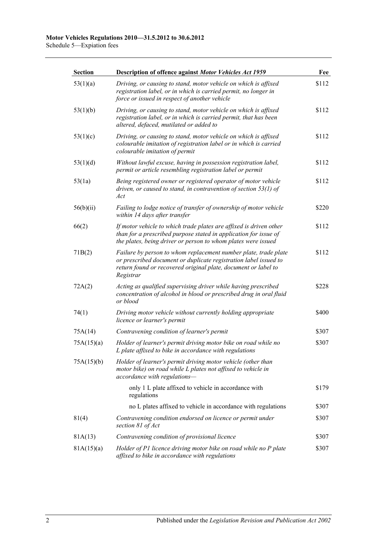| <b>Section</b> | <b>Description of offence against Motor Vehicles Act 1959</b>                                                                                                                                                      | Fee   |
|----------------|--------------------------------------------------------------------------------------------------------------------------------------------------------------------------------------------------------------------|-------|
| 53(1)(a)       | Driving, or causing to stand, motor vehicle on which is affixed<br>registration label, or in which is carried permit, no longer in<br>force or issued in respect of another vehicle                                | \$112 |
| 53(1)(b)       | Driving, or causing to stand, motor vehicle on which is affixed<br>registration label, or in which is carried permit, that has been<br>altered, defaced, mutilated or added to                                     | \$112 |
| 53(1)(c)       | Driving, or causing to stand, motor vehicle on which is affixed<br>colourable imitation of registration label or in which is carried<br>colourable imitation of permit                                             | \$112 |
| 53(1)(d)       | Without lawful excuse, having in possession registration label,<br>permit or article resembling registration label or permit                                                                                       | \$112 |
| 53(1a)         | Being registered owner or registered operator of motor vehicle<br>driven, or caused to stand, in contravention of section 53(1) of<br>Act                                                                          | \$112 |
| 56(b)(ii)      | Failing to lodge notice of transfer of ownership of motor vehicle<br>within 14 days after transfer                                                                                                                 | \$220 |
| 66(2)          | If motor vehicle to which trade plates are affixed is driven other<br>than for a prescribed purpose stated in application for issue of<br>the plates, being driver or person to whom plates were issued            | \$112 |
| 71B(2)         | Failure by person to whom replacement number plate, trade plate<br>or prescribed document or duplicate registration label issued to<br>return found or recovered original plate, document or label to<br>Registrar | \$112 |
| 72A(2)         | Acting as qualified supervising driver while having prescribed<br>concentration of alcohol in blood or prescribed drug in oral fluid<br>or blood                                                                   | \$228 |
| 74(1)          | Driving motor vehicle without currently holding appropriate<br>licence or learner's permit                                                                                                                         | \$400 |
| 75A(14)        | Contravening condition of learner's permit                                                                                                                                                                         | \$307 |
| 75A(15)(a)     | Holder of learner's permit driving motor bike on road while no<br>L plate affixed to bike in accordance with regulations                                                                                           | \$307 |
| 75A(15)(b)     | Holder of learner's permit driving motor vehicle (other than<br>motor bike) on road while L plates not affixed to vehicle in<br>accordance with regulations-                                                       |       |
|                | only 1 L plate affixed to vehicle in accordance with<br>regulations                                                                                                                                                | \$179 |
|                | no L plates affixed to vehicle in accordance with regulations                                                                                                                                                      | \$307 |
| 81(4)          | Contravening condition endorsed on licence or permit under<br>section 81 of Act                                                                                                                                    | \$307 |
| 81A(13)        | Contravening condition of provisional licence                                                                                                                                                                      | \$307 |
| 81A(15)(a)     | Holder of P1 licence driving motor bike on road while no P plate<br>affixed to bike in accordance with regulations                                                                                                 | \$307 |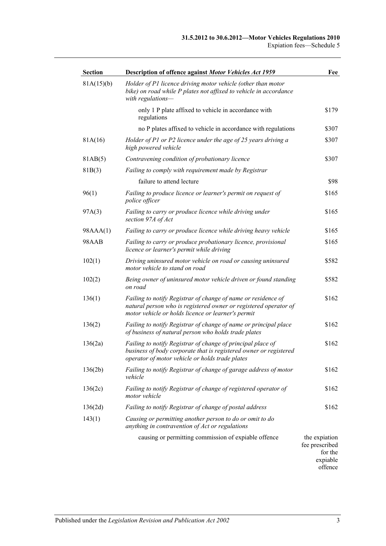| <b>Section</b> | <b>Description of offence against Motor Vehicles Act 1959</b>                                                                                                                           | Fee                                                    |
|----------------|-----------------------------------------------------------------------------------------------------------------------------------------------------------------------------------------|--------------------------------------------------------|
| 81A(15)(b)     | Holder of P1 licence driving motor vehicle (other than motor<br>bike) on road while P plates not affixed to vehicle in accordance<br>with regulations-                                  |                                                        |
|                | only 1 P plate affixed to vehicle in accordance with<br>regulations                                                                                                                     | \$179                                                  |
|                | no P plates affixed to vehicle in accordance with regulations                                                                                                                           | \$307                                                  |
| 81A(16)        | Holder of P1 or P2 licence under the age of 25 years driving a<br>high powered vehicle                                                                                                  | \$307                                                  |
| 81AB(5)        | Contravening condition of probationary licence                                                                                                                                          | \$307                                                  |
| 81B(3)         | Failing to comply with requirement made by Registrar                                                                                                                                    |                                                        |
|                | failure to attend lecture                                                                                                                                                               | \$98                                                   |
| 96(1)          | Failing to produce licence or learner's permit on request of<br>police officer                                                                                                          | \$165                                                  |
| 97A(3)         | Failing to carry or produce licence while driving under<br>section 97A of Act                                                                                                           | \$165                                                  |
| 98AAA(1)       | Failing to carry or produce licence while driving heavy vehicle                                                                                                                         | \$165                                                  |
| 98AAB          | Failing to carry or produce probationary licence, provisional<br>licence or learner's permit while driving                                                                              | \$165                                                  |
| 102(1)         | Driving uninsured motor vehicle on road or causing uninsured<br>motor vehicle to stand on road                                                                                          | \$582                                                  |
| 102(2)         | Being owner of uninsured motor vehicle driven or found standing<br>on road                                                                                                              | \$582                                                  |
| 136(1)         | Failing to notify Registrar of change of name or residence of<br>natural person who is registered owner or registered operator of<br>motor vehicle or holds licence or learner's permit | \$162                                                  |
| 136(2)         | Failing to notify Registrar of change of name or principal place<br>of business of natural person who holds trade plates                                                                | \$162                                                  |
| 136(2a)        | Failing to notify Registrar of change of principal place of<br>business of body corporate that is registered owner or registered<br>operator of motor vehicle or holds trade plates     | \$162                                                  |
| 136(2b)        | Failing to notify Registrar of change of garage address of motor<br>vehicle                                                                                                             | \$162                                                  |
| 136(2c)        | Failing to notify Registrar of change of registered operator of<br>motor vehicle                                                                                                        | \$162                                                  |
| 136(2d)        | Failing to notify Registrar of change of postal address                                                                                                                                 | \$162                                                  |
| 143(1)         | Causing or permitting another person to do or omit to do<br>anything in contravention of Act or regulations                                                                             |                                                        |
|                | causing or permitting commission of expiable offence                                                                                                                                    | the expiation<br>fee prescribed<br>for the<br>expiable |

expiable offence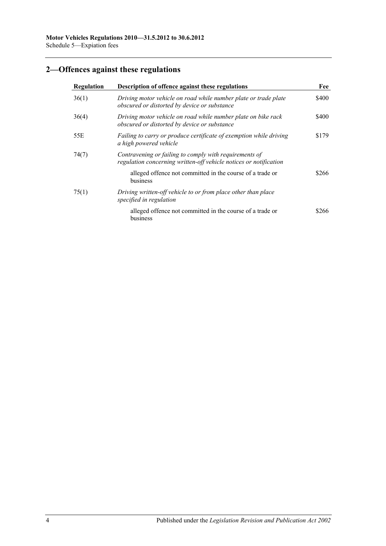## **2—Offences against these regulations**

| Regulation | Description of offence against these regulations                                                                            |       |  |
|------------|-----------------------------------------------------------------------------------------------------------------------------|-------|--|
| 36(1)      | Driving motor vehicle on road while number plate or trade plate<br>obscured or distorted by device or substance             | \$400 |  |
| 36(4)      | Driving motor vehicle on road while number plate on bike rack<br>obscured or distorted by device or substance               | \$400 |  |
| 55E        | Failing to carry or produce certificate of exemption while driving<br>a high powered vehicle                                | \$179 |  |
| 74(7)      | Contravening or failing to comply with requirements of<br>regulation concerning written-off vehicle notices or notification |       |  |
|            | alleged offence not committed in the course of a trade or<br>business                                                       | \$266 |  |
| 75(1)      | Driving written-off vehicle to or from place other than place<br>specified in regulation                                    |       |  |
|            | alleged offence not committed in the course of a trade or<br>business                                                       | \$266 |  |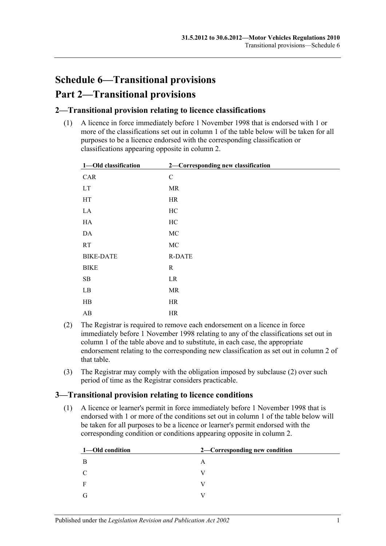# **Schedule 6—Transitional provisions Part 2—Transitional provisions**

### **2—Transitional provision relating to licence classifications**

(1) A licence in force immediately before 1 November 1998 that is endorsed with 1 or more of the classifications set out in column 1 of the table below will be taken for all purposes to be a licence endorsed with the corresponding classification or classifications appearing opposite in column 2.

| 1-Old classification       | 2-Corresponding new classification |  |
|----------------------------|------------------------------------|--|
| CAR                        | $\mathbf C$                        |  |
| $\mathop{\rm LT}\nolimits$ | <b>MR</b>                          |  |
| HT                         | HR                                 |  |
| $\rm LA$                   | HC                                 |  |
| ${\rm HA}$                 | $\rm HC$                           |  |
| $\mathbf{DA}$              | $\rm MC$                           |  |
| RT                         | $\rm MC$                           |  |
| <b>BIKE-DATE</b>           | <b>R-DATE</b>                      |  |
| <b>BIKE</b>                | $\mathbf R$                        |  |
| ${\bf SB}$                 | LR                                 |  |
| $\rm LB$                   | MR                                 |  |
| $\rm HB$                   | HR                                 |  |
| $\mathbf{A}\mathbf{B}$     | $\rm{HR}$                          |  |

- <span id="page-100-0"></span>(2) The Registrar is required to remove each endorsement on a licence in force immediately before 1 November 1998 relating to any of the classifications set out in column 1 of the table above and to substitute, in each case, the appropriate endorsement relating to the corresponding new classification as set out in column 2 of that table.
- (3) The Registrar may comply with the obligation imposed by [subclause](#page-100-0) (2) over such period of time as the Registrar considers practicable.

### **3—Transitional provision relating to licence conditions**

(1) A licence or learner's permit in force immediately before 1 November 1998 that is endorsed with 1 or more of the conditions set out in column 1 of the table below will be taken for all purposes to be a licence or learner's permit endorsed with the corresponding condition or conditions appearing opposite in column 2.

| 1—Old condition | 2—Corresponding new condition |
|-----------------|-------------------------------|
| - B             | A                             |
| C               |                               |
| $\mathbf{F}$    |                               |
| G               |                               |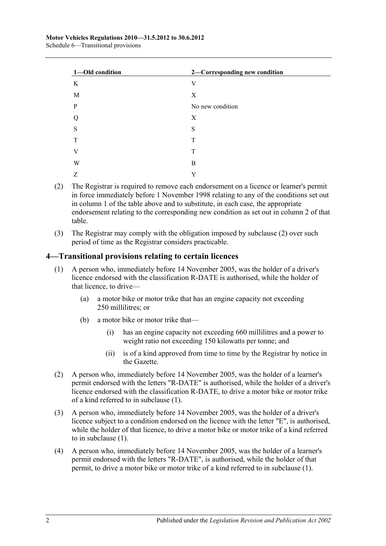| 1-Old condition | 2-Corresponding new condition |
|-----------------|-------------------------------|
| K               | V                             |
| M               | X                             |
| $\mathbf{P}$    | No new condition              |
| Q               | X                             |
| S               | S                             |
| T               | T                             |
| V               | T                             |
| W               | B                             |
| Z               | Y                             |

- <span id="page-101-0"></span>(2) The Registrar is required to remove each endorsement on a licence or learner's permit in force immediately before 1 November 1998 relating to any of the conditions set out in column 1 of the table above and to substitute, in each case, the appropriate endorsement relating to the corresponding new condition as set out in column 2 of that table.
- (3) The Registrar may comply with the obligation imposed by [subclause](#page-101-0) (2) over such period of time as the Registrar considers practicable.

### <span id="page-101-1"></span>**4—Transitional provisions relating to certain licences**

- (1) A person who, immediately before 14 November 2005, was the holder of a driver's licence endorsed with the classification R-DATE is authorised, while the holder of that licence, to drive—
	- (a) a motor bike or motor trike that has an engine capacity not exceeding 250 millilitres; or
	- (b) a motor bike or motor trike that—
		- (i) has an engine capacity not exceeding 660 millilitres and a power to weight ratio not exceeding 150 kilowatts per tonne; and
		- (ii) is of a kind approved from time to time by the Registrar by notice in the Gazette.
- (2) A person who, immediately before 14 November 2005, was the holder of a learner's permit endorsed with the letters "R-DATE" is authorised, while the holder of a driver's licence endorsed with the classification R-DATE, to drive a motor bike or motor trike of a kind referred to in [subclause](#page-101-1) (1).
- (3) A person who, immediately before 14 November 2005, was the holder of a driver's licence subject to a condition endorsed on the licence with the letter "E", is authorised, while the holder of that licence, to drive a motor bike or motor trike of a kind referred to in [subclause](#page-101-1) (1).
- (4) A person who, immediately before 14 November 2005, was the holder of a learner's permit endorsed with the letters "R-DATE", is authorised, while the holder of that permit, to drive a motor bike or motor trike of a kind referred to in [subclause](#page-101-1) (1).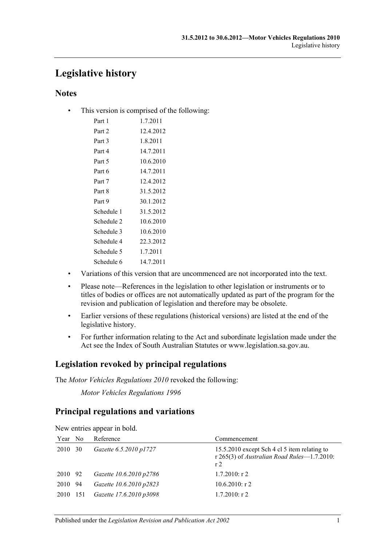## **Legislative history**

### **Notes**

• This version is comprised of the following:

| Part 1     | 1.7.2011  |
|------------|-----------|
| Part 2     | 12.4.2012 |
| Part 3     | 1.8.2011  |
| Part 4     | 14.7.2011 |
| Part 5     | 10.6.2010 |
| Part 6     | 14.7.2011 |
| Part 7     | 12.4.2012 |
| Part 8     | 31.5.2012 |
| Part 9     | 30.1.2012 |
| Schedule 1 | 31.5.2012 |
| Schedule 2 | 10.6.2010 |
| Schedule 3 | 10.6.2010 |
| Schedule 4 | 22.3.2012 |
| Schedule 5 | 1.7.2011  |
| Schedule 6 | 14.7.2011 |
|            |           |

- Variations of this version that are uncommenced are not incorporated into the text.
- Please note—References in the legislation to other legislation or instruments or to titles of bodies or offices are not automatically updated as part of the program for the revision and publication of legislation and therefore may be obsolete.
- Earlier versions of these regulations (historical versions) are listed at the end of the legislative history.
- For further information relating to the Act and subordinate legislation made under the Act see the Index of South Australian Statutes or www.legislation.sa.gov.au.

### **Legislation revoked by principal regulations**

The *Motor Vehicles Regulations 2010* revoked the following:

*Motor Vehicles Regulations 1996*

### **Principal regulations and variations**

| Year No  | Reference               | Commencement                                                                                                  |
|----------|-------------------------|---------------------------------------------------------------------------------------------------------------|
| 2010 30  | Gazette 6.5.2010 p1727  | 15.5.2010 except Sch 4 cl 5 item relating to<br>r 265(3) of Australian Road Rules-1.7.2010:<br>r <sub>2</sub> |
| 2010 92  | Gazette 10.6.2010 p2786 | $1.7.2010$ : r 2                                                                                              |
| 2010 94  | Gazette 10.6.2010 p2823 | $10.6.2010$ : r 2                                                                                             |
| 2010 151 | Gazette 17.6.2010 p3098 | $1.7.2010$ : r 2                                                                                              |

New entries appear in bold.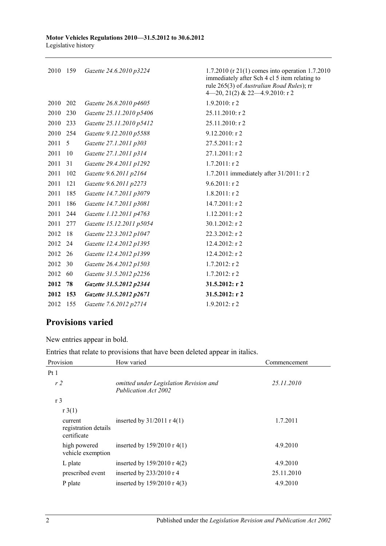| 2010 159 |     | Gazette 24.6.2010 p3224  | 1.7.2010 (r 21(1) comes into operation 1.7.2010<br>immediately after Sch 4 cl 5 item relating to<br>rule 265(3) of Australian Road Rules); rr<br>4-20, 21(2) & 22-4.9.2010: r 2 |
|----------|-----|--------------------------|---------------------------------------------------------------------------------------------------------------------------------------------------------------------------------|
| 2010 202 |     | Gazette 26.8.2010 p4605  | $1.9.2010:$ r 2                                                                                                                                                                 |
| 2010     | 230 | Gazette 25.11.2010 p5406 | 25.11.2010: r 2                                                                                                                                                                 |
| 2010     | 233 | Gazette 25.11.2010 p5412 | 25.11.2010: r 2                                                                                                                                                                 |
| 2010     | 254 | Gazette 9.12.2010 p5588  | $9.12.2010:$ r 2                                                                                                                                                                |
| 2011     | 5   | Gazette 27.1.2011 p303   | 27.5.2011: r 2                                                                                                                                                                  |
| 2011     | 10  | Gazette 27.1.2011 p314   | 27.1.2011: r 2                                                                                                                                                                  |
| 2011     | 31  | Gazette 29.4.2011 p1292  | $1.7.2011:$ r 2                                                                                                                                                                 |
| 2011     | 102 | Gazette 9.6.2011 p2164   | 1.7.2011 immediately after 31/2011: r 2                                                                                                                                         |
| 2011     | 121 | Gazette 9.6.2011 p2273   | $9.6.2011:$ r2                                                                                                                                                                  |
| 2011     | 185 | Gazette 14.7.2011 p3079  | $1.8.2011:$ r 2                                                                                                                                                                 |
| 2011     | 186 | Gazette 14.7.2011 p3081  | $14.7.2011:$ r 2                                                                                                                                                                |
| 2011     | 244 | Gazette 1.12.2011 p4763  | $1.12.2011:$ r2                                                                                                                                                                 |
| 2011     | 277 | Gazette 15.12.2011 p5054 | 30.1.2012: r 2                                                                                                                                                                  |
| 2012     | 18  | Gazette 22.3.2012 p1047  | 22.3.2012: r 2                                                                                                                                                                  |
| 2012     | 24  | Gazette 12.4.2012 p1395  | 12.4.2012: r 2                                                                                                                                                                  |
| 2012     | 26  | Gazette 12.4.2012 p1399  | 12.4.2012: r 2                                                                                                                                                                  |
| 2012     | 30  | Gazette 26.4.2012 p1503  | $1.7.2012$ : r 2                                                                                                                                                                |
| 2012     | 60  | Gazette 31.5.2012 p2256  | $1.7.2012:$ r 2                                                                                                                                                                 |
| 2012     | 78  | Gazette 31.5.2012 p2344  | 31.5.2012: r2                                                                                                                                                                   |
| 2012     | 153 | Gazette 31.5.2012 p2671  | 31.5.2012: r 2                                                                                                                                                                  |
| 2012     | 155 | Gazette 7.6.2012 p2714   | $1.9.2012:$ r 2                                                                                                                                                                 |

### **Provisions varied**

New entries appear in bold.

Entries that relate to provisions that have been deleted appear in italics.

| Provision                                      | How varied                                                     | Commencement |
|------------------------------------------------|----------------------------------------------------------------|--------------|
| Pt1                                            |                                                                |              |
| r <sub>2</sub>                                 | omitted under Legislation Revision and<br>Publication Act 2002 | 25.11.2010   |
| r <sub>3</sub>                                 |                                                                |              |
| r3(1)                                          |                                                                |              |
| current<br>registration details<br>certificate | inserted by $31/2011$ r 4(1)                                   | 1.7.2011     |
| high powered<br>vehicle exemption              | inserted by $159/2010 \text{ r } 4(1)$                         | 4.9.2010     |
| L plate                                        | inserted by $159/2010 \text{ r } 4(2)$                         | 4.9.2010     |
| prescribed event                               | inserted by $233/2010$ r 4                                     | 25.11.2010   |
| P plate                                        | inserted by $159/2010 \text{ r } 4(3)$                         | 4.9.2010     |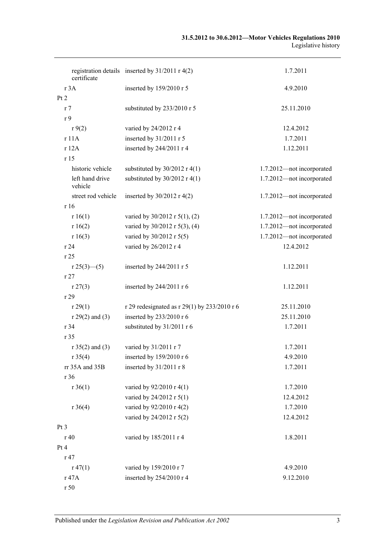| certificate                | registration details inserted by 31/2011 r 4(2) | 1.7.2011                  |
|----------------------------|-------------------------------------------------|---------------------------|
| r 3A                       | inserted by 159/2010 r 5                        | 4.9.2010                  |
| Pt 2                       |                                                 |                           |
| r <sub>7</sub>             | substituted by 233/2010 r 5                     | 25.11.2010                |
| r 9                        |                                                 |                           |
| r9(2)                      | varied by 24/2012 r 4                           | 12.4.2012                 |
| r 11A                      | inserted by 31/2011 r 5                         | 1.7.2011                  |
| r 12A                      | inserted by 244/2011 r 4                        | 1.12.2011                 |
| r15                        |                                                 |                           |
| historic vehicle           | substituted by $30/2012$ r 4(1)                 | 1.7.2012-not incorporated |
| left hand drive<br>vehicle | substituted by $30/2012$ r 4(1)                 | 1.7.2012-not incorporated |
| street rod vehicle         | inserted by $30/2012$ r 4(2)                    | 1.7.2012-not incorporated |
| r 16                       |                                                 |                           |
| r 16(1)                    | varied by $30/2012$ r $5(1)$ , (2)              | 1.7.2012-not incorporated |
| r 16(2)                    | varied by 30/2012 r 5(3), (4)                   | 1.7.2012-not incorporated |
| r 16(3)                    | varied by 30/2012 r 5(5)                        | 1.7.2012-not incorporated |
| r24                        | varied by 26/2012 r 4                           | 12.4.2012                 |
| r25                        |                                                 |                           |
| $r 25(3)$ - (5)            | inserted by $244/2011$ r 5                      | 1.12.2011                 |
| r27                        |                                                 |                           |
| r 27(3)                    | inserted by $244/2011$ r 6                      | 1.12.2011                 |
| r 29                       |                                                 |                           |
| r 29(1)                    | r 29 redesignated as r 29(1) by 233/2010 r 6    | 25.11.2010                |
| $r 29(2)$ and (3)          | inserted by 233/2010 r 6                        | 25.11.2010                |
| r 34                       | substituted by 31/2011 r 6                      | 1.7.2011                  |
| r 35                       |                                                 |                           |
| $r 35(2)$ and (3)          | varied by 31/2011 r 7                           | 1.7.2011                  |
| r 35(4)                    | inserted by 159/2010 r 6                        | 4.9.2010                  |
| rr 35A and 35B             | inserted by 31/2011 r 8                         | 1.7.2011                  |
| r 36                       |                                                 |                           |
| $r \, 36(1)$               | varied by 92/2010 r 4(1)                        | 1.7.2010                  |
|                            | varied by 24/2012 r 5(1)                        | 12.4.2012                 |
| $r \, 36(4)$               | varied by 92/2010 r 4(2)                        | 1.7.2010                  |
|                            | varied by 24/2012 r 5(2)                        | 12.4.2012                 |
| Pt <sub>3</sub>            |                                                 |                           |
| r 40                       | varied by 185/2011 r 4                          | 1.8.2011                  |
| Pt 4                       |                                                 |                           |
| r 47                       |                                                 |                           |
| $r\,47(1)$                 | varied by 159/2010 r 7                          | 4.9.2010                  |
| r 47A                      | inserted by 254/2010 r 4                        | 9.12.2010                 |
| r 50                       |                                                 |                           |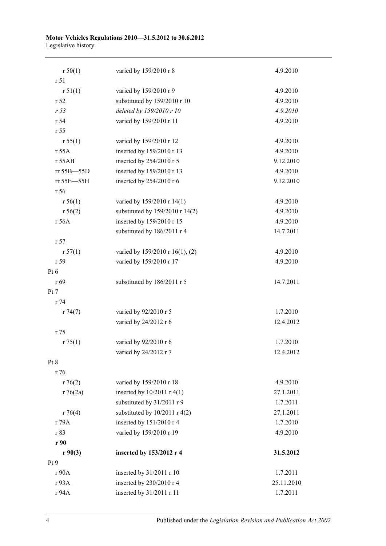#### **Motor Vehicles Regulations 2010—31.5.2012 to 30.6.2012** Legislative history

| r 50(1)         | varied by 159/2010 r 8          | 4.9.2010   |
|-----------------|---------------------------------|------------|
| r 51            |                                 |            |
| r 51(1)         | varied by 159/2010 r 9          | 4.9.2010   |
| r 52            | substituted by 159/2010 r 10    | 4.9.2010   |
| r <sub>53</sub> | deleted by 159/2010 r 10        | 4.9.2010   |
| r 54            | varied by 159/2010 r 11         | 4.9.2010   |
| r 55            |                                 |            |
| r 55(1)         | varied by 159/2010 r 12         | 4.9.2010   |
| r 55A           | inserted by 159/2010 r 13       | 4.9.2010   |
| r 55AB          | inserted by 254/2010 r 5        | 9.12.2010  |
| rr 55B-55D      | inserted by 159/2010 r 13       | 4.9.2010   |
| rr 55E-55H      | inserted by 254/2010 r 6        | 9.12.2010  |
| r 56            |                                 |            |
| r 56(1)         | varied by 159/2010 r 14(1)      | 4.9.2010   |
| r 56(2)         | substituted by 159/2010 r 14(2) | 4.9.2010   |
| r 56A           | inserted by 159/2010 r 15       | 4.9.2010   |
|                 | substituted by 186/2011 r 4     | 14.7.2011  |
| r 57            |                                 |            |
| r 57(1)         | varied by 159/2010 r 16(1), (2) | 4.9.2010   |
| r 59            | varied by 159/2010 r 17         | 4.9.2010   |
| Pt $6$          |                                 |            |
| r 69            | substituted by 186/2011 r 5     | 14.7.2011  |
| Pt 7            |                                 |            |
| r 74            |                                 |            |
| r74(7)          | varied by 92/2010 r 5           | 1.7.2010   |
|                 | varied by 24/2012 r 6           | 12.4.2012  |
| r 75            |                                 |            |
| r 75(1)         | varied by 92/2010 r 6           | 1.7.2010   |
|                 | varied by 24/2012 r 7           | 12.4.2012  |
| Pt 8            |                                 |            |
| r 76            |                                 |            |
| r76(2)          | varied by 159/2010 r 18         | 4.9.2010   |
| r76(2a)         | inserted by $10/2011$ r 4(1)    | 27.1.2011  |
|                 | substituted by 31/2011 r 9      | 1.7.2011   |
| r76(4)          | substituted by $10/2011$ r 4(2) | 27.1.2011  |
| r 79A           | inserted by 151/2010 r 4        | 1.7.2010   |
| r 83            | varied by 159/2010 r 19         | 4.9.2010   |
| r90             |                                 |            |
| r90(3)          | inserted by 153/2012 r 4        | 31.5.2012  |
| Pt9             |                                 |            |
| r 90A           | inserted by 31/2011 r 10        | 1.7.2011   |
| r 93A           | inserted by 230/2010 r 4        | 25.11.2010 |
| r 94A           | inserted by 31/2011 r 11        | 1.7.2011   |
|                 |                                 |            |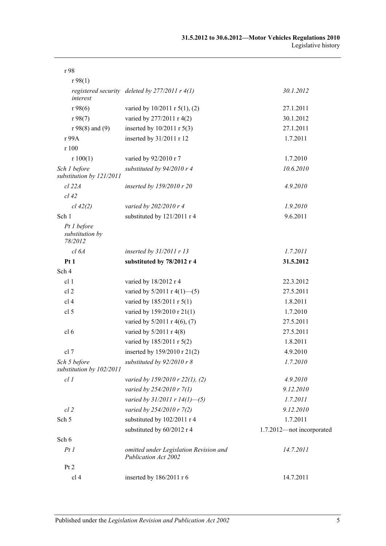| r 98                                      |                                                                |                           |
|-------------------------------------------|----------------------------------------------------------------|---------------------------|
| r98(1)                                    |                                                                |                           |
| interest                                  | registered security deleted by $277/2011$ r $4(1)$             | 30.1.2012                 |
| r98(6)                                    | varied by 10/2011 r 5(1), (2)                                  | 27.1.2011                 |
| r 98(7)                                   | varied by 277/2011 r 4(2)                                      | 30.1.2012                 |
| $r 98(8)$ and (9)                         | inserted by $10/2011$ r $5(3)$                                 | 27.1.2011                 |
| r 99A                                     | inserted by 31/2011 r 12                                       | 1.7.2011                  |
| r 100                                     |                                                                |                           |
| r 100(1)                                  | varied by 92/2010 r 7                                          | 1.7.2010                  |
| Sch 1 before<br>substitution by 121/2011  | substituted by 94/2010 r 4                                     | 10.6.2010                 |
| cl 22A                                    | inserted by 159/2010 r 20                                      | 4.9.2010                  |
| $cl$ 42                                   |                                                                |                           |
| $cl$ 42(2)                                | varied by 202/2010 r 4                                         | 1.9.2010                  |
| Sch 1                                     | substituted by 121/2011 r 4                                    | 9.6.2011                  |
| Pt 1 before<br>substitution by<br>78/2012 |                                                                |                           |
| cl 6A                                     | inserted by 31/2011 r 13                                       | 1.7.2011                  |
| Pt1                                       | substituted by 78/2012 r 4                                     | 31.5.2012                 |
| Sch 4                                     |                                                                |                           |
| cl <sub>1</sub>                           | varied by 18/2012 r 4                                          | 22.3.2012                 |
| cl <sub>2</sub>                           | varied by $5/2011$ r $4(1)$ —(5)                               | 27.5.2011                 |
| cl <sub>4</sub>                           | varied by 185/2011 r 5(1)                                      | 1.8.2011                  |
| cl <sub>5</sub>                           | varied by 159/2010 r 21(1)                                     | 1.7.2010                  |
|                                           | varied by 5/2011 r 4(6), (7)                                   | 27.5.2011                 |
| cl <sub>6</sub>                           | varied by $5/2011$ r 4(8)                                      | 27.5.2011                 |
|                                           | varied by 185/2011 r 5(2)                                      | 1.8.2011                  |
| cl 7                                      | inserted by 159/2010 r 21(2)                                   | 4.9.2010                  |
| Sch 5 before<br>substitution by 102/2011  | substituted by $92/2010$ r 8                                   | 1.7.2010                  |
| cl1                                       | varied by 159/2010 r 22(1), (2)                                | 4.9.2010                  |
|                                           | varied by 254/2010 r 7(1)                                      | 9.12.2010                 |
|                                           | varied by $31/2011$ r $14(1)$ —(5)                             | 1.7.2011                  |
| $cl$ 2                                    | varied by 254/2010 r 7(2)                                      | 9.12.2010                 |
| Sch 5                                     | substituted by 102/2011 r 4                                    | 1.7.2011                  |
|                                           | substituted by 60/2012 r 4                                     | 1.7.2012-not incorporated |
| Sch 6                                     |                                                                |                           |
| PtI                                       | omitted under Legislation Revision and<br>Publication Act 2002 | 14.7.2011                 |
| Pt 2                                      |                                                                |                           |
| cl 4                                      | inserted by 186/2011 r 6                                       | 14.7.2011                 |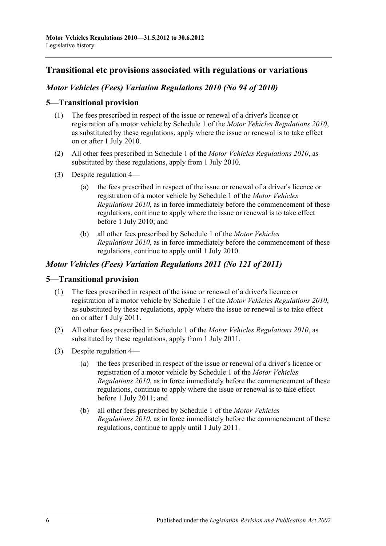### **Transitional etc provisions associated with regulations or variations**

### *Motor Vehicles (Fees) Variation Regulations 2010 (No 94 of 2010)*

### **5—Transitional provision**

- (1) The fees prescribed in respect of the issue or renewal of a driver's licence or registration of a motor vehicle by Schedule 1 of the *[Motor Vehicles Regulations](http://www.legislation.sa.gov.au/index.aspx?action=legref&type=subordleg&legtitle=Motor%20Vehicles%20Regulations%202010) 2010*, as substituted by these regulations, apply where the issue or renewal is to take effect on or after 1 July 2010.
- (2) All other fees prescribed in Schedule 1 of the *[Motor Vehicles Regulations](http://www.legislation.sa.gov.au/index.aspx?action=legref&type=subordleg&legtitle=Motor%20Vehicles%20Regulations%202010) 2010*, as substituted by these regulations, apply from 1 July 2010.
- (3) Despite regulation 4—
	- (a) the fees prescribed in respect of the issue or renewal of a driver's licence or registration of a motor vehicle by Schedule 1 of the *[Motor Vehicles](http://www.legislation.sa.gov.au/index.aspx?action=legref&type=subordleg&legtitle=Motor%20Vehicles%20Regulations%202010)  [Regulations](http://www.legislation.sa.gov.au/index.aspx?action=legref&type=subordleg&legtitle=Motor%20Vehicles%20Regulations%202010) 2010*, as in force immediately before the commencement of these regulations, continue to apply where the issue or renewal is to take effect before 1 July 2010; and
	- (b) all other fees prescribed by Schedule 1 of the *[Motor Vehicles](http://www.legislation.sa.gov.au/index.aspx?action=legref&type=subordleg&legtitle=Motor%20Vehicles%20Regulations%202010)  [Regulations](http://www.legislation.sa.gov.au/index.aspx?action=legref&type=subordleg&legtitle=Motor%20Vehicles%20Regulations%202010) 2010*, as in force immediately before the commencement of these regulations, continue to apply until 1 July 2010.

### *Motor Vehicles (Fees) Variation Regulations 2011 (No 121 of 2011)*

### **5—Transitional provision**

- (1) The fees prescribed in respect of the issue or renewal of a driver's licence or registration of a motor vehicle by Schedule 1 of the *[Motor Vehicles Regulations](http://www.legislation.sa.gov.au/index.aspx?action=legref&type=subordleg&legtitle=Motor%20Vehicles%20Regulations%202010) 2010*, as substituted by these regulations, apply where the issue or renewal is to take effect on or after 1 July 2011.
- (2) All other fees prescribed in Schedule 1 of the *[Motor Vehicles Regulations](http://www.legislation.sa.gov.au/index.aspx?action=legref&type=subordleg&legtitle=Motor%20Vehicles%20Regulations%202010) 2010*, as substituted by these regulations, apply from 1 July 2011.
- (3) Despite regulation 4—
	- (a) the fees prescribed in respect of the issue or renewal of a driver's licence or registration of a motor vehicle by Schedule 1 of the *[Motor Vehicles](http://www.legislation.sa.gov.au/index.aspx?action=legref&type=subordleg&legtitle=Motor%20Vehicles%20Regulations%202010)  [Regulations](http://www.legislation.sa.gov.au/index.aspx?action=legref&type=subordleg&legtitle=Motor%20Vehicles%20Regulations%202010) 2010*, as in force immediately before the commencement of these regulations, continue to apply where the issue or renewal is to take effect before 1 July 2011; and
	- (b) all other fees prescribed by Schedule 1 of the *[Motor Vehicles](http://www.legislation.sa.gov.au/index.aspx?action=legref&type=subordleg&legtitle=Motor%20Vehicles%20Regulations%202010)  [Regulations](http://www.legislation.sa.gov.au/index.aspx?action=legref&type=subordleg&legtitle=Motor%20Vehicles%20Regulations%202010) 2010*, as in force immediately before the commencement of these regulations, continue to apply until 1 July 2011.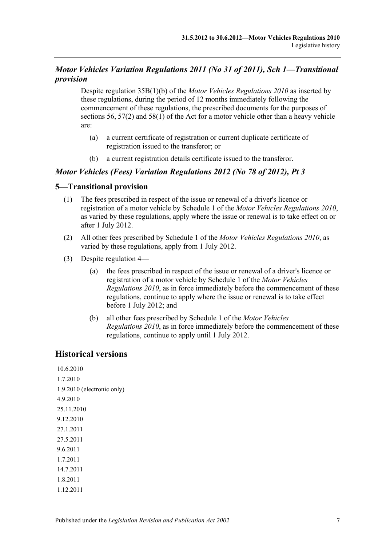## *Motor Vehicles Variation Regulations 2011 (No 31 of 2011), Sch 1—Transitional provision*

Despite regulation 35B(1)(b) of the *[Motor Vehicles Regulations](http://www.legislation.sa.gov.au/index.aspx?action=legref&type=subordleg&legtitle=Motor%20Vehicles%20Regulations%202010) 2010* as inserted by these regulations, during the period of 12 months immediately following the commencement of these regulations, the prescribed documents for the purposes of sections 56, 57(2) and 58(1) of the Act for a motor vehicle other than a heavy vehicle are:

- (a) a current certificate of registration or current duplicate certificate of registration issued to the transferor; or
- (b) a current registration details certificate issued to the transferor.

## *Motor Vehicles (Fees) Variation Regulations 2012 (No 78 of 2012), Pt 3*

## **5—Transitional provision**

- (1) The fees prescribed in respect of the issue or renewal of a driver's licence or registration of a motor vehicle by Schedule 1 of the *[Motor Vehicles Regulations](http://www.legislation.sa.gov.au/index.aspx?action=legref&type=subordleg&legtitle=Motor%20Vehicles%20Regulations%202010) 2010*, as varied by these regulations, apply where the issue or renewal is to take effect on or after 1 July 2012.
- (2) All other fees prescribed by Schedule 1 of the *[Motor Vehicles Regulations](http://www.legislation.sa.gov.au/index.aspx?action=legref&type=subordleg&legtitle=Motor%20Vehicles%20Regulations%202010) 2010*, as varied by these regulations, apply from 1 July 2012.
- (3) Despite regulation 4—
	- (a) the fees prescribed in respect of the issue or renewal of a driver's licence or registration of a motor vehicle by Schedule 1 of the *[Motor Vehicles](http://www.legislation.sa.gov.au/index.aspx?action=legref&type=subordleg&legtitle=Motor%20Vehicles%20Regulations%202010)  [Regulations](http://www.legislation.sa.gov.au/index.aspx?action=legref&type=subordleg&legtitle=Motor%20Vehicles%20Regulations%202010) 2010*, as in force immediately before the commencement of these regulations, continue to apply where the issue or renewal is to take effect before 1 July 2012; and
	- (b) all other fees prescribed by Schedule 1 of the *[Motor Vehicles](http://www.legislation.sa.gov.au/index.aspx?action=legref&type=subordleg&legtitle=Motor%20Vehicles%20Regulations%202010)  [Regulations](http://www.legislation.sa.gov.au/index.aspx?action=legref&type=subordleg&legtitle=Motor%20Vehicles%20Regulations%202010) 2010*, as in force immediately before the commencement of these regulations, continue to apply until 1 July 2012.

## **Historical versions**

10.6.2010 1.7.2010 1.9.2010 (electronic only) 4.9.2010 25.11.2010 9.12.2010 27.1.2011 27.5.2011 9.6.2011 1.7.2011 14.7.2011 1.8.2011 1.12.2011